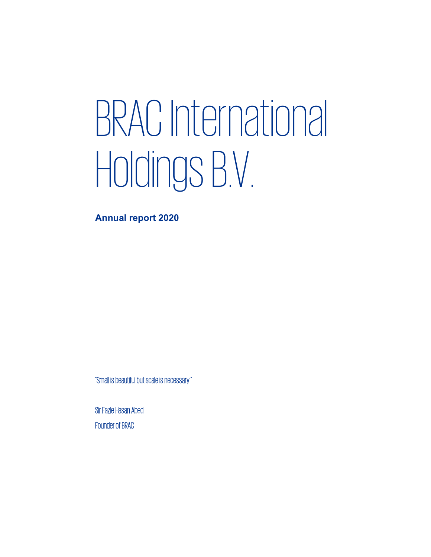# BRAC International Holdings B.V.

Annual report 2020

"Small is beautiful but scale is necessary "

Sir Fazle Hasan Abed Founder of BRAC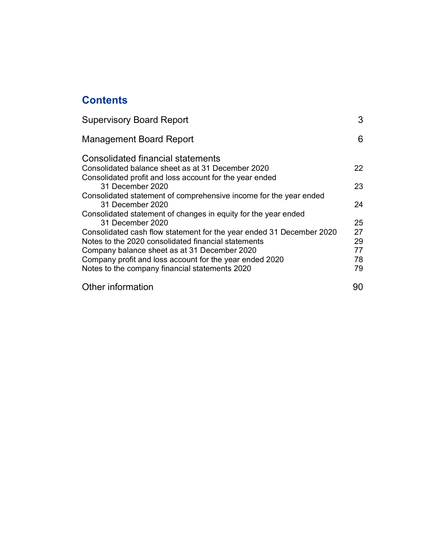# **Contents**

| <b>Supervisory Board Report</b>                                      | 3  |
|----------------------------------------------------------------------|----|
| <b>Management Board Report</b>                                       | 6  |
| Consolidated financial statements                                    |    |
| Consolidated balance sheet as at 31 December 2020                    | 22 |
| Consolidated profit and loss account for the year ended              |    |
| 31 December 2020                                                     | 23 |
| Consolidated statement of comprehensive income for the year ended    |    |
| 31 December 2020                                                     | 24 |
| Consolidated statement of changes in equity for the year ended       |    |
| 31 December 2020                                                     | 25 |
| Consolidated cash flow statement for the year ended 31 December 2020 | 27 |
| Notes to the 2020 consolidated financial statements                  | 29 |
| Company balance sheet as at 31 December 2020                         | 77 |
| Company profit and loss account for the year ended 2020              | 78 |
| Notes to the company financial statements 2020                       | 79 |
| Other information                                                    | 90 |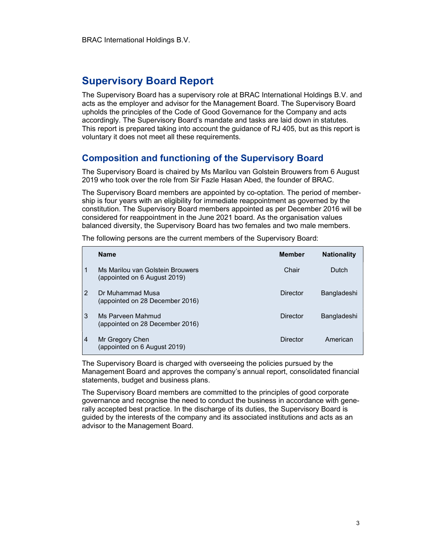# Supervisory Board Report

The Supervisory Board has a supervisory role at BRAC International Holdings B.V. and acts as the employer and advisor for the Management Board. The Supervisory Board upholds the principles of the Code of Good Governance for the Company and acts accordingly. The Supervisory Board's mandate and tasks are laid down in statutes. This report is prepared taking into account the guidance of RJ 405, but as this report is voluntary it does not meet all these requirements.

## Composition and functioning of the Supervisory Board

The Supervisory Board is chaired by Ms Marilou van Golstein Brouwers from 6 August 2019 who took over the role from Sir Fazle Hasan Abed, the founder of BRAC.

The Supervisory Board members are appointed by co-optation. The period of membership is four years with an eligibility for immediate reappointment as governed by the constitution. The Supervisory Board members appointed as per December 2016 will be considered for reappointment in the June 2021 board. As the organisation values balanced diversity, the Supervisory Board has two females and two male members.

|                | <b>Name</b>                                                      | <b>Member</b> | <b>Nationality</b> |
|----------------|------------------------------------------------------------------|---------------|--------------------|
| 1              | Ms Marilou van Golstein Brouwers<br>(appointed on 6 August 2019) | Chair         | Dutch              |
| $\mathcal{P}$  | Dr Muhammad Musa<br>(appointed on 28 December 2016)              | Director      | Bangladeshi        |
| 3              | Ms Parveen Mahmud<br>(appointed on 28 December 2016)             | Director      | Bangladeshi        |
| $\overline{4}$ | Mr Gregory Chen<br>(appointed on 6 August 2019)                  | Director      | American           |

The following persons are the current members of the Supervisory Board:

The Supervisory Board is charged with overseeing the policies pursued by the Management Board and approves the company's annual report, consolidated financial statements, budget and business plans.

The Supervisory Board members are committed to the principles of good corporate governance and recognise the need to conduct the business in accordance with generally accepted best practice. In the discharge of its duties, the Supervisory Board is guided by the interests of the company and its associated institutions and acts as an advisor to the Management Board.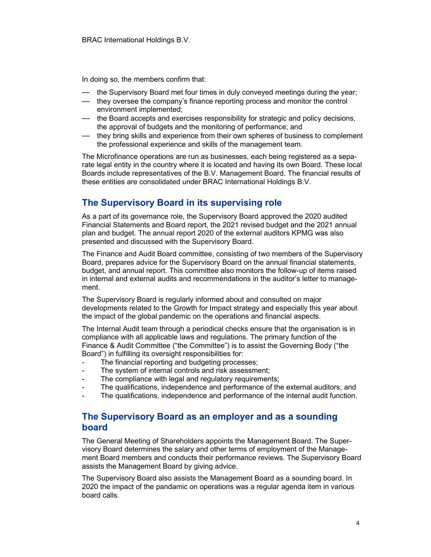In doing so, the members confirm that:

- the Supervisory Board met four times in duly conveyed meetings during the year;
- they oversee the company's finance reporting process and monitor the control environment implemented;
- the Board accepts and exercises responsibility for strategic and policy decisions, the approval of budgets and the monitoring of performance; and
- they bring skills and experience from their own spheres of business to complement the professional experience and skills of the management team.

The Microfinance operations are run as businesses, each being registered as a separate legal entity in the country where it is located and having its own Board. These local Boards include representatives of the B.V. Management Board. The financial results of these entities are consolidated under BRAC International Holdings B.V.

# The Supervisory Board in its supervising role

As a part of its governance role, the Supervisory Board approved the 2020 audited Financial Statements and Board report, the 2021 revised budget and the 2021 annual plan and budget. The annual report 2020 of the external auditors KPMG was also presented and discussed with the Supervisory Board.

The Finance and Audit Board committee, consisting of two members of the Supervisory Board, prepares advice for the Supervisory Board on the annual financial statements, budget, and annual report. This committee also monitors the follow-up of items raised in internal and external audits and recommendations in the auditor's letter to management.

The Supervisory Board is regularly informed about and consulted on major developments related to the Growth for Impact strategy and especially this year about the impact of the global pandemic on the operations and financial aspects.

The Internal Audit team through a periodical checks ensure that the organisation is in compliance with all applicable laws and regulations. The primary function of the Finance & Audit Committee ("the Committee") is to assist the Governing Body ("the Board") in fulfilling its oversight responsibilities for:

- The financial reporting and budgeting processes;
- The system of internal controls and risk assessment;
- The compliance with legal and regulatory requirements;
- The qualifications, independence and performance of the external auditors; and
- The qualifications, independence and performance of the internal audit function.

## The Supervisory Board as an employer and as a sounding board

The General Meeting of Shareholders appoints the Management Board. The Supervisory Board determines the salary and other terms of employment of the Management Board members and conducts their performance reviews. The Supervisory Board assists the Management Board by giving advice.

The Supervisory Board also assists the Management Board as a sounding board. In 2020 the impact of the pandamic on operations was a regular agenda item in various board calls.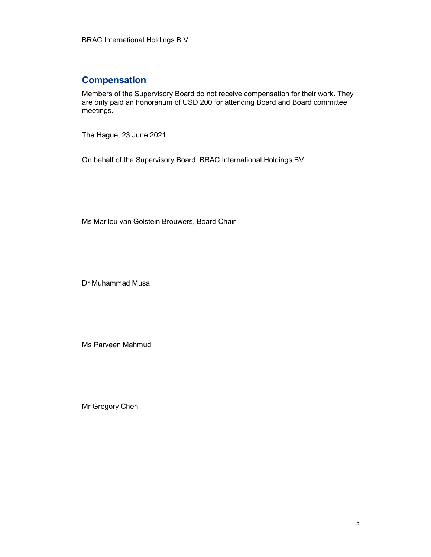BRAC International Holdings B.V.

# **Compensation**

Members of the Supervisory Board do not receive compensation for their work. They are only paid an honorarium of USD 200 for attending Board and Board committee meetings.

The Hague, 23 June 2021

On behalf of the Supervisory Board, BRAC International Holdings BV

Ms Marilou van Golstein Brouwers, Board Chair

Dr Muhammad Musa

Ms Parveen Mahmud

Mr Gregory Chen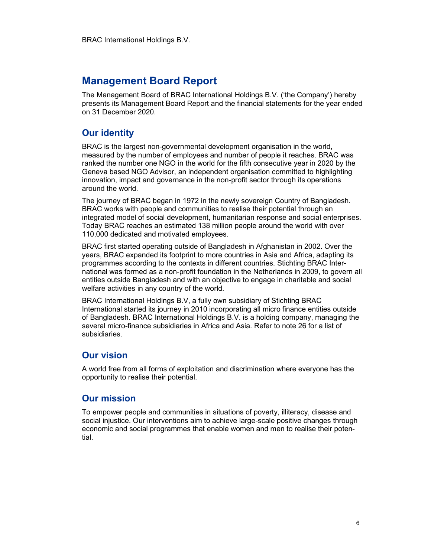# Management Board Report

The Management Board of BRAC International Holdings B.V. ('the Company') hereby presents its Management Board Report and the financial statements for the year ended on 31 December 2020.

# Our identity

BRAC is the largest non-governmental development organisation in the world, measured by the number of employees and number of people it reaches. BRAC was ranked the number one NGO in the world for the fifth consecutive year in 2020 by the Geneva based NGO Advisor, an independent organisation committed to highlighting innovation, impact and governance in the non-profit sector through its operations around the world.

The journey of BRAC began in 1972 in the newly sovereign Country of Bangladesh. BRAC works with people and communities to realise their potential through an integrated model of social development, humanitarian response and social enterprises. Today BRAC reaches an estimated 138 million people around the world with over 110,000 dedicated and motivated employees.

BRAC first started operating outside of Bangladesh in Afghanistan in 2002. Over the years, BRAC expanded its footprint to more countries in Asia and Africa, adapting its programmes according to the contexts in different countries. Stichting BRAC International was formed as a non-profit foundation in the Netherlands in 2009, to govern all entities outside Bangladesh and with an objective to engage in charitable and social welfare activities in any country of the world.

BRAC International Holdings B.V, a fully own subsidiary of Stichting BRAC International started its journey in 2010 incorporating all micro finance entities outside of Bangladesh. BRAC International Holdings B.V. is a holding company, managing the several micro-finance subsidiaries in Africa and Asia. Refer to note 26 for a list of subsidiaries.

# Our vision

A world free from all forms of exploitation and discrimination where everyone has the opportunity to realise their potential.

# Our mission

To empower people and communities in situations of poverty, illiteracy, disease and social injustice. Our interventions aim to achieve large-scale positive changes through economic and social programmes that enable women and men to realise their potential.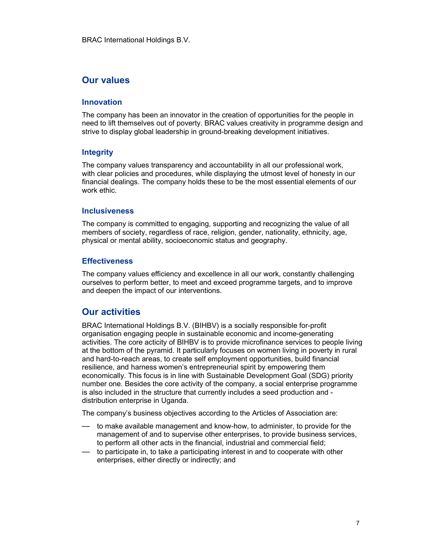## Our values

#### Innovation

The company has been an innovator in the creation of opportunities for the people in need to lift themselves out of poverty. BRAC values creativity in programme design and strive to display global leadership in ground-breaking development initiatives.

#### Integrity

The company values transparency and accountability in all our professional work, with clear policies and procedures, while displaying the utmost level of honesty in our financial dealings. The company holds these to be the most essential elements of our work ethic.

#### Inclusiveness

The company is committed to engaging, supporting and recognizing the value of all members of society, regardless of race, religion, gender, nationality, ethnicity, age, physical or mental ability, socioeconomic status and geography.

#### **Effectiveness**

The company values efficiency and excellence in all our work, constantly challenging ourselves to perform better, to meet and exceed programme targets, and to improve and deepen the impact of our interventions.

## Our activities

BRAC International Holdings B.V. (BIHBV) is a socially responsible for-profit organisation engaging people in sustainable economic and income-generating activities. The core acticity of BIHBV is to provide microfinance services to people living at the bottom of the pyramid. It particularly focuses on women living in poverty in rural and hard-to-reach areas, to create self employment opportunities, build financial resilience, and harness women's entrepreneurial spirit by empowering them economically. This focus is in line with Sustainable Development Goal (SDG) priority number one. Besides the core activity of the company, a social enterprise programme is also included in the structure that currently includes a seed production and distribution enterprise in Uganda.

The company's business objectives according to the Articles of Association are:

- to make available management and know-how, to administer, to provide for the management of and to supervise other enterprises, to provide business services, to perform all other acts in the financial, industrial and commercial field;
- to participate in, to take a participating interest in and to cooperate with other enterprises, either directly or indirectly; and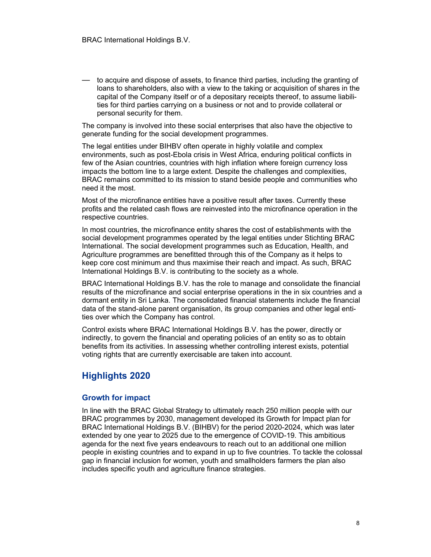— to acquire and dispose of assets, to finance third parties, including the granting of loans to shareholders, also with a view to the taking or acquisition of shares in the capital of the Company itself or of a depositary receipts thereof, to assume liabilities for third parties carrying on a business or not and to provide collateral or personal security for them.

The company is involved into these social enterprises that also have the objective to generate funding for the social development programmes.

The legal entities under BIHBV often operate in highly volatile and complex environments, such as post-Ebola crisis in West Africa, enduring political conflicts in few of the Asian countries, countries with high inflation where foreign currency loss impacts the bottom line to a large extent. Despite the challenges and complexities, BRAC remains committed to its mission to stand beside people and communities who need it the most.

Most of the microfinance entities have a positive result after taxes. Currently these profits and the related cash flows are reinvested into the microfinance operation in the respective countries.

In most countries, the microfinance entity shares the cost of establishments with the social development programmes operated by the legal entities under Stichting BRAC International. The social development programmes such as Education, Health, and Agriculture programmes are benefitted through this of the Company as it helps to keep core cost minimum and thus maximise their reach and impact. As such, BRAC International Holdings B.V. is contributing to the society as a whole.

BRAC International Holdings B.V. has the role to manage and consolidate the financial results of the microfinance and social enterprise operations in the in six countries and a dormant entity in Sri Lanka. The consolidated financial statements include the financial data of the stand-alone parent organisation, its group companies and other legal entities over which the Company has control.

Control exists where BRAC International Holdings B.V. has the power, directly or indirectly, to govern the financial and operating policies of an entity so as to obtain benefits from its activities. In assessing whether controlling interest exists, potential voting rights that are currently exercisable are taken into account.

# Highlights 2020

#### Growth for impact

In line with the BRAC Global Strategy to ultimately reach 250 million people with our BRAC programmes by 2030, management developed its Growth for Impact plan for BRAC International Holdings B.V. (BIHBV) for the period 2020-2024, which was later extended by one year to 2025 due to the emergence of COVID-19. This ambitious agenda for the next five years endeavours to reach out to an additional one million people in existing countries and to expand in up to five countries. To tackle the colossal gap in financial inclusion for women, youth and smallholders farmers the plan also includes specific youth and agriculture finance strategies.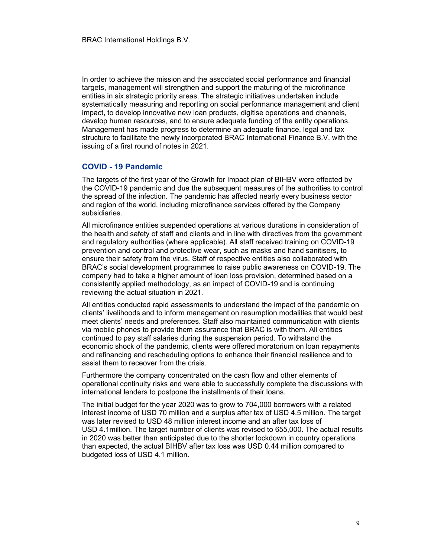In order to achieve the mission and the associated social performance and financial targets, management will strengthen and support the maturing of the microfinance entities in six strategic priority areas. The strategic initiatives undertaken include systematically measuring and reporting on social performance management and client impact, to develop innovative new loan products, digitise operations and channels, develop human resources, and to ensure adequate funding of the entity operations. Management has made progress to determine an adequate finance, legal and tax structure to facilitate the newly incorporated BRAC International Finance B.V. with the issuing of a first round of notes in 2021.

#### COVID - 19 Pandemic

The targets of the first year of the Growth for Impact plan of BIHBV were effected by the COVID-19 pandemic and due the subsequent measures of the authorities to control the spread of the infection. The pandemic has affected nearly every business sector and region of the world, including microfinance services offered by the Company subsidiaries.

All microfinance entities suspended operations at various durations in consideration of the health and safety of staff and clients and in line with directives from the government and regulatory authorities (where applicable). All staff received training on COVID-19 prevention and control and protective wear, such as masks and hand sanitisers, to ensure their safety from the virus. Staff of respective entities also collaborated with BRAC's social development programmes to raise public awareness on COVID-19. The company had to take a higher amount of loan loss provision, determined based on a consistently applied methodology, as an impact of COVID-19 and is continuing reviewing the actual situation in 2021.

All entities conducted rapid assessments to understand the impact of the pandemic on clients' livelihoods and to inform management on resumption modalities that would best meet clients' needs and preferences. Staff also maintained communication with clients via mobile phones to provide them assurance that BRAC is with them. All entities continued to pay staff salaries during the suspension period. To withstand the economic shock of the pandemic, clients were offered moratorium on loan repayments and refinancing and rescheduling options to enhance their financial resilience and to assist them to receover from the crisis.

Furthermore the company concentrated on the cash flow and other elements of operational continuity risks and were able to successfully complete the discussions with international lenders to postpone the installments of their loans.

The initial budget for the year 2020 was to grow to 704,000 borrowers with a related interest income of USD 70 million and a surplus after tax of USD 4.5 million. The target was later revised to USD 48 million interest income and an after tax loss of USD 4.1million. The target number of clients was revised to 655,000. The actual results in 2020 was better than anticipated due to the shorter lockdown in country operations than expected, the actual BIHBV after tax loss was USD 0.44 million compared to budgeted loss of USD 4.1 million.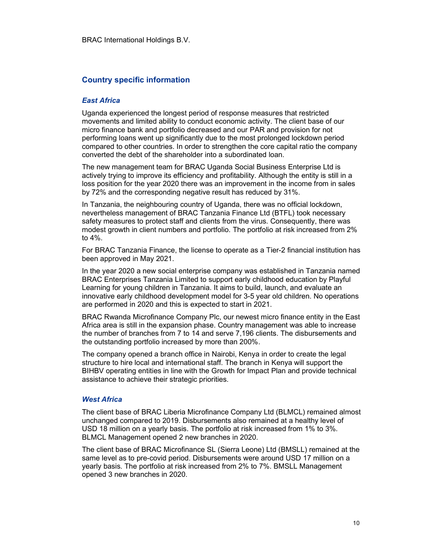#### Country specific information

#### East Africa

Uganda experienced the longest period of response measures that restricted movements and limited ability to conduct economic activity. The client base of our micro finance bank and portfolio decreased and our PAR and provision for not performing loans went up significantly due to the most prolonged lockdown period compared to other countries. In order to strengthen the core capital ratio the company converted the debt of the shareholder into a subordinated loan.

The new management team for BRAC Uganda Social Business Enterprise Ltd is actively trying to improve its efficiency and profitability. Although the entity is still in a loss position for the year 2020 there was an improvement in the income from in sales by 72% and the corresponding negative result has reduced by 31%.

In Tanzania, the neighbouring country of Uganda, there was no official lockdown, nevertheless management of BRAC Tanzania Finance Ltd (BTFL) took necessary safety measures to protect staff and clients from the virus. Consequently, there was modest growth in client numbers and portfolio. The portfolio at risk increased from 2% to 4%.

For BRAC Tanzania Finance, the license to operate as a Tier-2 financial institution has been approved in May 2021.

In the year 2020 a new social enterprise company was established in Tanzania named BRAC Enterprises Tanzania Limited to support early childhood education by Playful Learning for young children in Tanzania. It aims to build, launch, and evaluate an innovative early childhood development model for 3-5 year old children. No operations are performed in 2020 and this is expected to start in 2021.

BRAC Rwanda Microfinance Company Plc, our newest micro finance entity in the East Africa area is still in the expansion phase. Country management was able to increase the number of branches from 7 to 14 and serve 7,196 clients. The disbursements and the outstanding portfolio increased by more than 200%.

The company opened a branch office in Nairobi, Kenya in order to create the legal structure to hire local and international staff. The branch in Kenya will support the BIHBV operating entities in line with the Growth for Impact Plan and provide technical assistance to achieve their strategic priorities.

#### West Africa

The client base of BRAC Liberia Microfinance Company Ltd (BLMCL) remained almost unchanged compared to 2019. Disbursements also remained at a healthy level of USD 18 million on a yearly basis. The portfolio at risk increased from 1% to 3%. BLMCL Management opened 2 new branches in 2020.

The client base of BRAC Microfinance SL (Sierra Leone) Ltd (BMSLL) remained at the same level as to pre-covid period. Disbursements were around USD 17 million on a yearly basis. The portfolio at risk increased from 2% to 7%. BMSLL Management opened 3 new branches in 2020.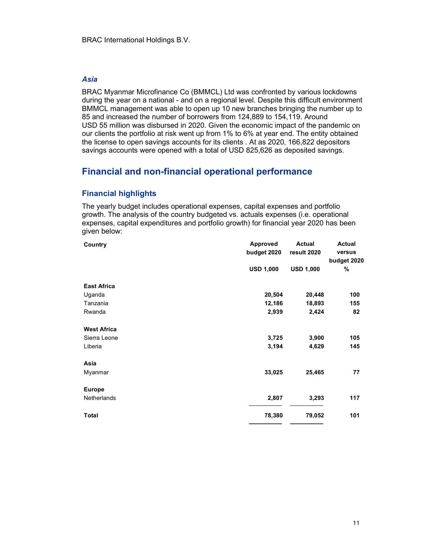#### Asia

BRAC Myanmar Microfinance Co (BMMCL) Ltd was confronted by various lockdowns during the year on a national - and on a regional level. Despite this difficult environment BMMCL management was able to open up 10 new branches bringing the number up to 85 and increased the number of borrowers from 124,889 to 154,119. Around USD 55 million was disbursed in 2020. Given the economic impact of the pandemic on our clients the portfolio at risk went up from 1% to 6% at year end. The entity obtained the license to open savings accounts for its clients . At as 2020, 166,822 depositors savings accounts were opened with a total of USD 825,626 as deposited savings.

# Financial and non-financial operational performance

#### Financial highlights

The yearly budget includes operational expenses, capital expenses and portfolio growth. The analysis of the country budgeted vs. actuals expenses (i.e. operational expenses, capital expenditures and portfolio growth) for financial year 2020 has been given below:

| Country            | <b>Approved</b>  | <b>Actual</b>    | Actual      |
|--------------------|------------------|------------------|-------------|
|                    | budget 2020      | result 2020      | versus      |
|                    |                  |                  | budget 2020 |
|                    | <b>USD 1,000</b> | <b>USD 1,000</b> | %           |
| <b>East Africa</b> |                  |                  |             |
| Uganda             | 20,504           | 20,448           | 100         |
| Tanzania           | 12,186           | 18,893           | 155         |
| Rwanda             | 2,939            | 2,424            | 82          |
| <b>West Africa</b> |                  |                  |             |
| Sierra Leone       | 3,725            | 3,900            | 105         |
| Liberia            | 3,194            | 4,629            | 145         |
| Asia               |                  |                  |             |
| Myanmar            | 33,025           | 25,465           | 77          |
| <b>Europe</b>      |                  |                  |             |
| <b>Netherlands</b> | 2,807            | 3,293            | 117         |
| <b>Total</b>       | 78,380           | 79,052           | 101         |
|                    |                  |                  |             |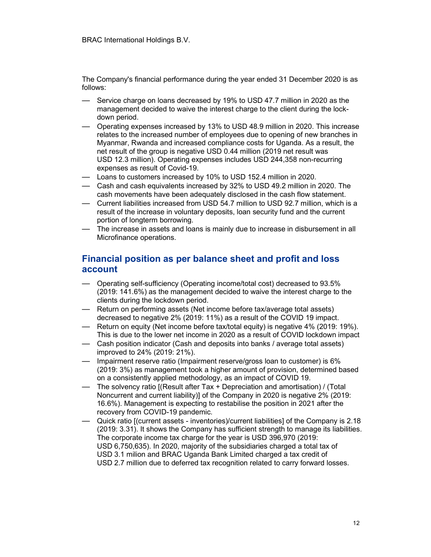The Company's financial performance during the year ended 31 December 2020 is as follows:

- Service charge on loans decreased by 19% to USD 47.7 million in 2020 as the management decided to waive the interest charge to the client during the lockdown period.
- Operating expenses increased by 13% to USD 48.9 million in 2020. This increase relates to the increased number of employees due to opening of new branches in Myanmar, Rwanda and increased compliance costs for Uganda. As a result, the net result of the group is negative USD 0.44 million (2019 net result was USD 12.3 million). Operating expenses includes USD 244,358 non-recurring expenses as result of Covid-19.
- Loans to customers increased by 10% to USD 152.4 million in 2020.
- Cash and cash equivalents increased by 32% to USD 49.2 million in 2020. The cash movements have been adequately disclosed in the cash flow statement.
- Current liabilities increased from USD 54.7 million to USD 92.7 million, which is a result of the increase in voluntary deposits, loan security fund and the current portion of longterm borrowing.
- The increase in assets and loans is mainly due to increase in disbursement in all Microfinance operations.

# Financial position as per balance sheet and profit and loss account

- Operating self-sufficiency (Operating income/total cost) decreased to 93.5% (2019: 141.6%) as the management decided to waive the interest charge to the clients during the lockdown period.
- Return on performing assets (Net income before tax/average total assets) decreased to negative 2% (2019: 11%) as a result of the COVID 19 impact.
- Return on equity (Net income before tax/total equity) is negative 4% (2019: 19%). This is due to the lower net income in 2020 as a result of COVID lockdown impact
- Cash position indicator (Cash and deposits into banks / average total assets) improved to 24% (2019: 21%).
- Impairment reserve ratio (Impairment reserve/gross loan to customer) is 6% (2019: 3%) as management took a higher amount of provision, determined based on a consistently applied methodology, as an impact of COVID 19.
- The solvency ratio [(Result after Tax + Depreciation and amortisation) / (Total Noncurrent and current liability)] of the Company in 2020 is negative 2% (2019: 16.6%). Management is expecting to restabilise the position in 2021 after the recovery from COVID-19 pandemic.
- Quick ratio [(current assets inventories)/current liabilities] of the Company is 2.18 (2019: 3.31). It shows the Company has sufficient strength to manage its liabilities. The corporate income tax charge for the year is USD 396,970 (2019: USD 6,750,635). In 2020, majority of the subsidiaries charged a total tax of USD 3.1 milion and BRAC Uganda Bank Limited charged a tax credit of USD 2.7 million due to deferred tax recognition related to carry forward losses.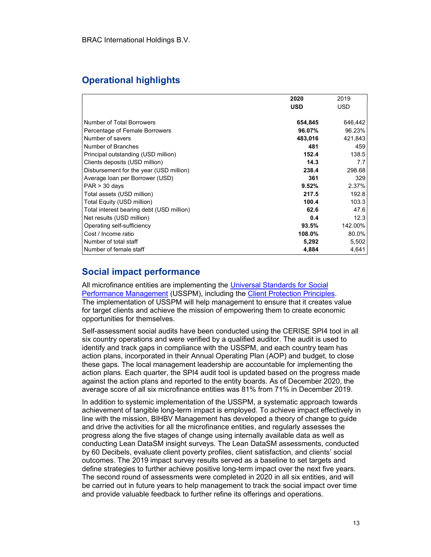# Operational highlights

|                                           | 2020       | 2019       |
|-------------------------------------------|------------|------------|
|                                           | <b>USD</b> | <b>USD</b> |
|                                           |            |            |
| Number of Total Borrowers                 | 654,845    | 646,442    |
| Percentage of Female Borrowers            | 96.07%     | 96.23%     |
| Number of savers                          | 483,016    | 421,843    |
| Number of Branches                        | 481        | 459        |
| Principal outstanding (USD million)       | 152.4      | 138.5      |
| Clients deposits (USD million)            | 14.3       | 7.7        |
| Disbursement for the year (USD million)   | 238.4      | 298.68     |
| Average Ioan per Borrower (USD)           | 361        | 329        |
| $PAR > 30$ days                           | 9.52%      | 2.37%      |
| Total assets (USD million)                | 217.5      | 192.8      |
| Total Equity (USD million)                | 100.4      | 103.3      |
| Total interest bearing debt (USD million) | 62.6       | 47.6       |
| Net results (USD million)                 | 0.4        | 12.3       |
| Operating self-sufficiency                | 93.5%      | 142.00%    |
| Cost / Income ratio                       | 108.0%     | 80.0%      |
| Number of total staff                     | 5,292      | 5,502      |
| Number of female staff                    | 4,884      | 4,641      |

# Social impact performance

All microfinance entities are implementing the Universal Standards for Social Performance Management (USSPM), including the Client Protection Principles. The implementation of USSPM will help management to ensure that it creates value for target clients and achieve the mission of empowering them to create economic opportunities for themselves.

Self-assessment social audits have been conducted using the CERISE SPI4 tool in all six country operations and were verified by a qualified auditor. The audit is used to identify and track gaps in compliance with the USSPM, and each country team has action plans, incorporated in their Annual Operating Plan (AOP) and budget, to close these gaps. The local management leadership are accountable for implementing the action plans. Each quarter, the SPI4 audit tool is updated based on the progress made against the action plans and reported to the entity boards. As of December 2020, the average score of all six microfinance entities was 81% from 71% in December 2019.

In addition to systemic implementation of the USSPM, a systematic approach towards achievement of tangible long-term impact is employed. To achieve impact effectively in line with the mission, BIHBV Management has developed a theory of change to guide and drive the activities for all the microfinance entities, and regularly assesses the progress along the five stages of change using internally available data as well as conducting Lean DataSM insight surveys. The Lean DataSM assessments, conducted by 60 Decibels, evaluate client poverty profiles, client satisfaction, and clients' social outcomes. The 2019 impact survey results served as a baseline to set targets and define strategies to further achieve positive long-term impact over the next five years. The second round of assessments were completed in 2020 in all six entities, and will be carried out in future years to help management to track the social impact over time and provide valuable feedback to further refine its offerings and operations.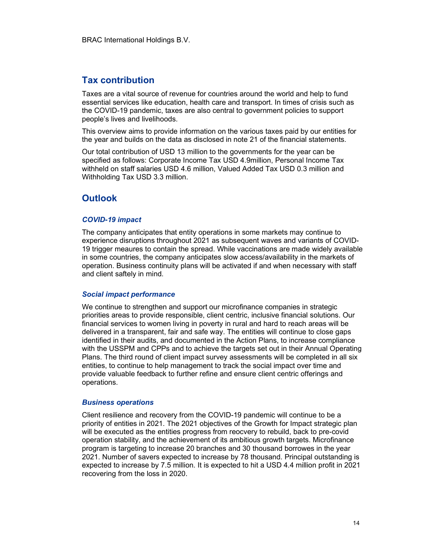## Tax contribution

Taxes are a vital source of revenue for countries around the world and help to fund essential services like education, health care and transport. In times of crisis such as the COVID-19 pandemic, taxes are also central to government policies to support people's lives and livelihoods.

This overview aims to provide information on the various taxes paid by our entities for the year and builds on the data as disclosed in note 21 of the financial statements.

Our total contribution of USD 13 million to the governments for the year can be specified as follows: Corporate Income Tax USD 4.9million, Personal Income Tax withheld on staff salaries USD 4.6 million, Valued Added Tax USD 0.3 million and Withholding Tax USD 3.3 million.

# **Outlook**

#### COVID-19 impact

The company anticipates that entity operations in some markets may continue to experience disruptions throughout 2021 as subsequent waves and variants of COVID-19 trigger meaures to contain the spread. While vaccinations are made widely available in some countries, the company anticipates slow access/availability in the markets of operation. Business continuity plans will be activated if and when necessary with staff and client saftely in mind.

#### Social impact performance

We continue to strengthen and support our microfinance companies in strategic priorities areas to provide responsible, client centric, inclusive financial solutions. Our financial services to women living in poverty in rural and hard to reach areas will be delivered in a transparent, fair and safe way. The entities will continue to close gaps identified in their audits, and documented in the Action Plans, to increase compliance with the USSPM and CPPs and to achieve the targets set out in their Annual Operating Plans. The third round of client impact survey assessments will be completed in all six entities, to continue to help management to track the social impact over time and provide valuable feedback to further refine and ensure client centric offerings and operations.

#### Business operations

Client resilience and recovery from the COVID-19 pandemic will continue to be a priority of entities in 2021. The 2021 objectives of the Growth for Impact strategic plan will be executed as the entities progress from reocvery to rebuild, back to pre-covid operation stability, and the achievement of its ambitious growth targets. Microfinance program is targeting to increase 20 branches and 30 thousand borrowes in the year 2021. Number of savers expected to increase by 78 thousand. Principal outstanding is expected to increase by 7.5 million. It is expected to hit a USD 4.4 million profit in 2021 recovering from the loss in 2020.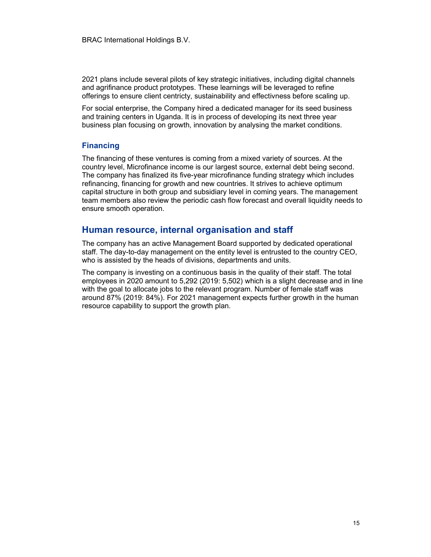2021 plans include several pilots of key strategic initiatives, including digital channels and agrifinance product prototypes. These learnings will be leveraged to refine offerings to ensure client centricty, sustainability and effectivness before scaling up.

For social enterprise, the Company hired a dedicated manager for its seed business and training centers in Uganda. It is in process of developing its next three year business plan focusing on growth, innovation by analysing the market conditions.

#### Financing

The financing of these ventures is coming from a mixed variety of sources. At the country level, Microfinance income is our largest source, external debt being second. The company has finalized its five-year microfinance funding strategy which includes refinancing, financing for growth and new countries. It strives to achieve optimum capital structure in both group and subsidiary level in coming years. The management team members also review the periodic cash flow forecast and overall liquidity needs to ensure smooth operation.

## Human resource, internal organisation and staff

The company has an active Management Board supported by dedicated operational staff. The day-to-day management on the entity level is entrusted to the country CEO, who is assisted by the heads of divisions, departments and units.

The company is investing on a continuous basis in the quality of their staff. The total employees in 2020 amount to 5,292 (2019: 5,502) which is a slight decrease and in line with the goal to allocate jobs to the relevant program. Number of female staff was around 87% (2019: 84%). For 2021 management expects further growth in the human resource capability to support the growth plan.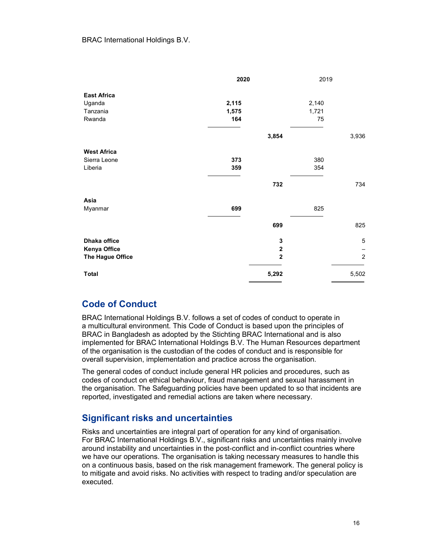|                    | 2020  |                | 2019  |                |
|--------------------|-------|----------------|-------|----------------|
| <b>East Africa</b> |       |                |       |                |
| Uganda             | 2,115 |                | 2,140 |                |
| Tanzania           | 1,575 |                | 1,721 |                |
| Rwanda             | 164   |                | 75    |                |
|                    |       | 3,854          |       | 3,936          |
| <b>West Africa</b> |       |                |       |                |
| Sierra Leone       | 373   |                | 380   |                |
| Liberia            | 359   |                | 354   |                |
|                    |       | 732            |       | 734            |
| Asia               |       |                |       |                |
| Myanmar            | 699   |                | 825   |                |
|                    |       | 699            |       | 825            |
| Dhaka office       |       | 3              |       | 5              |
| Kenya Office       |       | $\mathbf 2$    |       |                |
| The Hague Office   |       | $\overline{2}$ |       | $\overline{2}$ |
| <b>Total</b>       |       | 5,292          |       | 5,502          |

## Code of Conduct

BRAC International Holdings B.V. follows a set of codes of conduct to operate in a multicultural environment. This Code of Conduct is based upon the principles of BRAC in Bangladesh as adopted by the Stichting BRAC International and is also implemented for BRAC International Holdings B.V. The Human Resources department of the organisation is the custodian of the codes of conduct and is responsible for overall supervision, implementation and practice across the organisation.

The general codes of conduct include general HR policies and procedures, such as codes of conduct on ethical behaviour, fraud management and sexual harassment in the organisation. The Safeguarding policies have been updated to so that incidents are reported, investigated and remedial actions are taken where necessary.

## Significant risks and uncertainties

Risks and uncertainties are integral part of operation for any kind of organisation. For BRAC International Holdings B.V., significant risks and uncertainties mainly involve around instability and uncertainties in the post-conflict and in-conflict countries where we have our operations. The organisation is taking necessary measures to handle this on a continuous basis, based on the risk management framework. The general policy is to mitigate and avoid risks. No activities with respect to trading and/or speculation are executed.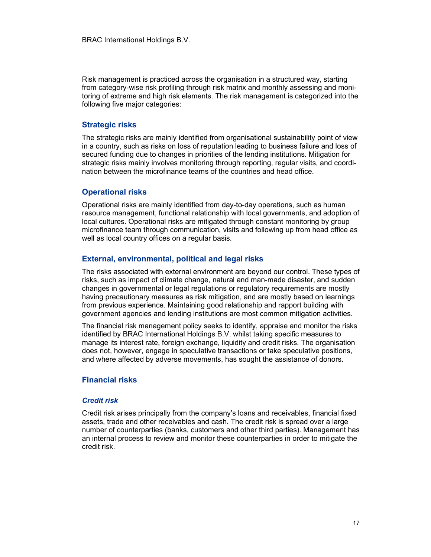Risk management is practiced across the organisation in a structured way, starting from category-wise risk profiling through risk matrix and monthly assessing and monitoring of extreme and high risk elements. The risk management is categorized into the following five major categories:

#### Strategic risks

The strategic risks are mainly identified from organisational sustainability point of view in a country, such as risks on loss of reputation leading to business failure and loss of secured funding due to changes in priorities of the lending institutions. Mitigation for strategic risks mainly involves monitoring through reporting, regular visits, and coordination between the microfinance teams of the countries and head office.

#### Operational risks

Operational risks are mainly identified from day-to-day operations, such as human resource management, functional relationship with local governments, and adoption of local cultures. Operational risks are mitigated through constant monitoring by group microfinance team through communication, visits and following up from head office as well as local country offices on a regular basis.

#### External, environmental, political and legal risks

The risks associated with external environment are beyond our control. These types of risks, such as impact of climate change, natural and man-made disaster, and sudden changes in governmental or legal regulations or regulatory requirements are mostly having precautionary measures as risk mitigation, and are mostly based on learnings from previous experience. Maintaining good relationship and rapport building with government agencies and lending institutions are most common mitigation activities.

The financial risk management policy seeks to identify, appraise and monitor the risks identified by BRAC International Holdings B.V. whilst taking specific measures to manage its interest rate, foreign exchange, liquidity and credit risks. The organisation does not, however, engage in speculative transactions or take speculative positions, and where affected by adverse movements, has sought the assistance of donors.

#### Financial risks

#### Credit risk

Credit risk arises principally from the company's loans and receivables, financial fixed assets, trade and other receivables and cash. The credit risk is spread over a large number of counterparties (banks, customers and other third parties). Management has an internal process to review and monitor these counterparties in order to mitigate the credit risk.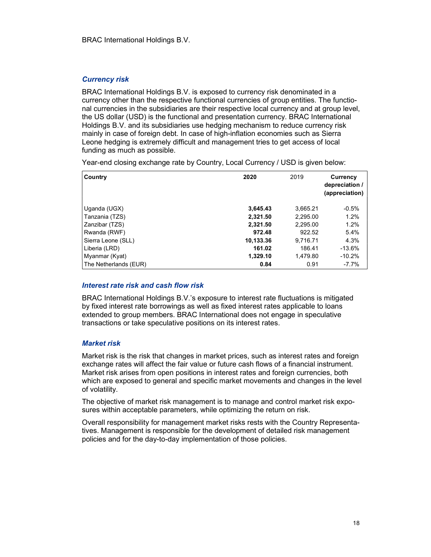#### Currency risk

BRAC International Holdings B.V. is exposed to currency risk denominated in a currency other than the respective functional currencies of group entities. The functional currencies in the subsidiaries are their respective local currency and at group level, the US dollar (USD) is the functional and presentation currency. BRAC International Holdings B.V. and its subsidiaries use hedging mechanism to reduce currency risk mainly in case of foreign debt. In case of high-inflation economies such as Sierra Leone hedging is extremely difficult and management tries to get access of local funding as much as possible.

Year-end closing exchange rate by Country, Local Currency / USD is given below:

| Country               | 2020      | 2019     | <b>Currency</b><br>depreciation /<br>(appreciation) |
|-----------------------|-----------|----------|-----------------------------------------------------|
| Uganda (UGX)          | 3,645.43  | 3,665.21 | $-0.5%$                                             |
| Tanzania (TZS)        | 2,321.50  | 2,295.00 | 1.2%                                                |
| Zanzibar (TZS)        | 2,321.50  | 2,295.00 | 1.2%                                                |
| Rwanda (RWF)          | 972.48    | 922.52   | 5.4%                                                |
| Sierra Leone (SLL)    | 10,133.36 | 9.716.71 | 4.3%                                                |
| Liberia (LRD)         | 161.02    | 186.41   | $-13.6%$                                            |
| Myanmar (Kyat)        | 1,329.10  | 1,479.80 | $-10.2%$                                            |
| The Netherlands (EUR) | 0.84      | 0.91     | $-7.7\%$                                            |

#### Interest rate risk and cash flow risk

BRAC International Holdings B.V.'s exposure to interest rate fluctuations is mitigated by fixed interest rate borrowings as well as fixed interest rates applicable to loans extended to group members. BRAC International does not engage in speculative transactions or take speculative positions on its interest rates.

#### Market risk

Market risk is the risk that changes in market prices, such as interest rates and foreign exchange rates will affect the fair value or future cash flows of a financial instrument. Market risk arises from open positions in interest rates and foreign currencies, both which are exposed to general and specific market movements and changes in the level of volatility.

The objective of market risk management is to manage and control market risk exposures within acceptable parameters, while optimizing the return on risk.

Overall responsibility for management market risks rests with the Country Representatives. Management is responsible for the development of detailed risk management policies and for the day-to-day implementation of those policies.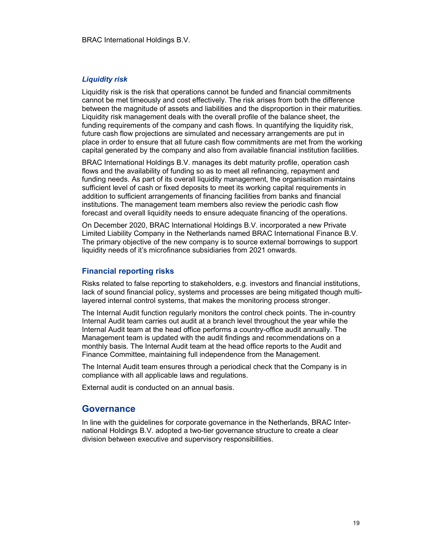#### Liquidity risk

Liquidity risk is the risk that operations cannot be funded and financial commitments cannot be met timeously and cost effectively. The risk arises from both the difference between the magnitude of assets and liabilities and the disproportion in their maturities. Liquidity risk management deals with the overall profile of the balance sheet, the funding requirements of the company and cash flows. In quantifying the liquidity risk, future cash flow projections are simulated and necessary arrangements are put in place in order to ensure that all future cash flow commitments are met from the working capital generated by the company and also from available financial institution facilities.

BRAC International Holdings B.V. manages its debt maturity profile, operation cash flows and the availability of funding so as to meet all refinancing, repayment and funding needs. As part of its overall liquidity management, the organisation maintains sufficient level of cash or fixed deposits to meet its working capital requirements in addition to sufficient arrangements of financing facilities from banks and financial institutions. The management team members also review the periodic cash flow forecast and overall liquidity needs to ensure adequate financing of the operations.

On December 2020, BRAC International Holdings B.V. incorporated a new Private Limited Liability Company in the Netherlands named BRAC International Finance B.V. The primary objective of the new company is to source external borrowings to support liquidity needs of it's microfinance subsidiaries from 2021 onwards.

#### Financial reporting risks

Risks related to false reporting to stakeholders, e.g. investors and financial institutions, lack of sound financial policy, systems and processes are being mitigated though multilayered internal control systems, that makes the monitoring process stronger.

The Internal Audit function regularly monitors the control check points. The in-country Internal Audit team carries out audit at a branch level throughout the year while the Internal Audit team at the head office performs a country-office audit annually. The Management team is updated with the audit findings and recommendations on a monthly basis. The Internal Audit team at the head office reports to the Audit and Finance Committee, maintaining full independence from the Management.

The Internal Audit team ensures through a periodical check that the Company is in compliance with all applicable laws and regulations.

External audit is conducted on an annual basis.

#### Governance

In line with the guidelines for corporate governance in the Netherlands, BRAC International Holdings B.V. adopted a two-tier governance structure to create a clear division between executive and supervisory responsibilities.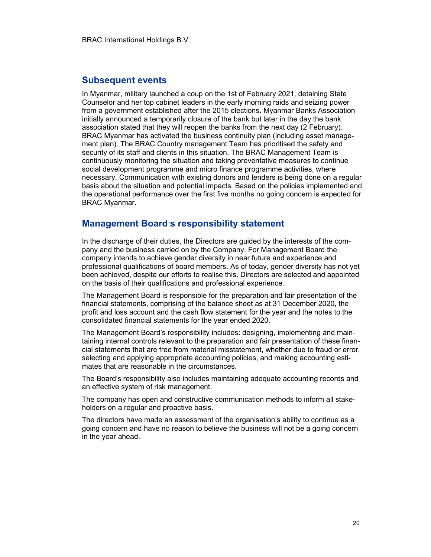#### Subsequent events

In Myanmar, military launched a coup on the 1st of February 2021, detaining State Counselor and her top cabinet leaders in the early morning raids and seizing power from a government established after the 2015 elections. Myanmar Banks Association initially announced a temporarily closure of the bank but later in the day the bank association stated that they will reopen the banks from the next day (2 February). BRAC Myanmar has activated the business continuity plan (including asset management plan). The BRAC Country management Team has prioritised the safety and security of its staff and clients in this situation. The BRAC Management Team is continuously monitoring the situation and taking preventative measures to continue social development programme and micro finance programme activities, where necessary. Communication with existing donors and lenders is being done on a regular basis about the situation and potential impacts. Based on the policies implemented and the operational performance over the first five months no going concern is expected for BRAC Myanmar.

## Management Board's responsibility statement

In the discharge of their duties, the Directors are guided by the interests of the company and the business carried on by the Company. For Management Board the company intends to achieve gender diversity in near future and experience and professional qualifications of board members. As of today, gender diversity has not yet been achieved, despite our efforts to realise this. Directors are selected and appointed on the basis of their qualifications and professional experience.

The Management Board is responsible for the preparation and fair presentation of the financial statements, comprising of the balance sheet as at 31 December 2020, the profit and loss account and the cash flow statement for the year and the notes to the consolidated financial statements for the year ended 2020.

The Management Board's responsibility includes: designing, implementing and maintaining internal controls relevant to the preparation and fair presentation of these financial statements that are free from material misstatement, whether due to fraud or error, selecting and applying appropriate accounting policies, and making accounting estimates that are reasonable in the circumstances.

The Board's responsibility also includes maintaining adequate accounting records and an effective system of risk management.

The company has open and constructive communication methods to inform all stakeholders on a regular and proactive basis.

The directors have made an assessment of the organisation's ability to continue as a going concern and have no reason to believe the business will not be a going concern in the year ahead.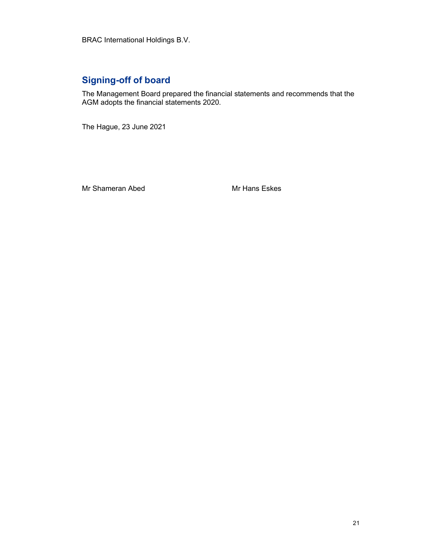# Signing-off of board

The Management Board prepared the financial statements and recommends that the AGM adopts the financial statements 2020.

The Hague, 23 June 2021

Mr Shameran Abed Mr Hans Eskes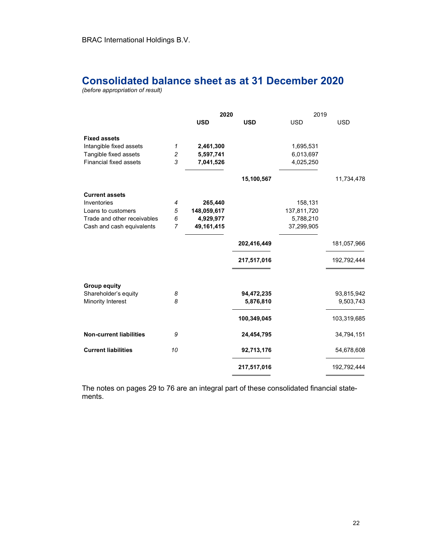# Consolidated balance sheet as at 31 December 2020

(before appropriation of result)

|                                |                | 2020        |             | 2019        |             |
|--------------------------------|----------------|-------------|-------------|-------------|-------------|
|                                |                | <b>USD</b>  | <b>USD</b>  | <b>USD</b>  | <b>USD</b>  |
| <b>Fixed assets</b>            |                |             |             |             |             |
| Intangible fixed assets        | 1              | 2,461,300   |             | 1,695,531   |             |
| Tangible fixed assets          | 2              | 5,597,741   |             | 6,013,697   |             |
| <b>Financial fixed assets</b>  | 3              | 7,041,526   |             | 4,025,250   |             |
|                                |                |             | 15,100,567  |             | 11,734,478  |
| <b>Current assets</b>          |                |             |             |             |             |
| Inventories                    | 4              | 265,440     |             | 158,131     |             |
| Loans to customers             | 5              | 148,059,617 |             | 137,811,720 |             |
| Trade and other receivables    | 6              | 4,929,977   |             | 5,788,210   |             |
| Cash and cash equivalents      | $\overline{7}$ | 49,161,415  |             | 37,299,905  |             |
|                                |                |             | 202,416,449 |             | 181,057,966 |
|                                |                |             | 217,517,016 |             | 192,792,444 |
| <b>Group equity</b>            |                |             |             |             |             |
| Shareholder's equity           | 8              |             | 94,472,235  |             | 93,815,942  |
| Minority Interest              | 8              |             | 5,876,810   |             | 9,503,743   |
|                                |                |             | 100,349,045 |             | 103,319,685 |
| <b>Non-current liabilities</b> | 9              |             | 24,454,795  |             | 34,794,151  |
| <b>Current liabilities</b>     | 10             |             | 92,713,176  |             | 54,678,608  |
|                                |                |             | 217,517,016 |             | 192,792,444 |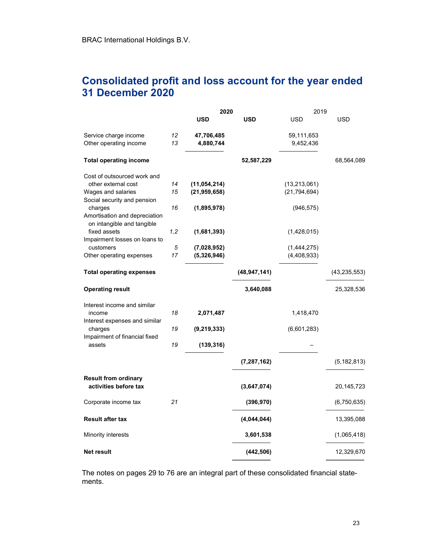# Consolidated profit and loss account for the year ended 31 December 2020

|                                                                        |     | 2020           |                | 2019           |                |  |
|------------------------------------------------------------------------|-----|----------------|----------------|----------------|----------------|--|
|                                                                        |     | <b>USD</b>     | <b>USD</b>     | <b>USD</b>     | <b>USD</b>     |  |
| Service charge income                                                  | 12  | 47,706,485     |                | 59,111,653     |                |  |
| Other operating income                                                 | 13  | 4,880,744      |                | 9,452,436      |                |  |
| <b>Total operating income</b>                                          |     |                | 52,587,229     |                | 68,564,089     |  |
| Cost of outsourced work and                                            |     |                |                |                |                |  |
| other external cost                                                    | 14  | (11, 054, 214) |                | (13, 213, 061) |                |  |
| Wages and salaries<br>Social security and pension                      | 15  | (21, 959, 658) |                | (21, 794, 694) |                |  |
| charges<br>Amortisation and depreciation<br>on intangible and tangible | 16  | (1,895,978)    |                | (946, 575)     |                |  |
| fixed assets<br>Impairment losses on loans to                          | 1,2 | (1,681,393)    |                | (1,428,015)    |                |  |
| customers                                                              | 5   | (7,028,952)    |                | (1,444,275)    |                |  |
| Other operating expenses                                               | 17  | (5,326,946)    |                | (4, 408, 933)  |                |  |
| <b>Total operating expenses</b>                                        |     |                | (48, 947, 141) |                | (43, 235, 553) |  |
| <b>Operating result</b>                                                |     |                | 3,640,088      |                | 25,328,536     |  |
| Interest income and similar                                            |     |                |                |                |                |  |
| income<br>Interest expenses and similar                                | 18  | 2,071,487      |                | 1,418,470      |                |  |
| charges<br>Impairment of financial fixed                               | 19  | (9, 219, 333)  |                | (6,601,283)    |                |  |
| assets                                                                 | 19  | (139, 316)     |                |                |                |  |
|                                                                        |     |                | (7, 287, 162)  |                | (5, 182, 813)  |  |
| <b>Result from ordinary</b>                                            |     |                |                |                |                |  |
| activities before tax                                                  |     |                | (3,647,074)    |                | 20,145,723     |  |
| Corporate income tax                                                   | 21  |                | (396, 970)     |                | (6,750,635)    |  |
| <b>Result after tax</b>                                                |     |                | (4,044,044)    |                | 13,395,088     |  |
| Minority interests                                                     |     |                | 3,601,538      |                | (1,065,418)    |  |
| Net result                                                             |     |                | (442, 506)     |                | 12,329,670     |  |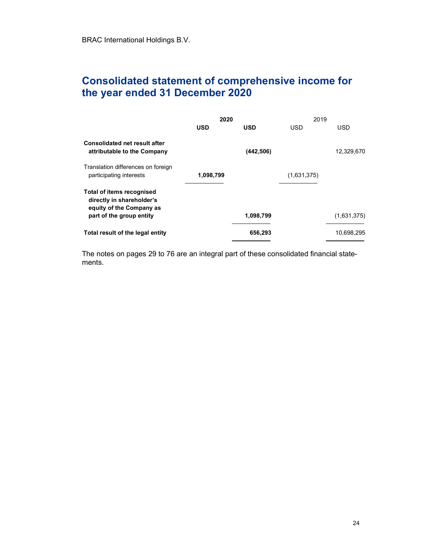# Consolidated statement of comprehensive income for the year ended 31 December 2020

|                                                                                                                       | 2020       |            | 2019        |             |
|-----------------------------------------------------------------------------------------------------------------------|------------|------------|-------------|-------------|
|                                                                                                                       | <b>USD</b> | USD        | <b>USD</b>  | <b>USD</b>  |
| <b>Consolidated net result after</b><br>attributable to the Company                                                   |            | (442, 506) |             | 12,329,670  |
| Translation differences on foreign<br>participating interests                                                         | 1,098,799  |            | (1,631,375) |             |
| <b>Total of items recognised</b><br>directly in shareholder's<br>equity of the Company as<br>part of the group entity |            | 1,098,799  |             | (1,631,375) |
| Total result of the legal entity                                                                                      |            | 656,293    |             | 10,698,295  |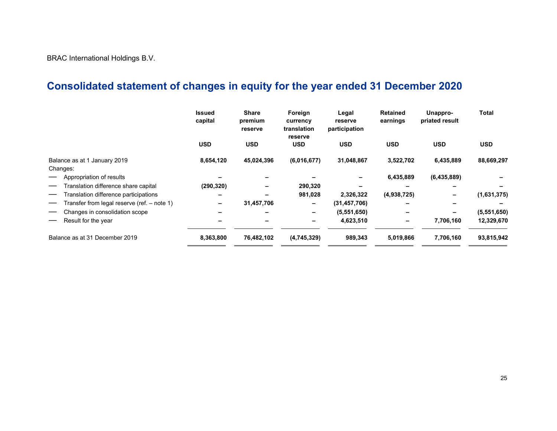BRAC International Holdings B.V.

# Consolidated statement of changes in equity for the year ended 31 December 2020

|                                             | <b>Issued</b><br>capital | <b>Share</b><br>premium<br>reserve | Foreign<br>currency<br>translation<br>reserve | Legal<br>reserve<br>participation | <b>Retained</b><br>earnings | Unappro-<br>priated result | <b>Total</b> |
|---------------------------------------------|--------------------------|------------------------------------|-----------------------------------------------|-----------------------------------|-----------------------------|----------------------------|--------------|
|                                             | <b>USD</b>               | <b>USD</b>                         | <b>USD</b>                                    | <b>USD</b>                        | <b>USD</b>                  | <b>USD</b>                 | <b>USD</b>   |
| Balance as at 1 January 2019<br>Changes:    | 8,654,120                | 45,024,396                         | (6,016,677)                                   | 31,048,867                        | 3,522,702                   | 6,435,889                  | 88,669,297   |
| Appropriation of results                    |                          |                                    |                                               |                                   | 6,435,889                   | (6,435,889)                |              |
| Translation difference share capital        | (290, 320)               | -                                  | 290,320                                       |                                   | -                           | $\overline{\phantom{0}}$   |              |
| Translation difference participations       |                          |                                    | 981,028                                       | 2,326,322                         | (4,938,725)                 |                            | (1,631,375)  |
| Transfer from legal reserve (ref. – note 1) | -                        | 31,457,706                         |                                               | (31, 457, 706)                    |                             |                            |              |
| Changes in consolidation scope              |                          |                                    | -                                             | (5,551,650)                       | $\overline{\phantom{0}}$    |                            | (5,551,650)  |
| Result for the year                         |                          |                                    |                                               | 4,623,510                         | -                           | 7,706,160                  | 12,329,670   |
| Balance as at 31 December 2019              | 8,363,800                | 76,482,102                         | (4,745,329)                                   | 989,343                           | 5,019,866                   | 7,706,160                  | 93,815,942   |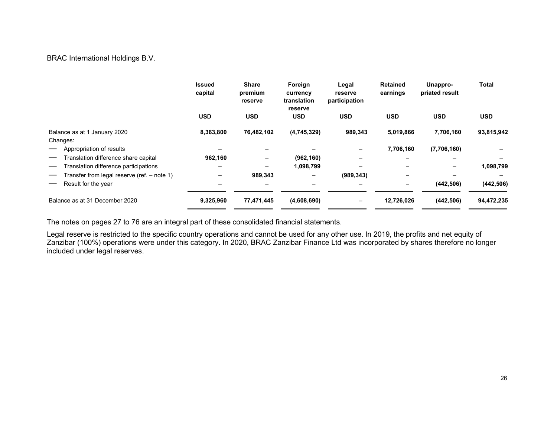BRAC International Holdings B.V.

|                                               | <b>Issued</b><br>capital | <b>Share</b><br>premium<br>reserve | Foreign<br>currency<br>translation<br>reserve | Legal<br>reserve<br>participation       | <b>Retained</b><br>earnings | Unappro-<br>priated result | <b>Total</b> |
|-----------------------------------------------|--------------------------|------------------------------------|-----------------------------------------------|-----------------------------------------|-----------------------------|----------------------------|--------------|
|                                               | <b>USD</b>               | <b>USD</b>                         | <b>USD</b>                                    | <b>USD</b>                              | <b>USD</b>                  | <b>USD</b>                 | <b>USD</b>   |
| Balance as at 1 January 2020<br>Changes:      | 8,363,800                | 76,482,102                         | (4,745,329)                                   | 989,343                                 | 5,019,866                   | 7,706,160                  | 93,815,942   |
| Appropriation of results                      |                          |                                    |                                               |                                         | 7,706,160                   | (7,706,160)                |              |
| Translation difference share capital          | 962,160                  | $\qquad \qquad -$                  | (962, 160)                                    | $\overline{\phantom{0}}$                | $\overline{\phantom{0}}$    | -                          |              |
| Translation difference participations         |                          | -                                  | 1,098,799                                     |                                         |                             | —                          | 1,098,799    |
| Transfer from legal reserve (ref. $-$ note 1) | -                        | 989,343                            | -                                             | (989, 343)                              | $\qquad \qquad -$           |                            |              |
| Result for the year                           |                          | -                                  |                                               |                                         | $\overline{\phantom{0}}$    | (442, 506)                 | (442, 506)   |
| Balance as at 31 December 2020                | 9,325,960                | 77,471,445                         | (4,608,690)                                   | $\qquad \qquad \  \  \, -\qquad \qquad$ | 12,726,026                  | (442, 506)                 | 94,472,235   |

The notes on pages 27 to 76 are an integral part of these consolidated financial statements.

Legal reserve is restricted to the specific country operations and cannot be used for any other use. In 2019, the profits and net equity of Zanzibar (100%) operations were under this category. In 2020, BRAC Zanzibar Finance Ltd was incorporated by shares therefore no longer included under legal reserves.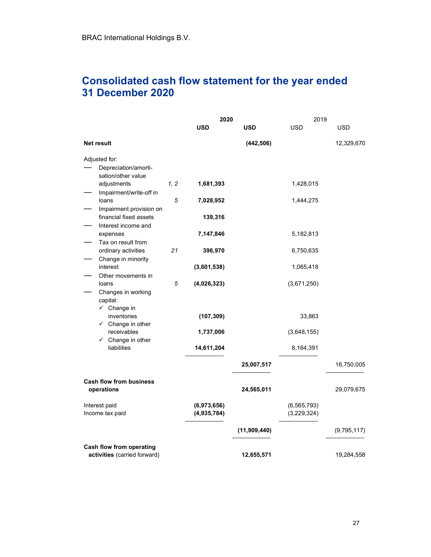# Consolidated cash flow statement for the year ended 31 December 2020

|                                               |      | 2020                       |              | 2019                         |             |
|-----------------------------------------------|------|----------------------------|--------------|------------------------------|-------------|
|                                               |      | <b>USD</b>                 | <b>USD</b>   | <b>USD</b>                   | <b>USD</b>  |
| Net result                                    |      |                            | (442, 506)   |                              | 12,329,670  |
| Adjusted for:                                 |      |                            |              |                              |             |
| Depreciation/amorti-<br>sation/other value    |      |                            |              |                              |             |
| adjustments<br>Impairment/write-off in        | 1, 2 | 1,681,393                  |              | 1,428,015                    |             |
| loans<br>Impairment provision on              | 5    | 7,028,952                  |              | 1,444,275                    |             |
| financial fixed assets<br>Interest income and |      | 139,316                    |              |                              |             |
| expenses<br>Tax on result from                |      | 7,147,846                  |              | 5,182,813                    |             |
| ordinary activities<br>Change in minority     | 21   | 396,970                    |              | 6,750,635                    |             |
| interest<br>Other movements in                |      | (3,601,538)                |              | 1,065,418                    |             |
| loans<br>Changes in working                   | 5    | (4,026,323)                |              | (3,671,250)                  |             |
| capital:<br>$\checkmark$ Change in            |      |                            |              |                              |             |
| inventories<br>$\checkmark$ Change in other   |      | (107, 309)                 |              | 33,863                       |             |
| receivables<br>$\checkmark$ Change in other   |      | 1,737,006                  |              | (3,648,155)                  |             |
| liabilities                                   |      | 14,611,204                 |              | 8,164,391                    |             |
|                                               |      |                            | 25,007,517   |                              | 16,750,005  |
| <b>Cash flow from business</b><br>operations  |      |                            | 24,565,011   |                              | 29,079,675  |
| Interest paid<br>Income tax paid              |      | (6,973,656)<br>(4,935,784) |              | (6, 565, 793)<br>(3,229,324) |             |
|                                               |      |                            | (11,909,440) |                              | (9,795,117) |
| Cash flow from operating                      |      |                            |              |                              |             |
| activities (carried forward)                  |      |                            | 12,655,571   |                              | 19,284,558  |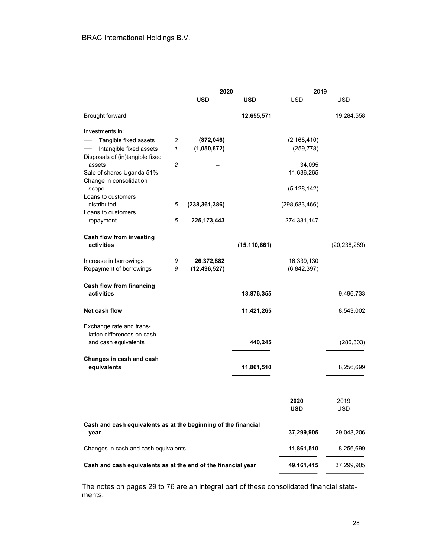|                                                                |                | 2020            |                | 2019            |                |
|----------------------------------------------------------------|----------------|-----------------|----------------|-----------------|----------------|
|                                                                |                | <b>USD</b>      | <b>USD</b>     | <b>USD</b>      | USD            |
| Brought forward                                                |                |                 | 12,655,571     |                 | 19,284,558     |
| Investments in:                                                |                |                 |                |                 |                |
| Tangible fixed assets                                          | 2              | (872, 046)      |                | (2, 168, 410)   |                |
| Intangible fixed assets                                        | 1              | (1,050,672)     |                | (259, 778)      |                |
| Disposals of (in)tangible fixed                                |                |                 |                |                 |                |
| assets                                                         | $\overline{c}$ |                 |                | 34,095          |                |
| Sale of shares Uganda 51%<br>Change in consolidation           |                |                 |                | 11,636,265      |                |
| scope                                                          |                |                 |                | (5, 128, 142)   |                |
| Loans to customers<br>distributed                              | 5              | (238, 361, 386) |                | (298, 683, 466) |                |
| Loans to customers                                             |                |                 |                |                 |                |
| repayment                                                      | 5              | 225, 173, 443   |                | 274,331,147     |                |
| Cash flow from investing                                       |                |                 |                |                 |                |
| activities                                                     |                |                 | (15, 110, 661) |                 | (20, 238, 289) |
| Increase in borrowings                                         | 9              | 26,372,882      |                | 16,339,130      |                |
| Repayment of borrowings                                        | 9              | (12, 496, 527)  |                | (6,842,397)     |                |
|                                                                |                |                 |                |                 |                |
| Cash flow from financing<br>activities                         |                |                 | 13,876,355     |                 | 9,496,733      |
|                                                                |                |                 |                |                 |                |
| Net cash flow                                                  |                |                 | 11,421,265     |                 | 8,543,002      |
| Exchange rate and trans-                                       |                |                 |                |                 |                |
| lation differences on cash                                     |                |                 |                |                 |                |
| and cash equivalents                                           |                |                 | 440,245        |                 | (286, 303)     |
| Changes in cash and cash                                       |                |                 |                |                 |                |
| equivalents                                                    |                |                 | 11,861,510     |                 | 8,256,699      |
|                                                                |                |                 |                |                 |                |
|                                                                |                |                 |                | 2020            | 2019           |
|                                                                |                |                 |                | <b>USD</b>      | <b>USD</b>     |
| Cash and cash equivalents as at the beginning of the financial |                |                 |                |                 |                |
| year                                                           |                |                 |                | 37,299,905      | 29,043,206     |
| Changes in cash and cash equivalents                           |                |                 |                | 11,861,510      | 8,256,699      |
| Cash and cash equivalents as at the end of the financial year  |                |                 |                | 49,161,415      | 37,299,905     |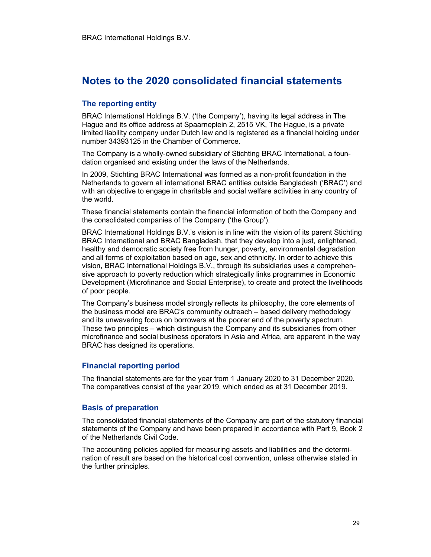# Notes to the 2020 consolidated financial statements

#### The reporting entity

BRAC International Holdings B.V. ('the Company'), having its legal address in The Hague and its office address at Spaarneplein 2, 2515 VK, The Hague, is a private limited liability company under Dutch law and is registered as a financial holding under number 34393125 in the Chamber of Commerce.

The Company is a wholly-owned subsidiary of Stichting BRAC International, a foundation organised and existing under the laws of the Netherlands.

In 2009, Stichting BRAC International was formed as a non-profit foundation in the Netherlands to govern all international BRAC entities outside Bangladesh ('BRAC') and with an objective to engage in charitable and social welfare activities in any country of the world.

These financial statements contain the financial information of both the Company and the consolidated companies of the Company ('the Group').

BRAC International Holdings B.V.'s vision is in line with the vision of its parent Stichting BRAC International and BRAC Bangladesh, that they develop into a just, enlightened, healthy and democratic society free from hunger, poverty, environmental degradation and all forms of exploitation based on age, sex and ethnicity. In order to achieve this vision, BRAC International Holdings B.V., through its subsidiaries uses a comprehensive approach to poverty reduction which strategically links programmes in Economic Development (Microfinance and Social Enterprise), to create and protect the livelihoods of poor people.

The Company's business model strongly reflects its philosophy, the core elements of the business model are BRAC's community outreach – based delivery methodology and its unwavering focus on borrowers at the poorer end of the poverty spectrum. These two principles – which distinguish the Company and its subsidiaries from other microfinance and social business operators in Asia and Africa, are apparent in the way BRAC has designed its operations.

#### Financial reporting period

The financial statements are for the year from 1 January 2020 to 31 December 2020. The comparatives consist of the year 2019, which ended as at 31 December 2019.

#### Basis of preparation

The consolidated financial statements of the Company are part of the statutory financial statements of the Company and have been prepared in accordance with Part 9, Book 2 of the Netherlands Civil Code.

The accounting policies applied for measuring assets and liabilities and the determination of result are based on the historical cost convention, unless otherwise stated in the further principles.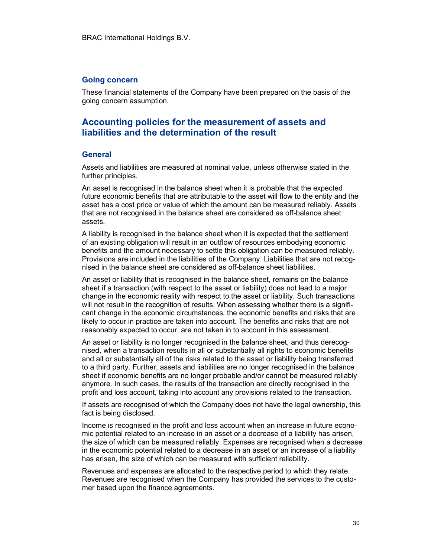#### Going concern

These financial statements of the Company have been prepared on the basis of the going concern assumption.

# Accounting policies for the measurement of assets and liabilities and the determination of the result

#### **General**

Assets and liabilities are measured at nominal value, unless otherwise stated in the further principles.

An asset is recognised in the balance sheet when it is probable that the expected future economic benefits that are attributable to the asset will flow to the entity and the asset has a cost price or value of which the amount can be measured reliably. Assets that are not recognised in the balance sheet are considered as off-balance sheet assets.

A liability is recognised in the balance sheet when it is expected that the settlement of an existing obligation will result in an outflow of resources embodying economic benefits and the amount necessary to settle this obligation can be measured reliably. Provisions are included in the liabilities of the Company. Liabilities that are not recognised in the balance sheet are considered as off-balance sheet liabilities.

An asset or liability that is recognised in the balance sheet, remains on the balance sheet if a transaction (with respect to the asset or liability) does not lead to a major change in the economic reality with respect to the asset or liability. Such transactions will not result in the recognition of results. When assessing whether there is a significant change in the economic circumstances, the economic benefits and risks that are likely to occur in practice are taken into account. The benefits and risks that are not reasonably expected to occur, are not taken in to account in this assessment.

An asset or liability is no longer recognised in the balance sheet, and thus derecognised, when a transaction results in all or substantially all rights to economic benefits and all or substantially all of the risks related to the asset or liability being transferred to a third party. Further, assets and liabilities are no longer recognised in the balance sheet if economic benefits are no longer probable and/or cannot be measured reliably anymore. In such cases, the results of the transaction are directly recognised in the profit and loss account, taking into account any provisions related to the transaction.

If assets are recognised of which the Company does not have the legal ownership, this fact is being disclosed.

Income is recognised in the profit and loss account when an increase in future economic potential related to an increase in an asset or a decrease of a liability has arisen, the size of which can be measured reliably. Expenses are recognised when a decrease in the economic potential related to a decrease in an asset or an increase of a liability has arisen, the size of which can be measured with sufficient reliability.

Revenues and expenses are allocated to the respective period to which they relate. Revenues are recognised when the Company has provided the services to the customer based upon the finance agreements.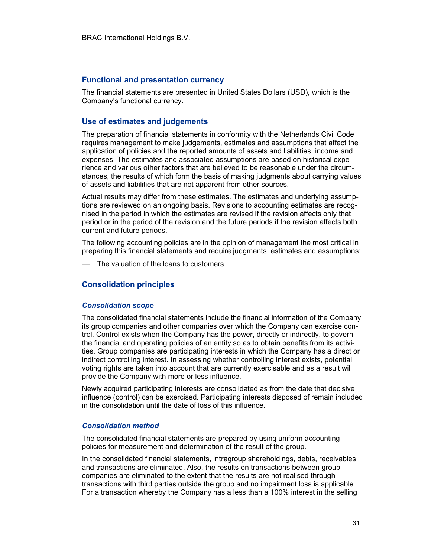#### Functional and presentation currency

The financial statements are presented in United States Dollars (USD), which is the Company's functional currency.

#### Use of estimates and judgements

The preparation of financial statements in conformity with the Netherlands Civil Code requires management to make judgements, estimates and assumptions that affect the application of policies and the reported amounts of assets and liabilities, income and expenses. The estimates and associated assumptions are based on historical experience and various other factors that are believed to be reasonable under the circumstances, the results of which form the basis of making judgments about carrying values of assets and liabilities that are not apparent from other sources.

Actual results may differ from these estimates. The estimates and underlying assumptions are reviewed on an ongoing basis. Revisions to accounting estimates are recognised in the period in which the estimates are revised if the revision affects only that period or in the period of the revision and the future periods if the revision affects both current and future periods.

The following accounting policies are in the opinion of management the most critical in preparing this financial statements and require judgments, estimates and assumptions:

— The valuation of the loans to customers.

#### Consolidation principles

#### Consolidation scope

The consolidated financial statements include the financial information of the Company, its group companies and other companies over which the Company can exercise control. Control exists when the Company has the power, directly or indirectly, to govern the financial and operating policies of an entity so as to obtain benefits from its activities. Group companies are participating interests in which the Company has a direct or indirect controlling interest. In assessing whether controlling interest exists, potential voting rights are taken into account that are currently exercisable and as a result will provide the Company with more or less influence.

Newly acquired participating interests are consolidated as from the date that decisive influence (control) can be exercised. Participating interests disposed of remain included in the consolidation until the date of loss of this influence.

#### Consolidation method

The consolidated financial statements are prepared by using uniform accounting policies for measurement and determination of the result of the group.

In the consolidated financial statements, intragroup shareholdings, debts, receivables and transactions are eliminated. Also, the results on transactions between group companies are eliminated to the extent that the results are not realised through transactions with third parties outside the group and no impairment loss is applicable. For a transaction whereby the Company has a less than a 100% interest in the selling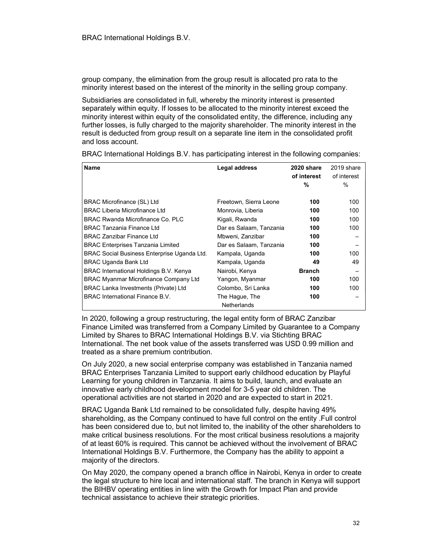group company, the elimination from the group result is allocated pro rata to the minority interest based on the interest of the minority in the selling group company.

Subsidiaries are consolidated in full, whereby the minority interest is presented separately within equity. If losses to be allocated to the minority interest exceed the minority interest within equity of the consolidated entity, the difference, including any further losses, is fully charged to the majority shareholder. The minority interest in the result is deducted from group result on a separate line item in the consolidated profit and loss account.

| <b>Name</b>                                  | Legal address           | 2020 share    | 2019 share  |
|----------------------------------------------|-------------------------|---------------|-------------|
|                                              |                         | of interest   | of interest |
|                                              |                         | %             | $\%$        |
|                                              |                         |               |             |
| BRAC Microfinance (SL) Ltd                   | Freetown, Sierra Leone  | 100           | 100         |
| <b>BRAC Liberia Microfinance Ltd</b>         | Monrovia, Liberia       | 100           | 100         |
| BRAC Rwanda Microfinance Co. PLC             | Kigali, Rwanda          | 100           | 100         |
| <b>BRAC Tanzania Finance Ltd</b>             | Dar es Salaam, Tanzania | 100           | 100         |
| <b>BRAC Zanzibar Finance Ltd</b>             | Mbweni, Zanzibar        | 100           |             |
| <b>BRAC Enterprises Tanzania Limited</b>     | Dar es Salaam, Tanzania | 100           |             |
| BRAC Social Business Enterprise Uganda Ltd.  | Kampala, Uganda         | 100           | 100         |
| <b>BRAC Uganda Bank Ltd</b>                  | Kampala, Uganda         | 49            | 49          |
| BRAC International Holdings B.V. Kenya       | Nairobi, Kenya          | <b>Branch</b> |             |
| <b>BRAC Myanmar Microfinance Company Ltd</b> | Yangon, Myanmar         | 100           | 100         |
| <b>BRAC Lanka Investments (Private) Ltd</b>  | Colombo, Sri Lanka      | 100           | 100         |
| BRAC International Finance B.V.              | The Hague, The          | 100           |             |
|                                              | <b>Netherlands</b>      |               |             |

BRAC International Holdings B.V. has participating interest in the following companies:

In 2020, following a group restructuring, the legal entity form of BRAC Zanzibar Finance Limited was transferred from a Company Limited by Guarantee to a Company Limited by Shares to BRAC International Holdings B.V. via Stichting BRAC International. The net book value of the assets transferred was USD 0.99 million and treated as a share premium contribution.

On July 2020, a new social enterprise company was established in Tanzania named BRAC Enterprises Tanzania Limited to support early childhood education by Playful Learning for young children in Tanzania. It aims to build, launch, and evaluate an innovative early childhood development model for 3-5 year old children. The operational activities are not started in 2020 and are expected to start in 2021.

BRAC Uganda Bank Ltd remained to be consolidated fully, despite having 49% shareholding, as the Company continued to have full control on the entity .Full control has been considered due to, but not limited to, the inability of the other shareholders to make critical business resolutions. For the most critical business resolutions a majority of at least 60% is required. This cannot be achieved without the involvement of BRAC International Holdings B.V. Furthermore, the Company has the ability to appoint a majority of the directors.

On May 2020, the company opened a branch office in Nairobi, Kenya in order to create the legal structure to hire local and international staff. The branch in Kenya will support the BIHBV operating entities in line with the Growth for Impact Plan and provide technical assistance to achieve their strategic priorities.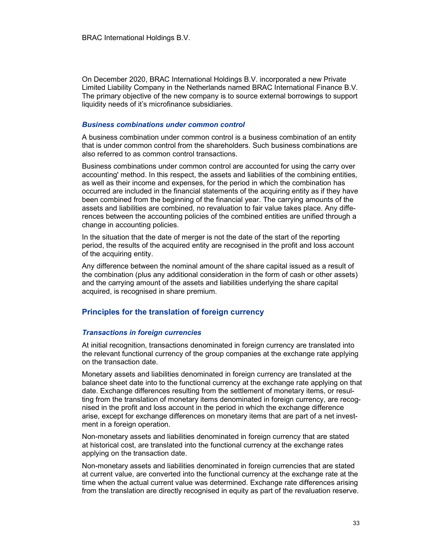On December 2020, BRAC International Holdings B.V. incorporated a new Private Limited Liability Company in the Netherlands named BRAC International Finance B.V. The primary objective of the new company is to source external borrowings to support liquidity needs of it's microfinance subsidiaries.

#### Business combinations under common control

A business combination under common control is a business combination of an entity that is under common control from the shareholders. Such business combinations are also referred to as common control transactions.

Business combinations under common control are accounted for using the carry over accounting' method. In this respect, the assets and liabilities of the combining entities, as well as their income and expenses, for the period in which the combination has occurred are included in the financial statements of the acquiring entity as if they have been combined from the beginning of the financial year. The carrying amounts of the assets and liabilities are combined, no revaluation to fair value takes place. Any differences between the accounting policies of the combined entities are unified through a change in accounting policies.

In the situation that the date of merger is not the date of the start of the reporting period, the results of the acquired entity are recognised in the profit and loss account of the acquiring entity.

Any difference between the nominal amount of the share capital issued as a result of the combination (plus any additional consideration in the form of cash or other assets) and the carrying amount of the assets and liabilities underlying the share capital acquired, is recognised in share premium.

#### Principles for the translation of foreign currency

#### Transactions in foreign currencies

At initial recognition, transactions denominated in foreign currency are translated into the relevant functional currency of the group companies at the exchange rate applying on the transaction date.

Monetary assets and liabilities denominated in foreign currency are translated at the balance sheet date into to the functional currency at the exchange rate applying on that date. Exchange differences resulting from the settlement of monetary items, or resulting from the translation of monetary items denominated in foreign currency, are recognised in the profit and loss account in the period in which the exchange difference arise, except for exchange differences on monetary items that are part of a net investment in a foreign operation.

Non-monetary assets and liabilities denominated in foreign currency that are stated at historical cost, are translated into the functional currency at the exchange rates applying on the transaction date.

Non-monetary assets and liabilities denominated in foreign currencies that are stated at current value, are converted into the functional currency at the exchange rate at the time when the actual current value was determined. Exchange rate differences arising from the translation are directly recognised in equity as part of the revaluation reserve.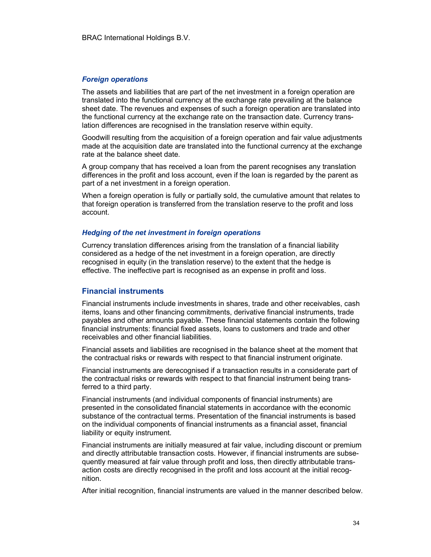#### Foreign operations

The assets and liabilities that are part of the net investment in a foreign operation are translated into the functional currency at the exchange rate prevailing at the balance sheet date. The revenues and expenses of such a foreign operation are translated into the functional currency at the exchange rate on the transaction date. Currency translation differences are recognised in the translation reserve within equity.

Goodwill resulting from the acquisition of a foreign operation and fair value adjustments made at the acquisition date are translated into the functional currency at the exchange rate at the balance sheet date.

A group company that has received a loan from the parent recognises any translation differences in the profit and loss account, even if the loan is regarded by the parent as part of a net investment in a foreign operation.

When a foreign operation is fully or partially sold, the cumulative amount that relates to that foreign operation is transferred from the translation reserve to the profit and loss account.

#### Hedging of the net investment in foreign operations

Currency translation differences arising from the translation of a financial liability considered as a hedge of the net investment in a foreign operation, are directly recognised in equity (in the translation reserve) to the extent that the hedge is effective. The ineffective part is recognised as an expense in profit and loss.

#### Financial instruments

Financial instruments include investments in shares, trade and other receivables, cash items, loans and other financing commitments, derivative financial instruments, trade payables and other amounts payable. These financial statements contain the following financial instruments: financial fixed assets, loans to customers and trade and other receivables and other financial liabilities.

Financial assets and liabilities are recognised in the balance sheet at the moment that the contractual risks or rewards with respect to that financial instrument originate.

Financial instruments are derecognised if a transaction results in a considerate part of the contractual risks or rewards with respect to that financial instrument being transferred to a third party.

Financial instruments (and individual components of financial instruments) are presented in the consolidated financial statements in accordance with the economic substance of the contractual terms. Presentation of the financial instruments is based on the individual components of financial instruments as a financial asset, financial liability or equity instrument.

Financial instruments are initially measured at fair value, including discount or premium and directly attributable transaction costs. However, if financial instruments are subsequently measured at fair value through profit and loss, then directly attributable transaction costs are directly recognised in the profit and loss account at the initial recognition.

After initial recognition, financial instruments are valued in the manner described below.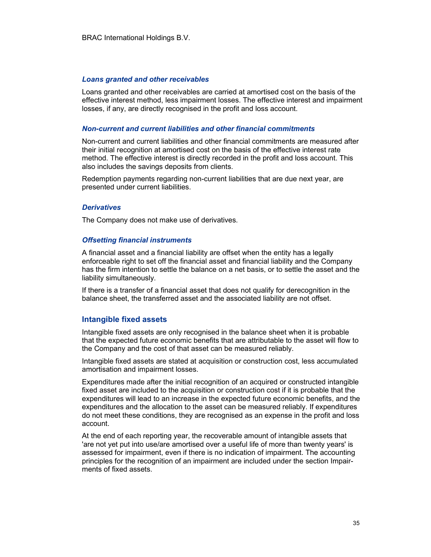#### Loans granted and other receivables

Loans granted and other receivables are carried at amortised cost on the basis of the effective interest method, less impairment losses. The effective interest and impairment losses, if any, are directly recognised in the profit and loss account.

#### Non-current and current liabilities and other financial commitments

Non-current and current liabilities and other financial commitments are measured after their initial recognition at amortised cost on the basis of the effective interest rate method. The effective interest is directly recorded in the profit and loss account. This also includes the savings deposits from clients.

Redemption payments regarding non-current liabilities that are due next year, are presented under current liabilities.

#### **Derivatives**

The Company does not make use of derivatives.

#### Offsetting financial instruments

A financial asset and a financial liability are offset when the entity has a legally enforceable right to set off the financial asset and financial liability and the Company has the firm intention to settle the balance on a net basis, or to settle the asset and the liability simultaneously.

If there is a transfer of a financial asset that does not qualify for derecognition in the balance sheet, the transferred asset and the associated liability are not offset.

#### Intangible fixed assets

Intangible fixed assets are only recognised in the balance sheet when it is probable that the expected future economic benefits that are attributable to the asset will flow to the Company and the cost of that asset can be measured reliably.

Intangible fixed assets are stated at acquisition or construction cost, less accumulated amortisation and impairment losses.

Expenditures made after the initial recognition of an acquired or constructed intangible fixed asset are included to the acquisition or construction cost if it is probable that the expenditures will lead to an increase in the expected future economic benefits, and the expenditures and the allocation to the asset can be measured reliably. If expenditures do not meet these conditions, they are recognised as an expense in the profit and loss account.

At the end of each reporting year, the recoverable amount of intangible assets that 'are not yet put into use/are amortised over a useful life of more than twenty years' is assessed for impairment, even if there is no indication of impairment. The accounting principles for the recognition of an impairment are included under the section Impairments of fixed assets.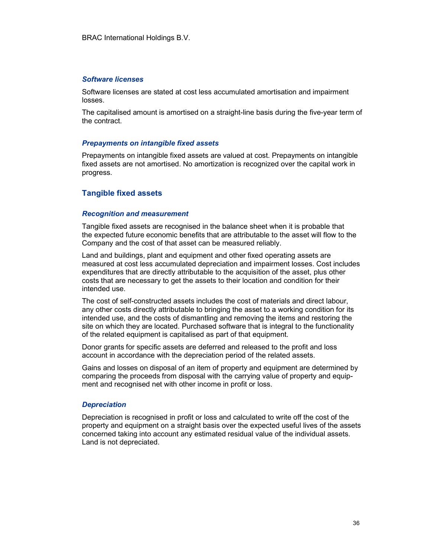#### Software licenses

Software licenses are stated at cost less accumulated amortisation and impairment losses.

The capitalised amount is amortised on a straight-line basis during the five-year term of the contract.

#### Prepayments on intangible fixed assets

Prepayments on intangible fixed assets are valued at cost. Prepayments on intangible fixed assets are not amortised. No amortization is recognized over the capital work in progress.

#### Tangible fixed assets

#### Recognition and measurement

Tangible fixed assets are recognised in the balance sheet when it is probable that the expected future economic benefits that are attributable to the asset will flow to the Company and the cost of that asset can be measured reliably.

Land and buildings, plant and equipment and other fixed operating assets are measured at cost less accumulated depreciation and impairment losses. Cost includes expenditures that are directly attributable to the acquisition of the asset, plus other costs that are necessary to get the assets to their location and condition for their intended use.

The cost of self-constructed assets includes the cost of materials and direct labour, any other costs directly attributable to bringing the asset to a working condition for its intended use, and the costs of dismantling and removing the items and restoring the site on which they are located. Purchased software that is integral to the functionality of the related equipment is capitalised as part of that equipment.

Donor grants for specific assets are deferred and released to the profit and loss account in accordance with the depreciation period of the related assets.

Gains and losses on disposal of an item of property and equipment are determined by comparing the proceeds from disposal with the carrying value of property and equipment and recognised net with other income in profit or loss.

#### **Depreciation**

Depreciation is recognised in profit or loss and calculated to write off the cost of the property and equipment on a straight basis over the expected useful lives of the assets concerned taking into account any estimated residual value of the individual assets. Land is not depreciated.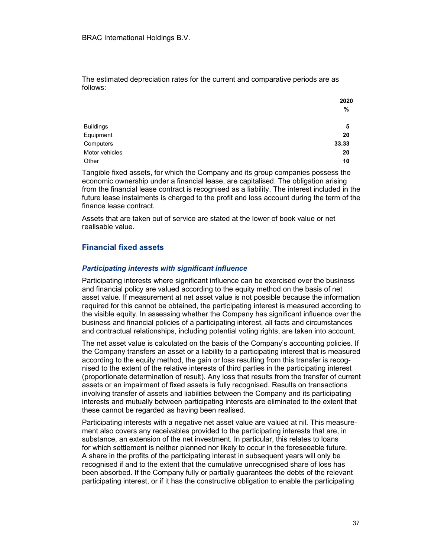The estimated depreciation rates for the current and comparative periods are as follows:

|                  | ZUZU  |
|------------------|-------|
|                  | %     |
| <b>Buildings</b> | 5     |
| Equipment        | 20    |
| Computers        | 33.33 |
| Motor vehicles   | 20    |
| Other            | 10    |

Tangible fixed assets, for which the Company and its group companies possess the economic ownership under a financial lease, are capitalised. The obligation arising from the financial lease contract is recognised as a liability. The interest included in the future lease instalments is charged to the profit and loss account during the term of the finance lease contract.

Assets that are taken out of service are stated at the lower of book value or net realisable value.

#### Financial fixed assets

#### Participating interests with significant influence

Participating interests where significant influence can be exercised over the business and financial policy are valued according to the equity method on the basis of net asset value. If measurement at net asset value is not possible because the information required for this cannot be obtained, the participating interest is measured according to the visible equity. In assessing whether the Company has significant influence over the business and financial policies of a participating interest, all facts and circumstances and contractual relationships, including potential voting rights, are taken into account.

The net asset value is calculated on the basis of the Company's accounting policies. If the Company transfers an asset or a liability to a participating interest that is measured according to the equity method, the gain or loss resulting from this transfer is recognised to the extent of the relative interests of third parties in the participating interest (proportionate determination of result). Any loss that results from the transfer of current assets or an impairment of fixed assets is fully recognised. Results on transactions involving transfer of assets and liabilities between the Company and its participating interests and mutually between participating interests are eliminated to the extent that these cannot be regarded as having been realised.

Participating interests with a negative net asset value are valued at nil. This measurement also covers any receivables provided to the participating interests that are, in substance, an extension of the net investment. In particular, this relates to loans for which settlement is neither planned nor likely to occur in the foreseeable future. A share in the profits of the participating interest in subsequent years will only be recognised if and to the extent that the cumulative unrecognised share of loss has been absorbed. If the Company fully or partially guarantees the debts of the relevant participating interest, or if it has the constructive obligation to enable the participating

2020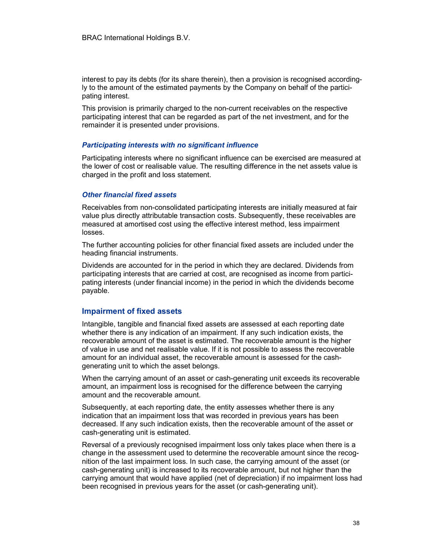interest to pay its debts (for its share therein), then a provision is recognised accordingly to the amount of the estimated payments by the Company on behalf of the participating interest.

This provision is primarily charged to the non-current receivables on the respective participating interest that can be regarded as part of the net investment, and for the remainder it is presented under provisions.

#### Participating interests with no significant influence

Participating interests where no significant influence can be exercised are measured at the lower of cost or realisable value. The resulting difference in the net assets value is charged in the profit and loss statement.

#### Other financial fixed assets

Receivables from non-consolidated participating interests are initially measured at fair value plus directly attributable transaction costs. Subsequently, these receivables are measured at amortised cost using the effective interest method, less impairment losses.

The further accounting policies for other financial fixed assets are included under the heading financial instruments.

Dividends are accounted for in the period in which they are declared. Dividends from participating interests that are carried at cost, are recognised as income from participating interests (under financial income) in the period in which the dividends become payable.

#### Impairment of fixed assets

Intangible, tangible and financial fixed assets are assessed at each reporting date whether there is any indication of an impairment. If any such indication exists, the recoverable amount of the asset is estimated. The recoverable amount is the higher of value in use and net realisable value. If it is not possible to assess the recoverable amount for an individual asset, the recoverable amount is assessed for the cashgenerating unit to which the asset belongs.

When the carrying amount of an asset or cash-generating unit exceeds its recoverable amount, an impairment loss is recognised for the difference between the carrying amount and the recoverable amount.

Subsequently, at each reporting date, the entity assesses whether there is any indication that an impairment loss that was recorded in previous years has been decreased. If any such indication exists, then the recoverable amount of the asset or cash-generating unit is estimated.

Reversal of a previously recognised impairment loss only takes place when there is a change in the assessment used to determine the recoverable amount since the recognition of the last impairment loss. In such case, the carrying amount of the asset (or cash-generating unit) is increased to its recoverable amount, but not higher than the carrying amount that would have applied (net of depreciation) if no impairment loss had been recognised in previous years for the asset (or cash-generating unit).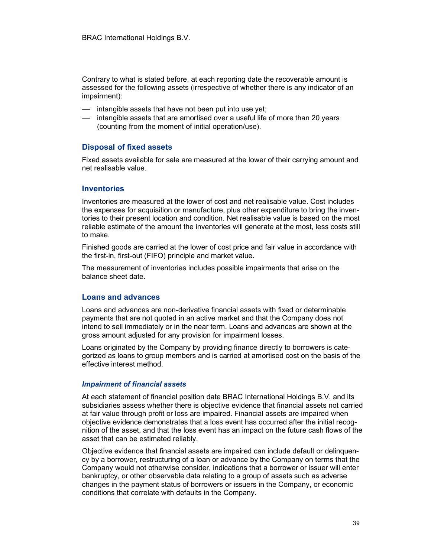Contrary to what is stated before, at each reporting date the recoverable amount is assessed for the following assets (irrespective of whether there is any indicator of an impairment):

- intangible assets that have not been put into use yet;
- intangible assets that are amortised over a useful life of more than 20 years (counting from the moment of initial operation/use).

### Disposal of fixed assets

Fixed assets available for sale are measured at the lower of their carrying amount and net realisable value.

#### Inventories

Inventories are measured at the lower of cost and net realisable value. Cost includes the expenses for acquisition or manufacture, plus other expenditure to bring the inventories to their present location and condition. Net realisable value is based on the most reliable estimate of the amount the inventories will generate at the most, less costs still to make.

Finished goods are carried at the lower of cost price and fair value in accordance with the first-in, first-out (FIFO) principle and market value.

The measurement of inventories includes possible impairments that arise on the balance sheet date.

#### Loans and advances

Loans and advances are non-derivative financial assets with fixed or determinable payments that are not quoted in an active market and that the Company does not intend to sell immediately or in the near term. Loans and advances are shown at the gross amount adjusted for any provision for impairment losses.

Loans originated by the Company by providing finance directly to borrowers is categorized as loans to group members and is carried at amortised cost on the basis of the effective interest method.

#### Impairment of financial assets

At each statement of financial position date BRAC International Holdings B.V. and its subsidiaries assess whether there is objective evidence that financial assets not carried at fair value through profit or loss are impaired. Financial assets are impaired when objective evidence demonstrates that a loss event has occurred after the initial recognition of the asset, and that the loss event has an impact on the future cash flows of the asset that can be estimated reliably.

Objective evidence that financial assets are impaired can include default or delinquency by a borrower, restructuring of a loan or advance by the Company on terms that the Company would not otherwise consider, indications that a borrower or issuer will enter bankruptcy, or other observable data relating to a group of assets such as adverse changes in the payment status of borrowers or issuers in the Company, or economic conditions that correlate with defaults in the Company.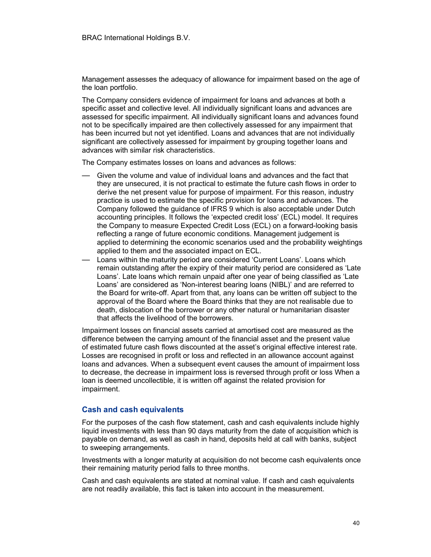Management assesses the adequacy of allowance for impairment based on the age of the loan portfolio.

The Company considers evidence of impairment for loans and advances at both a specific asset and collective level. All individually significant loans and advances are assessed for specific impairment. All individually significant loans and advances found not to be specifically impaired are then collectively assessed for any impairment that has been incurred but not yet identified. Loans and advances that are not individually significant are collectively assessed for impairment by grouping together loans and advances with similar risk characteristics.

The Company estimates losses on loans and advances as follows:

- Given the volume and value of individual loans and advances and the fact that they are unsecured, it is not practical to estimate the future cash flows in order to derive the net present value for purpose of impairment. For this reason, industry practice is used to estimate the specific provision for loans and advances. The Company followed the guidance of IFRS 9 which is also acceptable under Dutch accounting principles. It follows the 'expected credit loss' (ECL) model. It requires the Company to measure Expected Credit Loss (ECL) on a forward-looking basis reflecting a range of future economic conditions. Management judgement is applied to determining the economic scenarios used and the probability weightings applied to them and the associated impact on ECL.
- Loans within the maturity period are considered 'Current Loans'. Loans which remain outstanding after the expiry of their maturity period are considered as 'Late Loans'. Late loans which remain unpaid after one year of being classified as 'Late Loans' are considered as 'Non-interest bearing loans (NIBL)' and are referred to the Board for write-off. Apart from that, any loans can be written off subject to the approval of the Board where the Board thinks that they are not realisable due to death, dislocation of the borrower or any other natural or humanitarian disaster that affects the livelihood of the borrowers.

Impairment losses on financial assets carried at amortised cost are measured as the difference between the carrying amount of the financial asset and the present value of estimated future cash flows discounted at the asset's original effective interest rate. Losses are recognised in profit or loss and reflected in an allowance account against loans and advances. When a subsequent event causes the amount of impairment loss to decrease, the decrease in impairment loss is reversed through profit or loss When a loan is deemed uncollectible, it is written off against the related provision for impairment.

#### Cash and cash equivalents

For the purposes of the cash flow statement, cash and cash equivalents include highly liquid investments with less than 90 days maturity from the date of acquisition which is payable on demand, as well as cash in hand, deposits held at call with banks, subject to sweeping arrangements.

Investments with a longer maturity at acquisition do not become cash equivalents once their remaining maturity period falls to three months.

Cash and cash equivalents are stated at nominal value. If cash and cash equivalents are not readily available, this fact is taken into account in the measurement.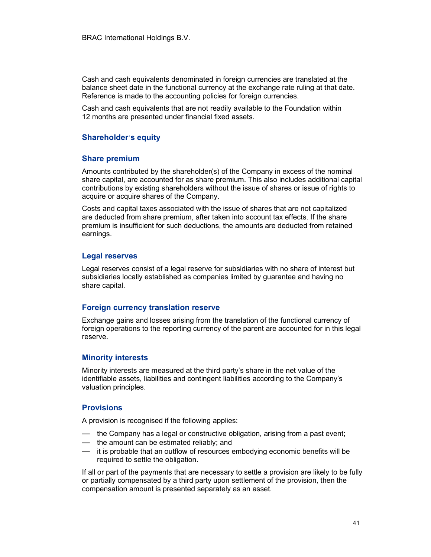Cash and cash equivalents denominated in foreign currencies are translated at the balance sheet date in the functional currency at the exchange rate ruling at that date. Reference is made to the accounting policies for foreign currencies.

Cash and cash equivalents that are not readily available to the Foundation within 12 months are presented under financial fixed assets.

#### Shareholder's equity

#### Share premium

Amounts contributed by the shareholder(s) of the Company in excess of the nominal share capital, are accounted for as share premium. This also includes additional capital contributions by existing shareholders without the issue of shares or issue of rights to acquire or acquire shares of the Company.

Costs and capital taxes associated with the issue of shares that are not capitalized are deducted from share premium, after taken into account tax effects. If the share premium is insufficient for such deductions, the amounts are deducted from retained earnings.

#### Legal reserves

Legal reserves consist of a legal reserve for subsidiaries with no share of interest but subsidiaries locally established as companies limited by guarantee and having no share capital.

#### Foreign currency translation reserve

Exchange gains and losses arising from the translation of the functional currency of foreign operations to the reporting currency of the parent are accounted for in this legal reserve.

#### Minority interests

Minority interests are measured at the third party's share in the net value of the identifiable assets, liabilities and contingent liabilities according to the Company's valuation principles.

#### **Provisions**

A provision is recognised if the following applies:

- the Company has a legal or constructive obligation, arising from a past event;
- the amount can be estimated reliably; and
- it is probable that an outflow of resources embodying economic benefits will be required to settle the obligation.

If all or part of the payments that are necessary to settle a provision are likely to be fully or partially compensated by a third party upon settlement of the provision, then the compensation amount is presented separately as an asset.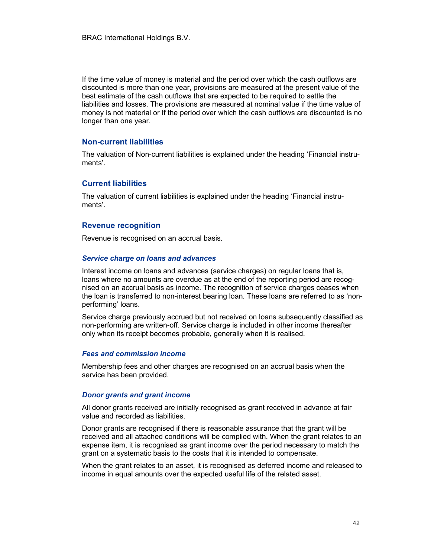If the time value of money is material and the period over which the cash outflows are discounted is more than one year, provisions are measured at the present value of the best estimate of the cash outflows that are expected to be required to settle the liabilities and losses. The provisions are measured at nominal value if the time value of money is not material or If the period over which the cash outflows are discounted is no longer than one year.

#### Non-current liabilities

The valuation of Non-current liabilities is explained under the heading 'Financial instruments'.

#### Current liabilities

The valuation of current liabilities is explained under the heading 'Financial instruments'.

#### Revenue recognition

Revenue is recognised on an accrual basis.

#### Service charge on loans and advances

Interest income on loans and advances (service charges) on regular loans that is, loans where no amounts are overdue as at the end of the reporting period are recognised on an accrual basis as income. The recognition of service charges ceases when the loan is transferred to non-interest bearing loan. These loans are referred to as 'nonperforming' loans.

Service charge previously accrued but not received on loans subsequently classified as non-performing are written-off. Service charge is included in other income thereafter only when its receipt becomes probable, generally when it is realised.

#### Fees and commission income

Membership fees and other charges are recognised on an accrual basis when the service has been provided.

#### Donor grants and grant income

All donor grants received are initially recognised as grant received in advance at fair value and recorded as liabilities.

Donor grants are recognised if there is reasonable assurance that the grant will be received and all attached conditions will be complied with. When the grant relates to an expense item, it is recognised as grant income over the period necessary to match the grant on a systematic basis to the costs that it is intended to compensate.

When the grant relates to an asset, it is recognised as deferred income and released to income in equal amounts over the expected useful life of the related asset.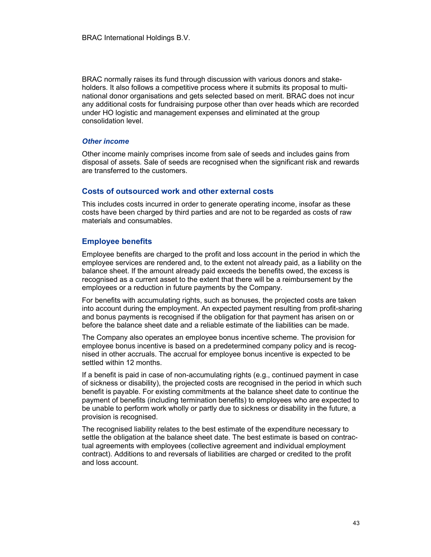BRAC normally raises its fund through discussion with various donors and stakeholders. It also follows a competitive process where it submits its proposal to multinational donor organisations and gets selected based on merit. BRAC does not incur any additional costs for fundraising purpose other than over heads which are recorded under HO logistic and management expenses and eliminated at the group consolidation level.

#### Other income

Other income mainly comprises income from sale of seeds and includes gains from disposal of assets. Sale of seeds are recognised when the significant risk and rewards are transferred to the customers.

### Costs of outsourced work and other external costs

This includes costs incurred in order to generate operating income, insofar as these costs have been charged by third parties and are not to be regarded as costs of raw materials and consumables.

### Employee benefits

Employee benefits are charged to the profit and loss account in the period in which the employee services are rendered and, to the extent not already paid, as a liability on the balance sheet. If the amount already paid exceeds the benefits owed, the excess is recognised as a current asset to the extent that there will be a reimbursement by the employees or a reduction in future payments by the Company.

For benefits with accumulating rights, such as bonuses, the projected costs are taken into account during the employment. An expected payment resulting from profit-sharing and bonus payments is recognised if the obligation for that payment has arisen on or before the balance sheet date and a reliable estimate of the liabilities can be made.

The Company also operates an employee bonus incentive scheme. The provision for employee bonus incentive is based on a predetermined company policy and is recognised in other accruals. The accrual for employee bonus incentive is expected to be settled within 12 months.

If a benefit is paid in case of non-accumulating rights (e.g., continued payment in case of sickness or disability), the projected costs are recognised in the period in which such benefit is payable. For existing commitments at the balance sheet date to continue the payment of benefits (including termination benefits) to employees who are expected to be unable to perform work wholly or partly due to sickness or disability in the future, a provision is recognised.

The recognised liability relates to the best estimate of the expenditure necessary to settle the obligation at the balance sheet date. The best estimate is based on contractual agreements with employees (collective agreement and individual employment contract). Additions to and reversals of liabilities are charged or credited to the profit and loss account.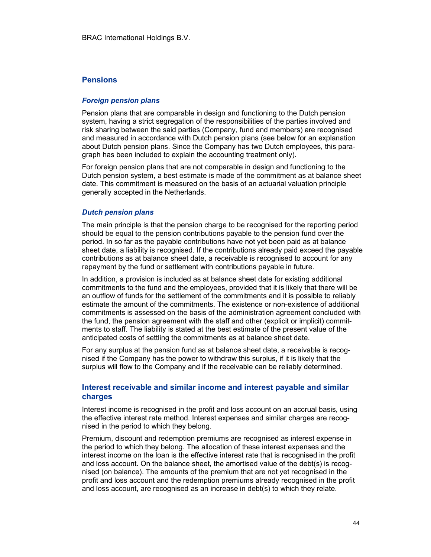#### Pensions

#### Foreign pension plans

Pension plans that are comparable in design and functioning to the Dutch pension system, having a strict segregation of the responsibilities of the parties involved and risk sharing between the said parties (Company, fund and members) are recognised and measured in accordance with Dutch pension plans (see below for an explanation about Dutch pension plans. Since the Company has two Dutch employees, this paragraph has been included to explain the accounting treatment only).

For foreign pension plans that are not comparable in design and functioning to the Dutch pension system, a best estimate is made of the commitment as at balance sheet date. This commitment is measured on the basis of an actuarial valuation principle generally accepted in the Netherlands.

#### Dutch pension plans

The main principle is that the pension charge to be recognised for the reporting period should be equal to the pension contributions payable to the pension fund over the period. In so far as the payable contributions have not yet been paid as at balance sheet date, a liability is recognised. If the contributions already paid exceed the payable contributions as at balance sheet date, a receivable is recognised to account for any repayment by the fund or settlement with contributions payable in future.

In addition, a provision is included as at balance sheet date for existing additional commitments to the fund and the employees, provided that it is likely that there will be an outflow of funds for the settlement of the commitments and it is possible to reliably estimate the amount of the commitments. The existence or non-existence of additional commitments is assessed on the basis of the administration agreement concluded with the fund, the pension agreement with the staff and other (explicit or implicit) commitments to staff. The liability is stated at the best estimate of the present value of the anticipated costs of settling the commitments as at balance sheet date.

For any surplus at the pension fund as at balance sheet date, a receivable is recognised if the Company has the power to withdraw this surplus, if it is likely that the surplus will flow to the Company and if the receivable can be reliably determined.

### Interest receivable and similar income and interest payable and similar charges

Interest income is recognised in the profit and loss account on an accrual basis, using the effective interest rate method. Interest expenses and similar charges are recognised in the period to which they belong.

Premium, discount and redemption premiums are recognised as interest expense in the period to which they belong. The allocation of these interest expenses and the interest income on the loan is the effective interest rate that is recognised in the profit and loss account. On the balance sheet, the amortised value of the debt(s) is recognised (on balance). The amounts of the premium that are not yet recognised in the profit and loss account and the redemption premiums already recognised in the profit and loss account, are recognised as an increase in debt(s) to which they relate.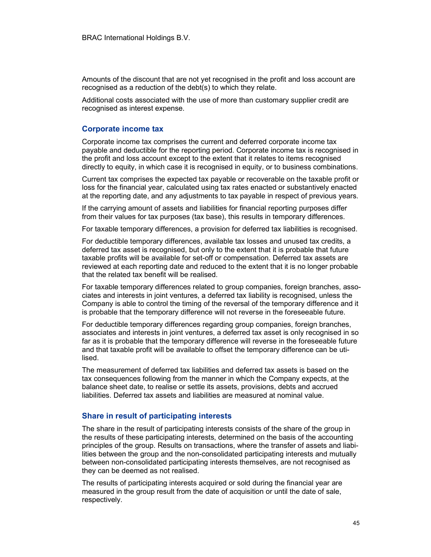Amounts of the discount that are not yet recognised in the profit and loss account are recognised as a reduction of the debt(s) to which they relate.

Additional costs associated with the use of more than customary supplier credit are recognised as interest expense.

#### Corporate income tax

Corporate income tax comprises the current and deferred corporate income tax payable and deductible for the reporting period. Corporate income tax is recognised in the profit and loss account except to the extent that it relates to items recognised directly to equity, in which case it is recognised in equity, or to business combinations.

Current tax comprises the expected tax payable or recoverable on the taxable profit or loss for the financial year, calculated using tax rates enacted or substantively enacted at the reporting date, and any adjustments to tax payable in respect of previous years.

If the carrying amount of assets and liabilities for financial reporting purposes differ from their values for tax purposes (tax base), this results in temporary differences.

For taxable temporary differences, a provision for deferred tax liabilities is recognised.

For deductible temporary differences, available tax losses and unused tax credits, a deferred tax asset is recognised, but only to the extent that it is probable that future taxable profits will be available for set-off or compensation. Deferred tax assets are reviewed at each reporting date and reduced to the extent that it is no longer probable that the related tax benefit will be realised.

For taxable temporary differences related to group companies, foreign branches, associates and interests in joint ventures, a deferred tax liability is recognised, unless the Company is able to control the timing of the reversal of the temporary difference and it is probable that the temporary difference will not reverse in the foreseeable future.

For deductible temporary differences regarding group companies, foreign branches, associates and interests in joint ventures, a deferred tax asset is only recognised in so far as it is probable that the temporary difference will reverse in the foreseeable future and that taxable profit will be available to offset the temporary difference can be utilised.

The measurement of deferred tax liabilities and deferred tax assets is based on the tax consequences following from the manner in which the Company expects, at the balance sheet date, to realise or settle its assets, provisions, debts and accrued liabilities. Deferred tax assets and liabilities are measured at nominal value.

#### Share in result of participating interests

The share in the result of participating interests consists of the share of the group in the results of these participating interests, determined on the basis of the accounting principles of the group. Results on transactions, where the transfer of assets and liabilities between the group and the non-consolidated participating interests and mutually between non-consolidated participating interests themselves, are not recognised as they can be deemed as not realised.

The results of participating interests acquired or sold during the financial year are measured in the group result from the date of acquisition or until the date of sale, respectively.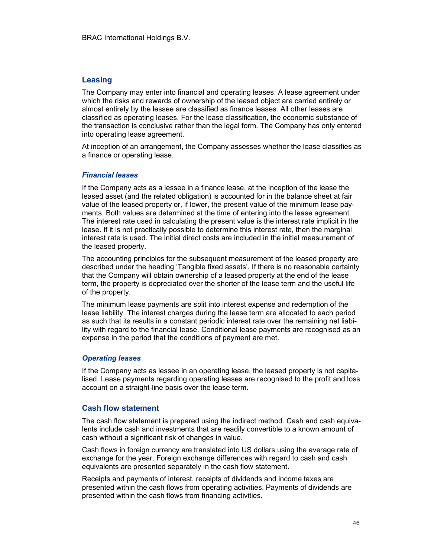#### Leasing

The Company may enter into financial and operating leases. A lease agreement under which the risks and rewards of ownership of the leased object are carried entirely or almost entirely by the lessee are classified as finance leases. All other leases are classified as operating leases. For the lease classification, the economic substance of the transaction is conclusive rather than the legal form. The Company has only entered into operating lease agreement.

At inception of an arrangement, the Company assesses whether the lease classifies as a finance or operating lease.

#### Financial leases

If the Company acts as a lessee in a finance lease, at the inception of the lease the leased asset (and the related obligation) is accounted for in the balance sheet at fair value of the leased property or, if lower, the present value of the minimum lease payments. Both values are determined at the time of entering into the lease agreement. The interest rate used in calculating the present value is the interest rate implicit in the lease. If it is not practically possible to determine this interest rate, then the marginal interest rate is used. The initial direct costs are included in the initial measurement of the leased property.

The accounting principles for the subsequent measurement of the leased property are described under the heading 'Tangible fixed assets'. If there is no reasonable certainty that the Company will obtain ownership of a leased property at the end of the lease term, the property is depreciated over the shorter of the lease term and the useful life of the property.

The minimum lease payments are split into interest expense and redemption of the lease liability. The interest charges during the lease term are allocated to each period as such that its results in a constant periodic interest rate over the remaining net liability with regard to the financial lease. Conditional lease payments are recognised as an expense in the period that the conditions of payment are met.

#### Operating leases

If the Company acts as lessee in an operating lease, the leased property is not capitalised. Lease payments regarding operating leases are recognised to the profit and loss account on a straight-line basis over the lease term.

#### Cash flow statement

The cash flow statement is prepared using the indirect method. Cash and cash equivalents include cash and investments that are readily convertible to a known amount of cash without a significant risk of changes in value.

Cash flows in foreign currency are translated into US dollars using the average rate of exchange for the year. Foreign exchange differences with regard to cash and cash equivalents are presented separately in the cash flow statement.

Receipts and payments of interest, receipts of dividends and income taxes are presented within the cash flows from operating activities. Payments of dividends are presented within the cash flows from financing activities.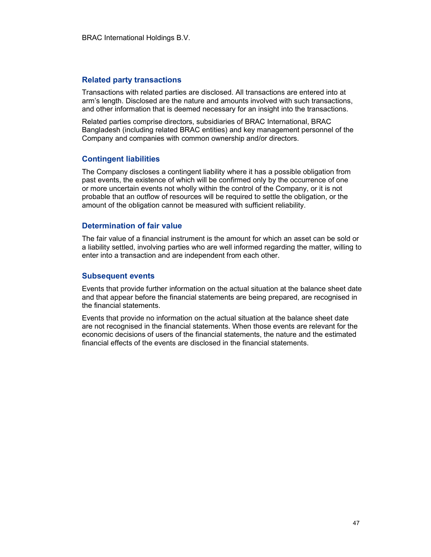#### Related party transactions

Transactions with related parties are disclosed. All transactions are entered into at arm's length. Disclosed are the nature and amounts involved with such transactions, and other information that is deemed necessary for an insight into the transactions.

Related parties comprise directors, subsidiaries of BRAC International, BRAC Bangladesh (including related BRAC entities) and key management personnel of the Company and companies with common ownership and/or directors.

#### Contingent liabilities

The Company discloses a contingent liability where it has a possible obligation from past events, the existence of which will be confirmed only by the occurrence of one or more uncertain events not wholly within the control of the Company, or it is not probable that an outflow of resources will be required to settle the obligation, or the amount of the obligation cannot be measured with sufficient reliability.

#### Determination of fair value

The fair value of a financial instrument is the amount for which an asset can be sold or a liability settled, involving parties who are well informed regarding the matter, willing to enter into a transaction and are independent from each other.

#### Subsequent events

Events that provide further information on the actual situation at the balance sheet date and that appear before the financial statements are being prepared, are recognised in the financial statements.

Events that provide no information on the actual situation at the balance sheet date are not recognised in the financial statements. When those events are relevant for the economic decisions of users of the financial statements, the nature and the estimated financial effects of the events are disclosed in the financial statements.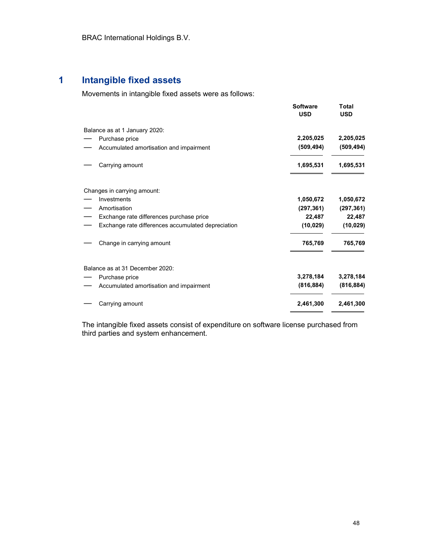# 1 Intangible fixed assets

Movements in intangible fixed assets were as follows:

|                                                    | <b>Software</b><br><b>USD</b> | <b>Total</b><br><b>USD</b> |
|----------------------------------------------------|-------------------------------|----------------------------|
| Balance as at 1 January 2020:                      |                               |                            |
| Purchase price                                     | 2,205,025                     | 2,205,025                  |
| Accumulated amortisation and impairment            | (509, 494)                    | (509, 494)                 |
|                                                    |                               |                            |
| Carrying amount                                    | 1,695,531                     | 1,695,531                  |
|                                                    |                               |                            |
| Changes in carrying amount:                        |                               |                            |
| Investments                                        | 1,050,672                     | 1,050,672                  |
| Amortisation                                       | (297, 361)                    | (297, 361)                 |
| Exchange rate differences purchase price           | 22,487                        | 22,487                     |
| Exchange rate differences accumulated depreciation | (10, 029)                     | (10, 029)                  |
| Change in carrying amount                          | 765,769                       | 765,769                    |
|                                                    |                               |                            |
| Balance as at 31 December 2020:                    |                               |                            |
| Purchase price                                     | 3,278,184                     | 3,278,184                  |
| Accumulated amortisation and impairment            | (816, 884)                    | (816, 884)                 |
| Carrying amount                                    | 2,461,300                     | 2,461,300                  |

The intangible fixed assets consist of expenditure on software license purchased from third parties and system enhancement.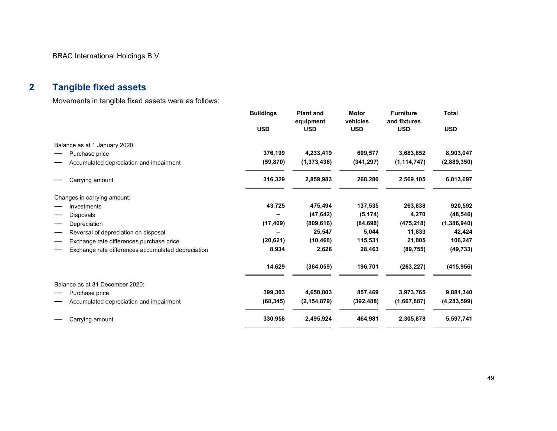BRAC International Holdings B.V.

# 2 Tangible fixed assets

Movements in tangible fixed assets were as follows:

|                                                    | <b>Buildings</b> | <b>Plant and</b>        | <b>Motor</b>           | <b>Furniture</b>           | <b>Total</b>  |
|----------------------------------------------------|------------------|-------------------------|------------------------|----------------------------|---------------|
|                                                    | <b>USD</b>       | equipment<br><b>USD</b> | vehicles<br><b>USD</b> | and fixtures<br><b>USD</b> | <b>USD</b>    |
| Balance as at 1 January 2020:                      |                  |                         |                        |                            |               |
| Purchase price                                     | 376,199          | 4,233,419               | 609,577                | 3,683,852                  | 8,903,047     |
| Accumulated depreciation and impairment            | (59, 870)        | (1,373,436)             | (341, 297)             | (1, 114, 747)              | (2,889,350)   |
| Carrying amount                                    | 316,329          | 2,859,983               | 268,280                | 2,569,105                  | 6,013,697     |
| Changes in carrying amount:                        |                  |                         |                        |                            |               |
| Investments                                        | 43,725           | 475,494                 | 137,535                | 263,838                    | 920,592       |
| <b>Disposals</b>                                   |                  | (47, 642)               | (5, 174)               | 4,270                      | (48, 546)     |
| Depreciation                                       | (17, 409)        | (809, 616)              | (84, 698)              | (475, 218)                 | (1, 386, 940) |
| Reversal of depreciation on disposal               |                  | 25,547                  | 5,044                  | 11,833                     | 42,424        |
| Exchange rate differences purchase price           | (20, 621)        | (10, 468)               | 115,531                | 21,805                     | 106,247       |
| Exchange rate differences accumulated depreciation | 8,934            | 2,626                   | 28,463                 | (89, 755)                  | (49, 733)     |
|                                                    | 14,629           | (364, 059)              | 196,701                | (263, 227)                 | (415, 956)    |
| Balance as at 31 December 2020:                    |                  |                         |                        |                            |               |
| Purchase price                                     | 399,303          | 4,650,803               | 857,469                | 3,973,765                  | 9,881,340     |
| Accumulated depreciation and impairment            | (68, 345)        | (2, 154, 879)           | (392, 488)             | (1,667,887)                | (4, 283, 599) |
| Carrying amount                                    | 330,958          | 2,495,924               | 464,981                | 2,305,878                  | 5,597,741     |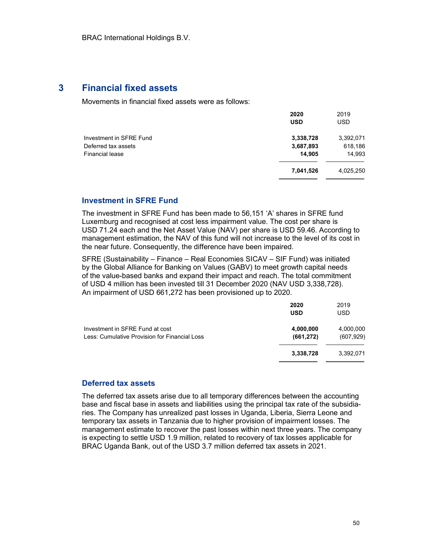### 3 Financial fixed assets

Movements in financial fixed assets were as follows:

|                         | 2020<br><b>USD</b> | 2019<br><b>USD</b> |
|-------------------------|--------------------|--------------------|
| Investment in SFRE Fund | 3,338,728          | 3,392,071          |
| Deferred tax assets     | 3,687,893          | 618,186            |
| <b>Financial lease</b>  | 14,905             | 14,993             |
|                         | 7,041,526          | 4,025,250          |
|                         |                    |                    |

#### Investment in SFRE Fund

The investment in SFRE Fund has been made to 56,151 'A' shares in SFRE fund Luxemburg and recognised at cost less impairment value. The cost per share is USD 71.24 each and the Net Asset Value (NAV) per share is USD 59.46. According to management estimation, the NAV of this fund will not increase to the level of its cost in the near future. Consequently, the difference have been impaired.

SFRE (Sustainability – Finance – Real Economies SICAV – SIF Fund) was initiated by the Global Alliance for Banking on Values (GABV) to meet growth capital needs of the value-based banks and expand their impact and reach. The total commitment of USD 4 million has been invested till 31 December 2020 (NAV USD 3,338,728). An impairment of USD 661,272 has been provisioned up to 2020.

|                                               | 2020<br><b>USD</b> | 2019<br><b>USD</b> |
|-----------------------------------------------|--------------------|--------------------|
| Investment in SFRE Fund at cost               | 4,000,000          | 4,000,000          |
| Less: Cumulative Provision for Financial Loss | (661, 272)         | (607, 929)         |
|                                               | 3,338,728          | 3,392,071          |
|                                               |                    |                    |

#### Deferred tax assets

The deferred tax assets arise due to all temporary differences between the accounting base and fiscal base in assets and liabilities using the principal tax rate of the subsidiaries. The Company has unrealized past losses in Uganda, Liberia, Sierra Leone and temporary tax assets in Tanzania due to higher provision of impairment losses. The management estimate to recover the past losses within next three years. The company is expecting to settle USD 1.9 million, related to recovery of tax losses applicable for BRAC Uganda Bank, out of the USD 3.7 million deferred tax assets in 2021.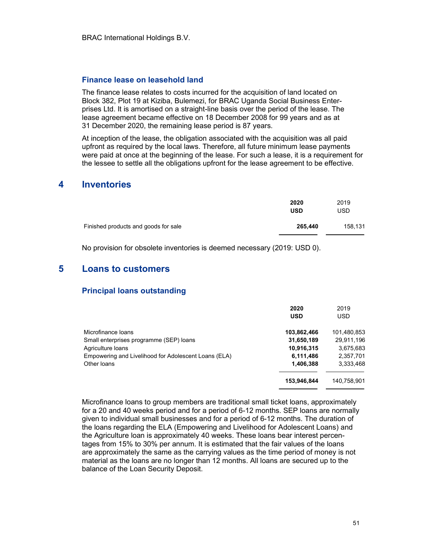#### Finance lease on leasehold land

The finance lease relates to costs incurred for the acquisition of land located on Block 382, Plot 19 at Kiziba, Bulemezi, for BRAC Uganda Social Business Enterprises Ltd. It is amortised on a straight-line basis over the period of the lease. The lease agreement became effective on 18 December 2008 for 99 years and as at 31 December 2020, the remaining lease period is 87 years.

At inception of the lease, the obligation associated with the acquisition was all paid upfront as required by the local laws. Therefore, all future minimum lease payments were paid at once at the beginning of the lease. For such a lease, it is a requirement for the lessee to settle all the obligations upfront for the lease agreement to be effective.

### 4 Inventories

|                                      | 2020<br><b>USD</b> | 2019<br><b>USD</b> |
|--------------------------------------|--------------------|--------------------|
| Finished products and goods for sale | 265,440            | 158,131            |

No provision for obsolete inventories is deemed necessary (2019: USD 0).

# 5 Loans to customers

### Principal loans outstanding

|                                                      | 2020<br><b>USD</b> | 2019<br>USD |
|------------------------------------------------------|--------------------|-------------|
| Microfinance Ioans                                   | 103,862,466        | 101,480,853 |
| Small enterprises programme (SEP) loans              | 31,650,189         | 29,911,196  |
| Agriculture loans                                    | 10,916,315         | 3.675.683   |
| Empowering and Livelihood for Adolescent Loans (ELA) | 6,111,486          | 2,357,701   |
| Other loans                                          | 1,406,388          | 3,333,468   |
|                                                      | 153,946,844        | 140,758,901 |

Microfinance loans to group members are traditional small ticket loans, approximately for a 20 and 40 weeks period and for a period of 6-12 months. SEP loans are normally given to individual small businesses and for a period of 6-12 months. The duration of the loans regarding the ELA (Empowering and Livelihood for Adolescent Loans) and the Agriculture loan is approximately 40 weeks. These loans bear interest percentages from 15% to 30% per annum. It is estimated that the fair values of the loans are approximately the same as the carrying values as the time period of money is not material as the loans are no longer than 12 months. All loans are secured up to the balance of the Loan Security Deposit.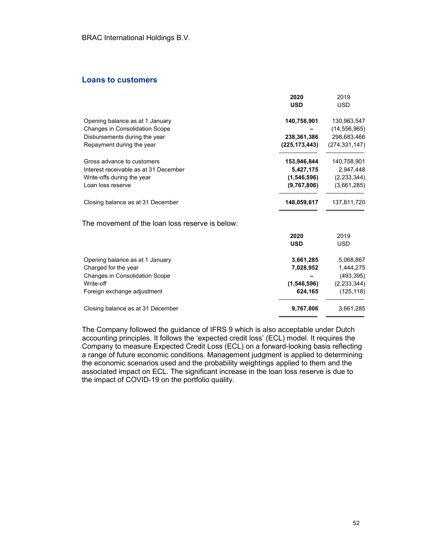#### Loans to customers

|                                                 | 2020          | 2019            |
|-------------------------------------------------|---------------|-----------------|
|                                                 | <b>USD</b>    | <b>USD</b>      |
| Opening balance as at 1 January                 | 140,758,901   | 130,963,547     |
| <b>Changes in Consolidation Scope</b>           |               | (14, 556, 965)  |
| Disbursements during the year                   | 238,361,386   | 298,683,466     |
| Repayment during the year                       | (225,173,443) | (274, 331, 147) |
| Gross advance to customers                      | 153,946,844   | 140,758,901     |
| Interest receivable as at 31 December           | 5,427,175     | 2,947,448       |
| Write-offs during the year                      | (1,546,596)   | (2, 233, 344)   |
| Loan loss reserve                               | (9,767,806)   | (3,661,285)     |
| Closing balance as at 31 December               | 148,059,617   | 137,811,720     |
| The movement of the loan loss reserve is below: |               |                 |
|                                                 | 2020          | 2019            |
|                                                 | <b>USD</b>    | <b>USD</b>      |
| Opening balance as at 1 January                 | 3,661,285     | 5,068,867       |
| Charged for the year                            | 7,028,952     | 1,444,275       |
| Changes in Consolidation Scope                  |               | (493, 395)      |
| Write-off                                       | (1,546,596)   | (2,233,344)     |
| Foreign exchange adjustment                     | 624,165       | (125, 118)      |
| Closing balance as at 31 December               | 9,767,806     | 3,661,285       |

The Company followed the guidance of IFRS 9 which is also acceptable under Dutch accounting principles. It follows the 'expected credit loss' (ECL) model. It requires the Company to measure Expected Credit Loss (ECL) on a forward-looking basis reflecting a range of future economic conditions. Management judgment is applied to determining the economic scenarios used and the probability weightings applied to them and the associated impact on ECL. The significant increase in the loan loss reserve is due to the impact of COVID-19 on the portfolio quality.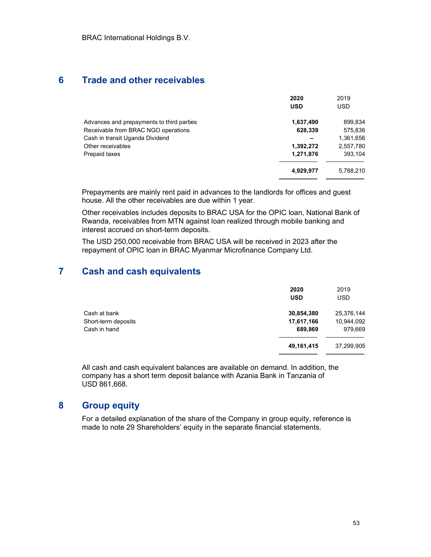# 6 Trade and other receivables

|                                           | 2020       | 2019       |
|-------------------------------------------|------------|------------|
|                                           | <b>USD</b> | <b>USD</b> |
| Advances and prepayments to third parties | 1,637,490  | 899,834    |
| Receivable from BRAC NGO operations       | 628,339    | 575,836    |
| Cash in transit Uganda Dividend           |            | 1,361,656  |
| Other receivables                         | 1,392,272  | 2,557,780  |
| Prepaid taxes                             | 1,271,876  | 393,104    |
|                                           | 4,929,977  | 5,788,210  |

Prepayments are mainly rent paid in advances to the landlords for offices and guest house. All the other receivables are due within 1 year.

Other receivables includes deposits to BRAC USA for the OPIC loan, National Bank of Rwanda, receivables from MTN against loan realized through mobile banking and interest accrued on short-term deposits.

The USD 250,000 receivable from BRAC USA will be received in 2023 after the repayment of OPIC loan in BRAC Myanmar Microfinance Company Ltd.

# 7 Cash and cash equivalents

|                     | 2020<br><b>USD</b> | 2019<br><b>USD</b> |
|---------------------|--------------------|--------------------|
| Cash at bank        | 30,854,380         | 25,376,144         |
| Short-term deposits | 17,617,166         | 10,944,092         |
| Cash in hand        | 689,869            | 979,669            |
|                     | 49,161,415         | 37,299,905         |

All cash and cash equivalent balances are available on demand. In addition, the company has a short term deposit balance with Azania Bank in Tanzania of USD 861,668.

# 8 Group equity

For a detailed explanation of the share of the Company in group equity, reference is made to note 29 Shareholders' equity in the separate financial statements.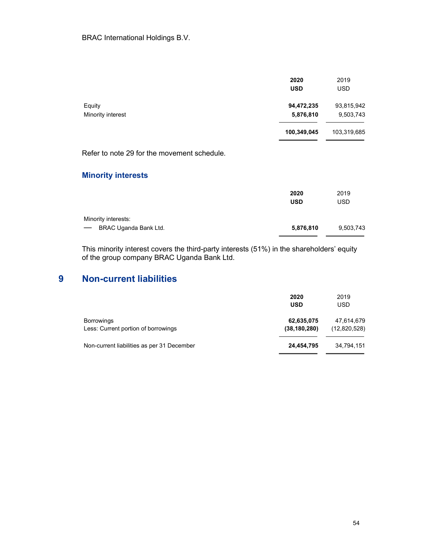|                                             | 2020<br><b>USD</b> | 2019<br><b>USD</b> |
|---------------------------------------------|--------------------|--------------------|
| Equity                                      | 94,472,235         | 93,815,942         |
| Minority interest                           | 5,876,810          | 9,503,743          |
|                                             | 100,349,045        | 103,319,685        |
| Refer to note 29 for the movement schedule. |                    |                    |
| <b>Minority interests</b>                   |                    |                    |
|                                             | 2020               | 2019               |
|                                             | <b>USD</b>         | <b>USD</b>         |
| Minority interests:                         |                    |                    |
| BRAC Uganda Bank Ltd.                       | 5,876,810          | 9,503,743          |
|                                             |                    |                    |

This minority interest covers the third-party interests (51%) in the shareholders' equity of the group company BRAC Uganda Bank Ltd.

# 9 Non-current liabilities

|                                                          | 2020<br><b>USD</b>           | 2019<br><b>USD</b>         |
|----------------------------------------------------------|------------------------------|----------------------------|
| <b>Borrowings</b><br>Less: Current portion of borrowings | 62,635,075<br>(38, 180, 280) | 47,614,679<br>(12,820,528) |
| Non-current liabilities as per 31 December               | 24,454,795                   | 34.794.151                 |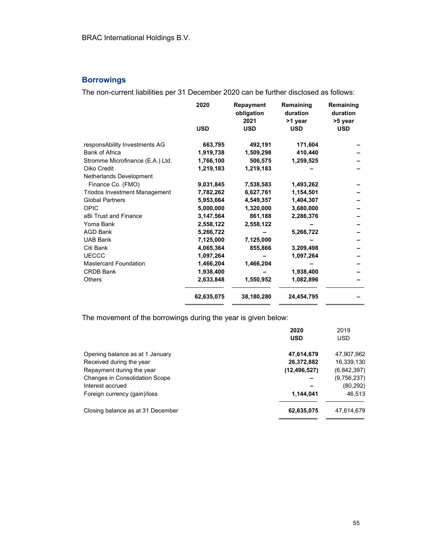# **Borrowings**

The non-current liabilities per 31 December 2020 can be further disclosed as follows:

|                                      | 2020       | Repayment<br>obligation<br>2021 | Remaining<br>duration<br>>1 year | Remaining<br>duration<br>>5 year |
|--------------------------------------|------------|---------------------------------|----------------------------------|----------------------------------|
|                                      | <b>USD</b> | <b>USD</b>                      | <b>USD</b>                       | <b>USD</b>                       |
| responsAbility Investments AG        | 663,795    | 492,191                         | 171,604                          |                                  |
| <b>Bank of Africa</b>                | 1,919,738  | 1,509,298                       | 410,440                          |                                  |
| Stromme Microfinance (E.A.) Ltd.     | 1,766,100  | 506,575                         | 1,259,525                        |                                  |
| Oiko Credit                          | 1,219,183  | 1,219,183                       |                                  |                                  |
| Netherlands Development              |            |                                 |                                  |                                  |
| Finance Co. (FMO)                    | 9,031,845  | 7,538,583                       | 1,493,262                        |                                  |
| <b>Triodos Investment Management</b> | 7,782,262  | 6,627,761                       | 1,154,501                        |                                  |
| <b>Global Partners</b>               | 5,953,664  | 4,549,357                       | 1,404,307                        |                                  |
| <b>OPIC</b>                          | 5,000,000  | 1,320,000                       | 3,680,000                        |                                  |
| aBi Trust and Finance                | 3,147,564  | 861,188                         | 2,286,376                        |                                  |
| Yoma Bank                            | 2,558,122  | 2,558,122                       |                                  |                                  |
| <b>AGD Bank</b>                      | 5,266,722  |                                 | 5,266,722                        |                                  |
| <b>UAB Bank</b>                      | 7,125,000  | 7,125,000                       |                                  |                                  |
| Citi Bank                            | 4,065,364  | 855,866                         | 3,209,498                        |                                  |
| <b>UECCC</b>                         | 1,097,264  |                                 | 1,097,264                        |                                  |
| <b>Mastercard Foundation</b>         | 1,466,204  | 1,466,204                       |                                  |                                  |
| <b>CRDB Bank</b>                     | 1,938,400  |                                 | 1,938,400                        |                                  |
| <b>Others</b>                        | 2,633,848  | 1,550,952                       | 1,082,896                        |                                  |
|                                      | 62,635,075 | 38,180,280                      | 24,454,795                       |                                  |

The movement of the borrowings during the year is given below:

|                                       | 2020           | 2019        |
|---------------------------------------|----------------|-------------|
|                                       | <b>USD</b>     | <b>USD</b>  |
| Opening balance as at 1 January       | 47,614,679     | 47,907,962  |
| Received during the year              | 26,372,882     | 16,339,130  |
| Repayment during the year             | (12, 496, 527) | (6,842,397) |
| <b>Changes in Consolidation Scope</b> |                | (9,756,237) |
| Interest accrued                      |                | (80, 292)   |
| Foreign currency (gain)/loss          | 1,144,041      | 46,513      |
| Closing balance as at 31 December     | 62,635,075     | 47,614,679  |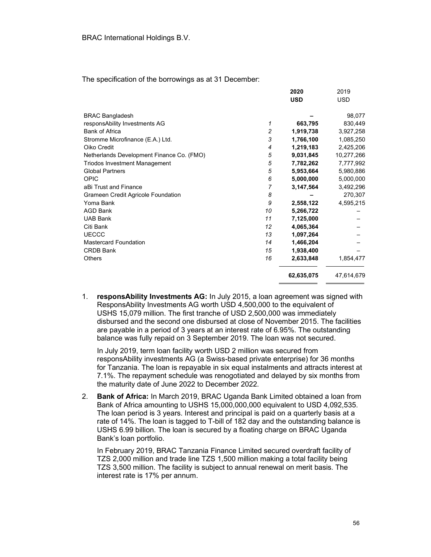The specification of the borrowings as at 31 December:

|                                           |                | 2020       | 2019       |
|-------------------------------------------|----------------|------------|------------|
|                                           |                | <b>USD</b> | <b>USD</b> |
| <b>BRAC Bangladesh</b>                    |                |            | 98,077     |
| responsAbility Investments AG             | 1              | 663,795    | 830,449    |
| <b>Bank of Africa</b>                     | $\overline{c}$ | 1,919,738  | 3,927,258  |
| Stromme Microfinance (E.A.) Ltd.          | 3              | 1,766,100  | 1,085,250  |
| Oiko Credit                               | 4              | 1,219,183  | 2,425,206  |
| Netherlands Development Finance Co. (FMO) | 5              | 9,031,845  | 10,277,266 |
| <b>Triodos Investment Management</b>      | 5              | 7,782,262  | 7,777,992  |
| <b>Global Partners</b>                    | 5              | 5,953,664  | 5,980,886  |
| OPIC                                      | 6              | 5,000,000  | 5,000,000  |
| aBi Trust and Finance                     | 7              | 3,147,564  | 3,492,296  |
| Grameen Credit Agricole Foundation        | 8              |            | 270,307    |
| Yoma Bank                                 | 9              | 2,558,122  | 4,595,215  |
| <b>AGD Bank</b>                           | 10             | 5,266,722  |            |
| <b>UAB Bank</b>                           | 11             | 7,125,000  |            |
| Citi Bank                                 | 12             | 4,065,364  |            |
| <b>UECCC</b>                              | 13             | 1,097,264  |            |
| <b>Mastercard Foundation</b>              | 14             | 1,466,204  |            |
| <b>CRDB Bank</b>                          | 15             | 1,938,400  |            |
| <b>Others</b>                             | 16             | 2,633,848  | 1,854,477  |
|                                           |                | 62,635,075 | 47,614,679 |

1. responsAbility Investments AG: In July 2015, a loan agreement was signed with ResponsAbility Investments AG worth USD 4,500,000 to the equivalent of USHS 15,079 million. The first tranche of USD 2,500,000 was immediately disbursed and the second one disbursed at close of November 2015. The facilities are payable in a period of 3 years at an interest rate of 6.95%. The outstanding balance was fully repaid on 3 September 2019. The loan was not secured.

In July 2019, term loan facility worth USD 2 million was secured from responsAbility investments AG (a Swiss-based private enterprise) for 36 months for Tanzania. The loan is repayable in six equal instalments and attracts interest at 7.1%. The repayment schedule was renogotiated and delayed by six months from the maturity date of June 2022 to December 2022.

2. Bank of Africa: In March 2019, BRAC Uganda Bank Limited obtained a loan from Bank of Africa amounting to USHS 15,000,000,000 equivalent to USD 4,092,535. The loan period is 3 years. Interest and principal is paid on a quarterly basis at a rate of 14%. The loan is tagged to T-bill of 182 day and the outstanding balance is USHS 6.99 billion. The loan is secured by a floating charge on BRAC Uganda Bank's loan portfolio.

In February 2019, BRAC Tanzania Finance Limited secured overdraft facility of TZS 2,000 million and trade line TZS 1,500 million making a total facility being TZS 3,500 million. The facility is subject to annual renewal on merit basis. The interest rate is 17% per annum.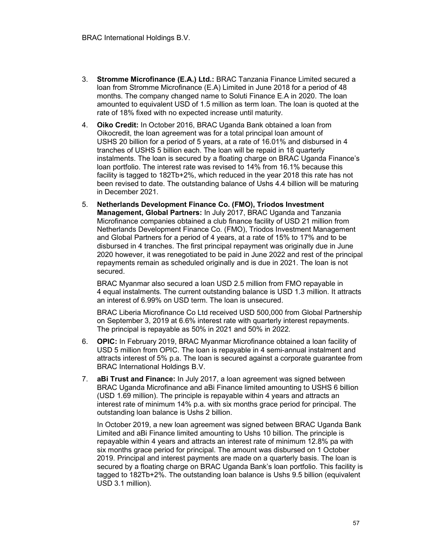- 3. Stromme Microfinance (E.A.) Ltd.: BRAC Tanzania Finance Limited secured a loan from Stromme Microfinance (E.A) Limited in June 2018 for a period of 48 months. The company changed name to Soluti Finance E.A in 2020. The loan amounted to equivalent USD of 1.5 million as term loan. The loan is quoted at the rate of 18% fixed with no expected increase until maturity.
- 4. Oiko Credit: In October 2016, BRAC Uganda Bank obtained a loan from Oikocredit, the loan agreement was for a total principal loan amount of USHS 20 billion for a period of 5 years, at a rate of 16.01% and disbursed in 4 tranches of USHS 5 billion each. The loan will be repaid in 18 quarterly instalments. The loan is secured by a floating charge on BRAC Uganda Finance's loan portfolio. The interest rate was revised to 14% from 16.1% because this facility is tagged to 182Tb+2%, which reduced in the year 2018 this rate has not been revised to date. The outstanding balance of Ushs 4.4 billion will be maturing in December 2021.
- 5. Netherlands Development Finance Co. (FMO), Triodos Investment Management, Global Partners: In July 2017, BRAC Uganda and Tanzania Microfinance companies obtained a club finance facility of USD 21 million from Netherlands Development Finance Co. (FMO), Triodos Investment Management and Global Partners for a period of 4 years, at a rate of 15% to 17% and to be disbursed in 4 tranches. The first principal repayment was originally due in June 2020 however, it was renegotiated to be paid in June 2022 and rest of the principal repayments remain as scheduled originally and is due in 2021. The loan is not secured.

BRAC Myanmar also secured a loan USD 2.5 million from FMO repayable in 4 equal instalments. The current outstanding balance is USD 1.3 million. It attracts an interest of 6.99% on USD term. The loan is unsecured.

BRAC Liberia Microfinance Co Ltd received USD 500,000 from Global Partnership on September 3, 2019 at 6.6% interest rate with quarterly interest repayments. The principal is repayable as 50% in 2021 and 50% in 2022.

- 6. OPIC: In February 2019, BRAC Myanmar Microfinance obtained a loan facility of USD 5 million from OPIC. The loan is repayable in 4 semi-annual instalment and attracts interest of 5% p.a. The loan is secured against a corporate guarantee from BRAC International Holdings B.V.
- 7. **aBi Trust and Finance:** In July 2017, a loan agreement was signed between BRAC Uganda Microfinance and aBi Finance limited amounting to USHS 6 billion (USD 1.69 million). The principle is repayable within 4 years and attracts an interest rate of minimum 14% p.a. with six months grace period for principal. The outstanding loan balance is Ushs 2 billion.

 In October 2019, a new loan agreement was signed between BRAC Uganda Bank Limited and aBi Finance limited amounting to Ushs 10 billion. The principle is repayable within 4 years and attracts an interest rate of minimum 12.8% pa with six months grace period for principal. The amount was disbursed on 1 October 2019. Principal and interest payments are made on a quarterly basis. The loan is secured by a floating charge on BRAC Uganda Bank's loan portfolio. This facility is tagged to 182Tb+2%. The outstanding loan balance is Ushs 9.5 billion (equivalent USD 3.1 million).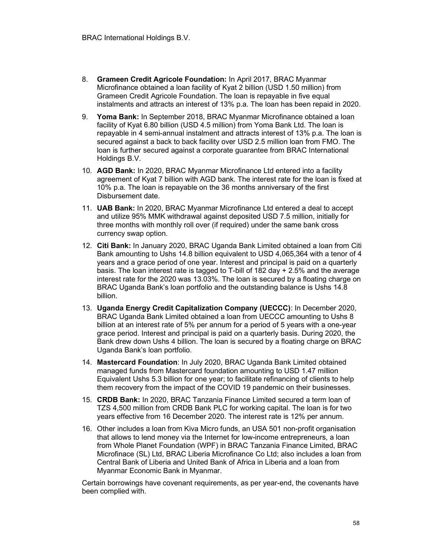- 8. Grameen Credit Agricole Foundation: In April 2017, BRAC Myanmar Microfinance obtained a loan facility of Kyat 2 billion (USD 1.50 million) from Grameen Credit Agricole Foundation. The loan is repayable in five equal instalments and attracts an interest of 13% p.a. The loan has been repaid in 2020.
- 9. Yoma Bank: In September 2018, BRAC Myanmar Microfinance obtained a loan facility of Kyat 6.80 billion (USD 4.5 million) from Yoma Bank Ltd. The loan is repayable in 4 semi-annual instalment and attracts interest of 13% p.a. The loan is secured against a back to back facility over USD 2.5 million loan from FMO. The loan is further secured against a corporate guarantee from BRAC International Holdings B.V.
- 10. AGD Bank: In 2020, BRAC Myanmar Microfinance Ltd entered into a facility agreement of Kyat 7 billion with AGD bank. The interest rate for the loan is fixed at 10% p.a. The loan is repayable on the 36 months anniversary of the first Disbursement date.
- 11. UAB Bank: In 2020, BRAC Myanmar Microfinance Ltd entered a deal to accept and utilize 95% MMK withdrawal against deposited USD 7.5 million, initially for three months with monthly roll over (if required) under the same bank cross currency swap option.
- 12. Citi Bank: In January 2020, BRAC Uganda Bank Limited obtained a loan from Citi Bank amounting to Ushs 14.8 billion equivalent to USD 4,065,364 with a tenor of 4 years and a grace period of one year. Interest and principal is paid on a quarterly basis. The loan interest rate is tagged to T-bill of 182 day + 2.5% and the average interest rate for the 2020 was 13.03%. The loan is secured by a floating charge on BRAC Uganda Bank's loan portfolio and the outstanding balance is Ushs 14.8 billion.
- 13. Uganda Energy Credit Capitalization Company (UECCC): In December 2020, BRAC Uganda Bank Limited obtained a loan from UECCC amounting to Ushs 8 billion at an interest rate of 5% per annum for a period of 5 years with a one-year grace period. Interest and principal is paid on a quarterly basis. During 2020, the Bank drew down Ushs 4 billion. The loan is secured by a floating charge on BRAC Uganda Bank's loan portfolio.
- 14. Mastercard Foundation: In July 2020, BRAC Uganda Bank Limited obtained managed funds from Mastercard foundation amounting to USD 1.47 million Equivalent Ushs 5.3 billion for one year; to facilitate refinancing of clients to help them recovery from the impact of the COVID 19 pandemic on their businesses.
- 15. CRDB Bank: In 2020, BRAC Tanzania Finance Limited secured a term loan of TZS 4,500 million from CRDB Bank PLC for working capital. The loan is for two years effective from 16 December 2020. The interest rate is 12% per annum.
- 16. Other includes a loan from Kiva Micro funds, an USA 501 non-profit organisation that allows to lend money via the Internet for low-income entrepreneurs, a loan from Whole Planet Foundation (WPF) in BRAC Tanzania Finance Limited, BRAC Microfinace (SL) Ltd, BRAC Liberia Microfinance Co Ltd; also includes a loan from Central Bank of Liberia and United Bank of Africa in Liberia and a loan from Myanmar Economic Bank in Myanmar.

Certain borrowings have covenant requirements, as per year-end, the covenants have been complied with.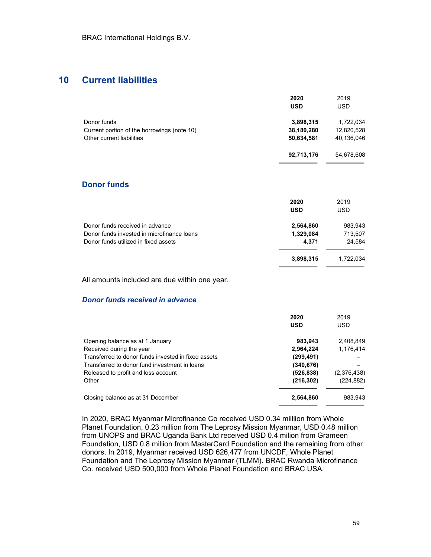# 10 Current liabilities

|                                             | 2020       | 2019       |
|---------------------------------------------|------------|------------|
|                                             | <b>USD</b> | <b>USD</b> |
| Donor funds                                 | 3,898,315  | 1,722,034  |
| Current portion of the borrowings (note 10) | 38,180,280 | 12,820,528 |
| Other current liabilities                   | 50,634,581 | 40,136,046 |
|                                             | 92,713,176 | 54,678,608 |

#### Donor funds

|                                            | 2020<br><b>USD</b> | 2019<br><b>USD</b> |
|--------------------------------------------|--------------------|--------------------|
| Donor funds received in advance            | 2,564,860          | 983,943            |
| Donor funds invested in microfinance loans | 1,329,084          | 713,507            |
| Donor funds utilized in fixed assets       | 4.371              | 24,584             |
|                                            | 3,898,315          | 1,722,034          |

All amounts included are due within one year.

#### Donor funds received in advance

|                                                     | 2020<br><b>USD</b> | 2019<br><b>USD</b> |
|-----------------------------------------------------|--------------------|--------------------|
| Opening balance as at 1 January                     | 983,943            | 2,408,849          |
| Received during the year                            | 2,964,224          | 1.176.414          |
| Transferred to donor funds invested in fixed assets | (299,491)          |                    |
| Transferred to donor fund investment in loans       | (340,676)          |                    |
| Released to profit and loss account                 | (526, 838)         | (2,376,438)        |
| Other                                               | (216, 302)         | (224, 882)         |
| Closing balance as at 31 December                   | 2,564,860          | 983.943            |

In 2020, BRAC Myanmar Microfinance Co received USD 0.34 milllion from Whole Planet Foundation, 0.23 million from The Leprosy Mission Myanmar, USD 0.48 million from UNOPS and BRAC Uganda Bank Ltd received USD 0.4 milion from Grameen Foundation, USD 0.8 million from MasterCard Foundation and the remaining from other donors. In 2019, Myanmar received USD 626,477 from UNCDF, Whole Planet Foundation and The Leprosy Mission Myanmar (TLMM). BRAC Rwanda Microfinance Co. received USD 500,000 from Whole Planet Foundation and BRAC USA.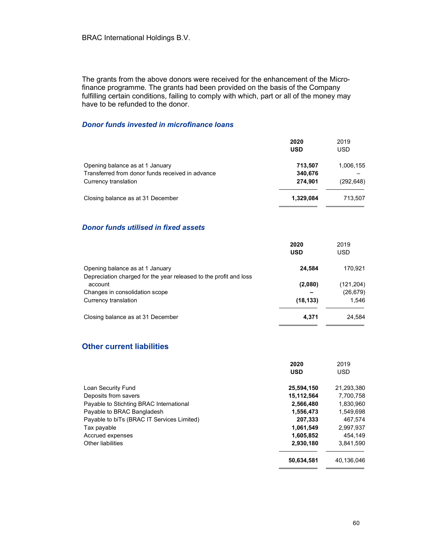The grants from the above donors were received for the enhancement of the Microfinance programme. The grants had been provided on the basis of the Company fulfilling certain conditions, failing to comply with which, part or all of the money may have to be refunded to the donor.

#### Donor funds invested in microfinance loans

|                                                  | 2020<br><b>USD</b> | 2019<br><b>USD</b> |
|--------------------------------------------------|--------------------|--------------------|
| Opening balance as at 1 January                  | 713,507            | 1,006,155          |
| Transferred from donor funds received in advance | 340,676            |                    |
| Currency translation                             | 274,901            | (292, 648)         |
| Closing balance as at 31 December                | 1,329,084          | 713,507            |

#### Donor funds utilised in fixed assets

|                                                                   | 2020<br><b>USD</b> | 2019<br><b>USD</b> |
|-------------------------------------------------------------------|--------------------|--------------------|
| Opening balance as at 1 January                                   | 24,584             | 170,921            |
| Depreciation charged for the year released to the profit and loss |                    |                    |
| account                                                           | (2,080)            | (121,204)          |
| Changes in consolidation scope                                    |                    | (26, 679)          |
| Currency translation                                              | (18, 133)          | 1.546              |
| Closing balance as at 31 December                                 | 4,371              | 24.584             |

### Other current liabilities

|                                            | 2020       | 2019       |
|--------------------------------------------|------------|------------|
|                                            | <b>USD</b> | <b>USD</b> |
| Loan Security Fund                         | 25,594,150 | 21,293,380 |
| Deposits from savers                       | 15,112,564 | 7,700,758  |
| Payable to Stichting BRAC International    | 2,566,480  | 1.830.960  |
| Payable to BRAC Bangladesh                 | 1,556,473  | 1,549,698  |
| Payable to biTs (BRAC IT Services Limited) | 207.333    | 467.574    |
| Tax payable                                | 1,061,549  | 2,997,937  |
| Accrued expenses                           | 1,605,852  | 454.149    |
| Other liabilities                          | 2,930,180  | 3.841.590  |
|                                            | 50,634,581 | 40.136.046 |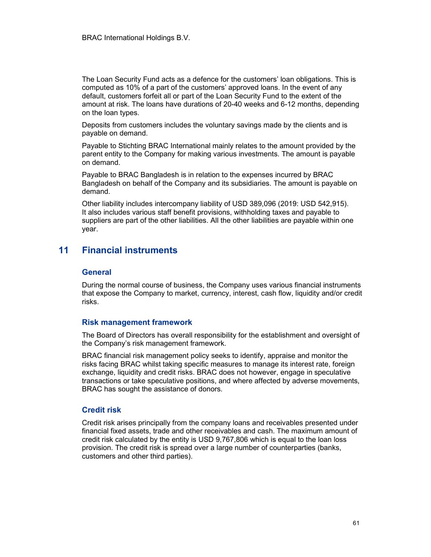The Loan Security Fund acts as a defence for the customers' loan obligations. This is computed as 10% of a part of the customers' approved loans. In the event of any default, customers forfeit all or part of the Loan Security Fund to the extent of the amount at risk. The loans have durations of 20-40 weeks and 6-12 months, depending on the loan types.

Deposits from customers includes the voluntary savings made by the clients and is payable on demand.

Payable to Stichting BRAC International mainly relates to the amount provided by the parent entity to the Company for making various investments. The amount is payable on demand.

Payable to BRAC Bangladesh is in relation to the expenses incurred by BRAC Bangladesh on behalf of the Company and its subsidiaries. The amount is payable on demand.

Other liability includes intercompany liability of USD 389,096 (2019: USD 542,915). It also includes various staff benefit provisions, withholding taxes and payable to suppliers are part of the other liabilities. All the other liabilities are payable within one year.

# 11 Financial instruments

#### **General**

During the normal course of business, the Company uses various financial instruments that expose the Company to market, currency, interest, cash flow, liquidity and/or credit risks.

#### Risk management framework

The Board of Directors has overall responsibility for the establishment and oversight of the Company's risk management framework.

BRAC financial risk management policy seeks to identify, appraise and monitor the risks facing BRAC whilst taking specific measures to manage its interest rate, foreign exchange, liquidity and credit risks. BRAC does not however, engage in speculative transactions or take speculative positions, and where affected by adverse movements, BRAC has sought the assistance of donors.

#### Credit risk

Credit risk arises principally from the company loans and receivables presented under financial fixed assets, trade and other receivables and cash. The maximum amount of credit risk calculated by the entity is USD 9,767,806 which is equal to the loan loss provision. The credit risk is spread over a large number of counterparties (banks, customers and other third parties).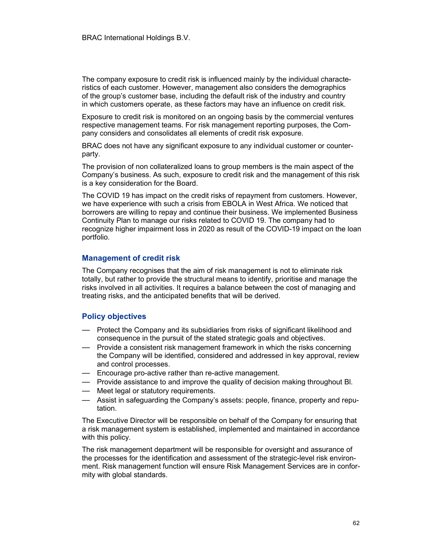The company exposure to credit risk is influenced mainly by the individual characteristics of each customer. However, management also considers the demographics of the group's customer base, including the default risk of the industry and country in which customers operate, as these factors may have an influence on credit risk.

Exposure to credit risk is monitored on an ongoing basis by the commercial ventures respective management teams. For risk management reporting purposes, the Company considers and consolidates all elements of credit risk exposure.

BRAC does not have any significant exposure to any individual customer or counterparty.

The provision of non collateralized loans to group members is the main aspect of the Company's business. As such, exposure to credit risk and the management of this risk is a key consideration for the Board.

The COVID 19 has impact on the credit risks of repayment from customers. However, we have experience with such a crisis from EBOLA in West Africa. We noticed that borrowers are willing to repay and continue their business. We implemented Business Continuity Plan to manage our risks related to COVID 19. The company had to recognize higher impairment loss in 2020 as result of the COVID-19 impact on the loan portfolio.

#### Management of credit risk

The Company recognises that the aim of risk management is not to eliminate risk totally, but rather to provide the structural means to identify, prioritise and manage the risks involved in all activities. It requires a balance between the cost of managing and treating risks, and the anticipated benefits that will be derived.

#### Policy objectives

- Protect the Company and its subsidiaries from risks of significant likelihood and consequence in the pursuit of the stated strategic goals and objectives.
- Provide a consistent risk management framework in which the risks concerning the Company will be identified, considered and addressed in key approval, review and control processes.
- Encourage pro-active rather than re-active management.
- Provide assistance to and improve the quality of decision making throughout Bl.
- Meet legal or statutory requirements.
- Assist in safeguarding the Company's assets: people, finance, property and reputation.

The Executive Director will be responsible on behalf of the Company for ensuring that a risk management system is established, implemented and maintained in accordance with this policy.

The risk management department will be responsible for oversight and assurance of the processes for the identification and assessment of the strategic-level risk environment. Risk management function will ensure Risk Management Services are in conformity with global standards.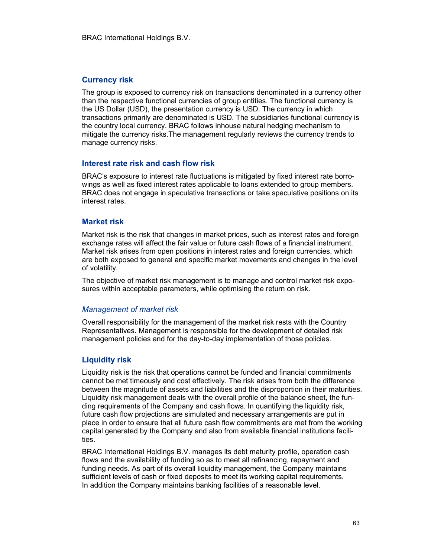#### Currency risk

The group is exposed to currency risk on transactions denominated in a currency other than the respective functional currencies of group entities. The functional currency is the US Dollar (USD), the presentation currency is USD. The currency in which transactions primarily are denominated is USD. The subsidiaries functional currency is the country local currency. BRAC follows inhouse natural hedging mechanism to mitigate the currency risks.The management regularly reviews the currency trends to manage currency risks.

#### Interest rate risk and cash flow risk

BRAC's exposure to interest rate fluctuations is mitigated by fixed interest rate borrowings as well as fixed interest rates applicable to loans extended to group members. BRAC does not engage in speculative transactions or take speculative positions on its interest rates.

#### Market risk

Market risk is the risk that changes in market prices, such as interest rates and foreign exchange rates will affect the fair value or future cash flows of a financial instrument. Market risk arises from open positions in interest rates and foreign currencies, which are both exposed to general and specific market movements and changes in the level of volatility.

The objective of market risk management is to manage and control market risk exposures within acceptable parameters, while optimising the return on risk.

#### Management of market risk

Overall responsibility for the management of the market risk rests with the Country Representatives. Management is responsible for the development of detailed risk management policies and for the day-to-day implementation of those policies.

### Liquidity risk

Liquidity risk is the risk that operations cannot be funded and financial commitments cannot be met timeously and cost effectively. The risk arises from both the difference between the magnitude of assets and liabilities and the disproportion in their maturities. Liquidity risk management deals with the overall profile of the balance sheet, the funding requirements of the Company and cash flows. In quantifying the liquidity risk, future cash flow projections are simulated and necessary arrangements are put in place in order to ensure that all future cash flow commitments are met from the working capital generated by the Company and also from available financial institutions facilities.

BRAC International Holdings B.V. manages its debt maturity profile, operation cash flows and the availability of funding so as to meet all refinancing, repayment and funding needs. As part of its overall liquidity management, the Company maintains sufficient levels of cash or fixed deposits to meet its working capital requirements. In addition the Company maintains banking facilities of a reasonable level.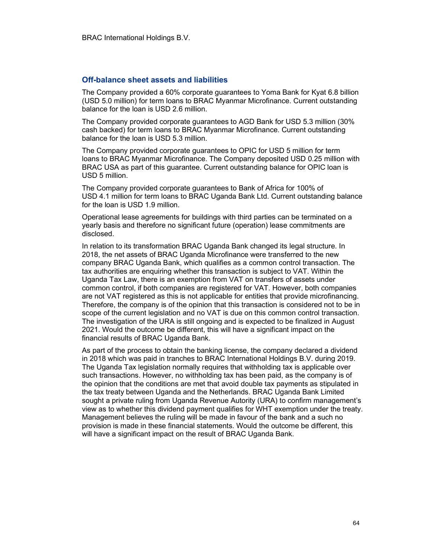#### Off-balance sheet assets and liabilities

The Company provided a 60% corporate guarantees to Yoma Bank for Kyat 6.8 billion (USD 5.0 million) for term loans to BRAC Myanmar Microfinance. Current outstanding balance for the loan is USD 2.6 million.

The Company provided corporate guarantees to AGD Bank for USD 5.3 million (30% cash backed) for term loans to BRAC Myanmar Microfinance. Current outstanding balance for the loan is USD 5.3 million.

The Company provided corporate guarantees to OPIC for USD 5 million for term loans to BRAC Myanmar Microfinance. The Company deposited USD 0.25 million with BRAC USA as part of this guarantee. Current outstanding balance for OPIC loan is USD 5 million.

The Company provided corporate guarantees to Bank of Africa for 100% of USD 4.1 million for term loans to BRAC Uganda Bank Ltd. Current outstanding balance for the loan is USD 1.9 million.

Operational lease agreements for buildings with third parties can be terminated on a yearly basis and therefore no significant future (operation) lease commitments are disclosed.

In relation to its transformation BRAC Uganda Bank changed its legal structure. In 2018, the net assets of BRAC Uganda Microfinance were transferred to the new company BRAC Uganda Bank, which qualifies as a common control transaction. The tax authorities are enquiring whether this transaction is subject to VAT. Within the Uganda Tax Law, there is an exemption from VAT on transfers of assets under common control, if both companies are registered for VAT. However, both companies are not VAT registered as this is not applicable for entities that provide microfinancing. Therefore, the company is of the opinion that this transaction is considered not to be in scope of the current legislation and no VAT is due on this common control transaction. The investigation of the URA is still ongoing and is expected to be finalized in August 2021. Would the outcome be different, this will have a significant impact on the financial results of BRAC Uganda Bank.

As part of the process to obtain the banking license, the company declared a dividend in 2018 which was paid in tranches to BRAC International Holdings B.V. during 2019. The Uganda Tax legislation normally requires that withholding tax is applicable over such transactions. However, no withholding tax has been paid, as the company is of the opinion that the conditions are met that avoid double tax payments as stipulated in the tax treaty between Uganda and the Netherlands. BRAC Uganda Bank Limited sought a private ruling from Uganda Revenue Autority (URA) to confirm management's view as to whether this dividend payment qualifies for WHT exemption under the treaty. Management believes the ruling will be made in favour of the bank and a such no provision is made in these financial statements. Would the outcome be different, this will have a significant impact on the result of BRAC Uganda Bank.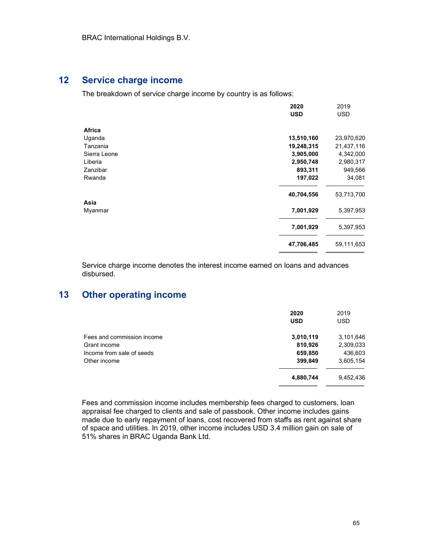### 12 Service charge income

The breakdown of service charge income by country is as follows:

|              | 2020       | 2019       |
|--------------|------------|------------|
|              | <b>USD</b> | <b>USD</b> |
| Africa       |            |            |
| Uganda       | 13,510,160 | 23,970,620 |
| Tanzania     | 19,248,315 | 21,437,116 |
| Sierra Leone | 3,905,000  | 4,342,000  |
| Liberia      | 2,950,748  | 2,980,317  |
| Zanzibar     | 893,311    | 949,566    |
| Rwanda       | 197,022    | 34,081     |
|              | 40,704,556 | 53,713,700 |
| Asia         |            |            |
| Myanmar      | 7,001,929  | 5,397,953  |
|              | 7,001,929  | 5,397,953  |
|              | 47,706,485 | 59,111,653 |

Service charge income denotes the interest income earned on loans and advances disbursed.

# 13 Other operating income

|                            | 2020       | 2019       |
|----------------------------|------------|------------|
|                            | <b>USD</b> | <b>USD</b> |
| Fees and commission income | 3,010,119  | 3,101,646  |
| Grant income               | 810,926    | 2,309,033  |
| Income from sale of seeds  | 659,850    | 436,603    |
| Other income               | 399,849    | 3,605,154  |
|                            | 4,880,744  | 9,452,436  |

Fees and commission income includes membership fees charged to customers, loan appraisal fee charged to clients and sale of passbook. Other income includes gains made due to early repayment of loans, cost recovered from staffs as rent against share of space and utilities. In 2019, other income includes USD 3.4 million gain on sale of 51% shares in BRAC Uganda Bank Ltd.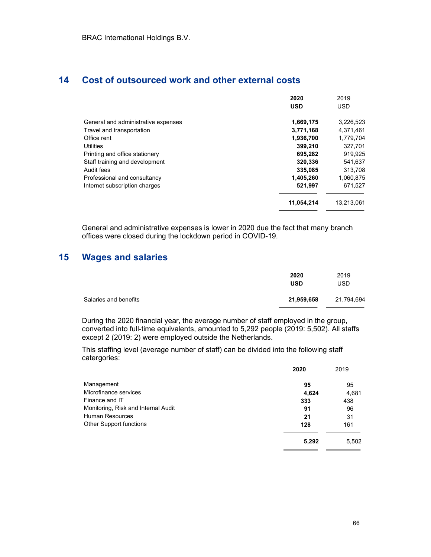# 14 Cost of outsourced work and other external costs

|                                     | 2020       | 2019       |
|-------------------------------------|------------|------------|
|                                     | <b>USD</b> | <b>USD</b> |
|                                     |            |            |
| General and administrative expenses | 1,669,175  | 3,226,523  |
| Travel and transportation           | 3,771,168  | 4,371,461  |
| Office rent                         | 1,936,700  | 1,779,704  |
| <b>Utilities</b>                    | 399,210    | 327,701    |
| Printing and office stationery      | 695,282    | 919,925    |
| Staff training and development      | 320.336    | 541,637    |
| Audit fees                          | 335,085    | 313,708    |
| Professional and consultancy        | 1,405,260  | 1,060,875  |
| Internet subscription charges       | 521,997    | 671,527    |
|                                     | 11,054,214 | 13.213.061 |

General and administrative expenses is lower in 2020 due the fact that many branch offices were closed during the lockdown period in COVID-19.

# 15 Wages and salaries

|                       | 2020<br><b>USD</b> | 2019<br>USD |
|-----------------------|--------------------|-------------|
| Salaries and benefits | 21,959,658         | 21,794,694  |

During the 2020 financial year, the average number of staff employed in the group, converted into full-time equivalents, amounted to 5,292 people (2019: 5,502). All staffs except 2 (2019: 2) were employed outside the Netherlands.

This staffing level (average number of staff) can be divided into the following staff catergories:

|                                     | 2020  | 2019  |
|-------------------------------------|-------|-------|
| Management                          | 95    | 95    |
| Microfinance services               | 4,624 | 4,681 |
| Finance and IT                      | 333   | 438   |
| Monitoring, Risk and Internal Audit | 91    | 96    |
| <b>Human Resources</b>              | 21    | 31    |
| Other Support functions             | 128   | 161   |
|                                     | 5,292 | 5,502 |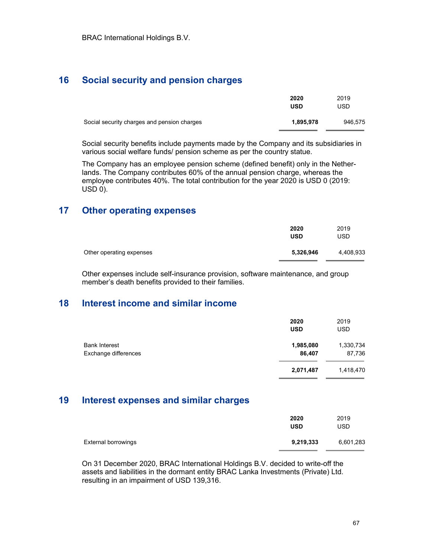# 16 Social security and pension charges

|                                             | 2020<br><b>USD</b> | 2019<br>USD |
|---------------------------------------------|--------------------|-------------|
| Social security charges and pension charges | 1,895,978          | 946,575     |

Social security benefits include payments made by the Company and its subsidiaries in various social welfare funds/ pension scheme as per the country statue.

The Company has an employee pension scheme (defined benefit) only in the Netherlands. The Company contributes 60% of the annual pension charge, whereas the employee contributes 40%. The total contribution for the year 2020 is USD 0 (2019: USD 0).

# 17 Other operating expenses

|                          | 2020<br><b>USD</b> | 2019<br>USD |
|--------------------------|--------------------|-------------|
| Other operating expenses | 5,326,946          | 4,408,933   |

Other expenses include self-insurance provision, software maintenance, and group member's death benefits provided to their families.

### 18 Interest income and similar income

|                                              | 2020<br><b>USD</b>  | 2019<br><b>USD</b>  |
|----------------------------------------------|---------------------|---------------------|
| <b>Bank Interest</b><br>Exchange differences | 1,985,080<br>86,407 | 1,330,734<br>87,736 |
|                                              | 2,071,487           | 1,418,470           |

### 19 Interest expenses and similar charges

|                            | 2020<br><b>USD</b> | 2019<br>USD |
|----------------------------|--------------------|-------------|
| <b>External borrowings</b> | 9,219,333          | 6,601,283   |

On 31 December 2020, BRAC International Holdings B.V. decided to write-off the assets and liabilities in the dormant entity BRAC Lanka Investments (Private) Ltd. resulting in an impairment of USD 139,316.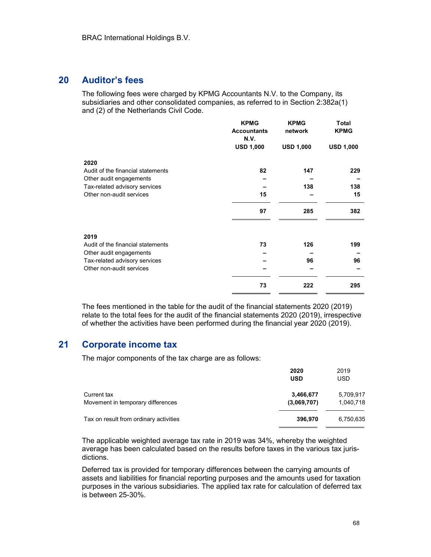# 20 Auditor's fees

The following fees were charged by KPMG Accountants N.V. to the Company, its subsidiaries and other consolidated companies, as referred to in Section 2:382a(1) and (2) of the Netherlands Civil Code.

|                                   | <b>KPMG</b><br><b>Accountants</b><br>N.V. | <b>KPMG</b><br>network | Total<br><b>KPMG</b> |
|-----------------------------------|-------------------------------------------|------------------------|----------------------|
|                                   | <b>USD 1,000</b>                          | <b>USD 1,000</b>       | <b>USD 1,000</b>     |
| 2020                              |                                           |                        |                      |
| Audit of the financial statements | 82                                        | 147                    | 229                  |
| Other audit engagements           |                                           |                        |                      |
| Tax-related advisory services     |                                           | 138                    | 138                  |
| Other non-audit services          | 15                                        |                        | 15                   |
|                                   | 97                                        | 285                    | 382                  |
| 2019                              |                                           |                        |                      |
| Audit of the financial statements | 73                                        | 126                    | 199                  |
| Other audit engagements           |                                           |                        |                      |
| Tax-related advisory services     |                                           | 96                     | 96                   |
| Other non-audit services          |                                           |                        |                      |
|                                   | 73                                        | 222                    | 295                  |
|                                   |                                           |                        |                      |

The fees mentioned in the table for the audit of the financial statements 2020 (2019) relate to the total fees for the audit of the financial statements 2020 (2019), irrespective of whether the activities have been performed during the financial year 2020 (2019).

# 21 Corporate income tax

The major components of the tax charge are as follows:

|                                        | 2020<br><b>USD</b> | 2019<br><b>USD</b> |
|----------------------------------------|--------------------|--------------------|
| Current tax                            | 3,466,677          | 5,709,917          |
| Movement in temporary differences      | (3,069,707)        | 1,040,718          |
| Tax on result from ordinary activities | 396,970            | 6,750,635          |

The applicable weighted average tax rate in 2019 was 34%, whereby the weighted average has been calculated based on the results before taxes in the various tax jurisdictions.

Deferred tax is provided for temporary differences between the carrying amounts of assets and liabilities for financial reporting purposes and the amounts used for taxation purposes in the various subsidiaries. The applied tax rate for calculation of deferred tax is between 25-30%.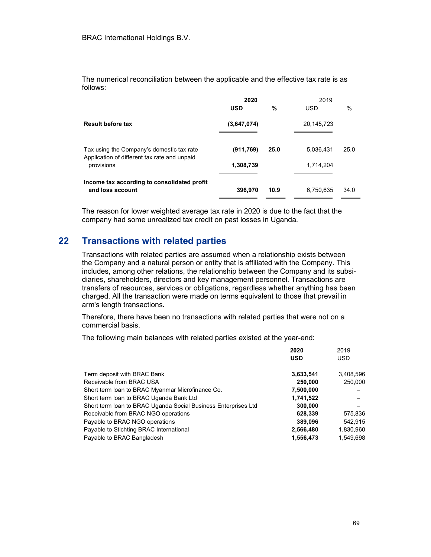The numerical reconciliation between the applicable and the effective tax rate is as follows:

|                                                                                           | 2020        |      | 2019       |      |
|-------------------------------------------------------------------------------------------|-------------|------|------------|------|
|                                                                                           | <b>USD</b>  | %    | <b>USD</b> | $\%$ |
| <b>Result before tax</b>                                                                  | (3,647,074) |      | 20,145,723 |      |
| Tax using the Company's domestic tax rate<br>Application of different tax rate and unpaid | (911, 769)  | 25.0 | 5.036,431  | 25.0 |
| provisions                                                                                | 1,308,739   |      | 1,714,204  |      |
| Income tax according to consolidated profit                                               |             |      |            |      |
| and loss account                                                                          | 396,970     | 10.9 | 6,750,635  | 34.0 |
|                                                                                           |             |      |            |      |

The reason for lower weighted average tax rate in 2020 is due to the fact that the company had some unrealized tax credit on past losses in Uganda.

# 22 Transactions with related parties

Transactions with related parties are assumed when a relationship exists between the Company and a natural person or entity that is affiliated with the Company. This includes, among other relations, the relationship between the Company and its subsidiaries, shareholders, directors and key management personnel. Transactions are transfers of resources, services or obligations, regardless whether anything has been charged. All the transaction were made on terms equivalent to those that prevail in arm's length transactions.

Therefore, there have been no transactions with related parties that were not on a commercial basis.

The following main balances with related parties existed at the year-end:

|                                                                | 2020       | 2019       |
|----------------------------------------------------------------|------------|------------|
|                                                                | <b>USD</b> | <b>USD</b> |
| Term deposit with BRAC Bank                                    | 3,633,541  | 3,408,596  |
| Receivable from BRAC USA                                       | 250,000    | 250,000    |
| Short term loan to BRAC Myanmar Microfinance Co.               | 7,500,000  |            |
| Short term loan to BRAC Uganda Bank Ltd                        | 1,741,522  |            |
| Short term loan to BRAC Uganda Social Business Enterprises Ltd | 300,000    |            |
| Receivable from BRAC NGO operations                            | 628,339    | 575,836    |
| Payable to BRAC NGO operations                                 | 389,096    | 542.915    |
| Payable to Stichting BRAC International                        | 2,566,480  | 1,830,960  |
| Payable to BRAC Bangladesh                                     | 1,556,473  | 1.549.698  |
|                                                                |            |            |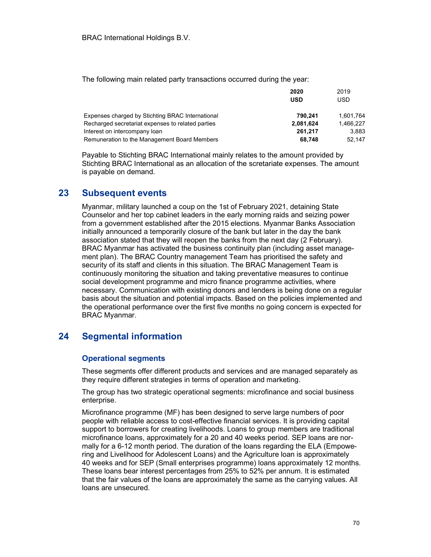The following main related party transactions occurred during the year:

|                                                   | 2020      | 2019      |
|---------------------------------------------------|-----------|-----------|
|                                                   | USD       | USD.      |
| Expenses charged by Stichting BRAC International  | 790.241   | 1,601,764 |
| Recharged secretariat expenses to related parties | 2,081,624 | 1.466.227 |
| Interest on intercompany loan                     | 261,217   | 3.883     |
| Remuneration to the Management Board Members      | 68.748    | 52.147    |
|                                                   |           |           |

Payable to Stichting BRAC International mainly relates to the amount provided by Stichting BRAC International as an allocation of the scretariate expenses. The amount is payable on demand.

# 23 Subsequent events

Myanmar, military launched a coup on the 1st of February 2021, detaining State Counselor and her top cabinet leaders in the early morning raids and seizing power from a government established after the 2015 elections. Myanmar Banks Association initially announced a temporarily closure of the bank but later in the day the bank association stated that they will reopen the banks from the next day (2 February). BRAC Myanmar has activated the business continuity plan (including asset management plan). The BRAC Country management Team has prioritised the safety and security of its staff and clients in this situation. The BRAC Management Team is continuously monitoring the situation and taking preventative measures to continue social development programme and micro finance programme activities, where necessary. Communication with existing donors and lenders is being done on a regular basis about the situation and potential impacts. Based on the policies implemented and the operational performance over the first five months no going concern is expected for BRAC Myanmar.

# 24 Segmental information

#### Operational segments

These segments offer different products and services and are managed separately as they require different strategies in terms of operation and marketing.

The group has two strategic operational segments: microfinance and social business enterprise.

Microfinance programme (MF) has been designed to serve large numbers of poor people with reliable access to cost-effective financial services. It is providing capital support to borrowers for creating livelihoods. Loans to group members are traditional microfinance loans, approximately for a 20 and 40 weeks period. SEP loans are normally for a 6-12 month period. The duration of the loans regarding the ELA (Empowering and Livelihood for Adolescent Loans) and the Agriculture loan is approximately 40 weeks and for SEP (Small enterprises programme) loans approximately 12 months. These loans bear interest percentages from 25% to 52% per annum. It is estimated that the fair values of the loans are approximately the same as the carrying values. All loans are unsecured.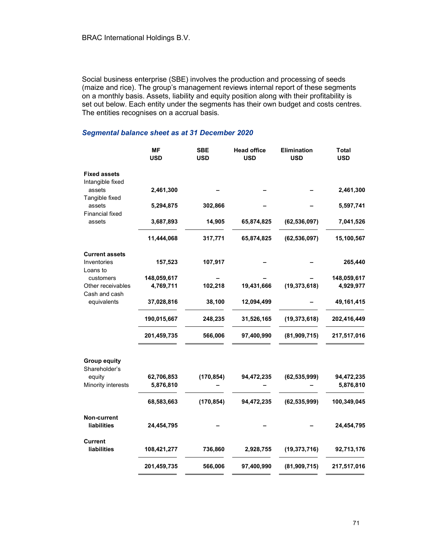Social business enterprise (SBE) involves the production and processing of seeds (maize and rice). The group's management reviews internal report of these segments on a monthly basis. Assets, liability and equity position along with their profitability is set out below. Each entity under the segments has their own budget and costs centres. The entities recognises on a accrual basis.

#### Segmental balance sheet as at 31 December 2020

|                                         | <b>MF</b><br><b>USD</b> | <b>SBE</b><br><b>USD</b> | <b>Head office</b><br><b>USD</b> | Elimination<br><b>USD</b> | <b>Total</b><br><b>USD</b> |
|-----------------------------------------|-------------------------|--------------------------|----------------------------------|---------------------------|----------------------------|
| <b>Fixed assets</b><br>Intangible fixed |                         |                          |                                  |                           |                            |
| assets<br>Tangible fixed                | 2,461,300               |                          |                                  |                           | 2,461,300                  |
| assets<br><b>Financial fixed</b>        | 5,294,875               | 302,866                  |                                  |                           | 5,597,741                  |
| assets                                  | 3,687,893               | 14,905                   | 65,874,825                       | (62, 536, 097)            | 7,041,526                  |
|                                         | 11,444,068              | 317,771                  | 65,874,825                       | (62, 536, 097)            | 15,100,567                 |
| <b>Current assets</b>                   |                         |                          |                                  |                           |                            |
| Inventories<br>Loans to                 | 157,523                 | 107,917                  |                                  |                           | 265,440                    |
| customers                               | 148,059,617             |                          |                                  |                           | 148,059,617                |
| Other receivables<br>Cash and cash      | 4,769,711               | 102,218                  | 19,431,666                       | (19, 373, 618)            | 4,929,977                  |
| equivalents                             | 37,028,816              | 38,100                   | 12,094,499                       |                           | 49, 161, 415               |
|                                         | 190,015,667             | 248,235                  | 31,526,165                       | (19, 373, 618)            | 202,416,449                |
|                                         | 201,459,735             | 566,006                  | 97,400,990                       | (81, 909, 715)            | 217,517,016                |
| <b>Group equity</b>                     |                         |                          |                                  |                           |                            |
| Shareholder's                           |                         |                          |                                  |                           |                            |
| equity<br>Minority interests            | 62,706,853<br>5,876,810 | (170, 854)               | 94,472,235                       | (62, 535, 999)            | 94,472,235<br>5,876,810    |
|                                         | 68,583,663              | (170, 854)               | 94,472,235                       | (62, 535, 999)            | 100,349,045                |
| Non-current                             |                         |                          |                                  |                           |                            |
| liabilities                             | 24,454,795              |                          |                                  |                           | 24,454,795                 |
| Current<br><b>liabilities</b>           | 108,421,277             | 736,860                  | 2,928,755                        | (19, 373, 716)            | 92,713,176                 |
|                                         | 201,459,735             | 566,006                  | 97,400,990                       | (81,909,715)              | 217,517,016                |
|                                         |                         |                          |                                  |                           |                            |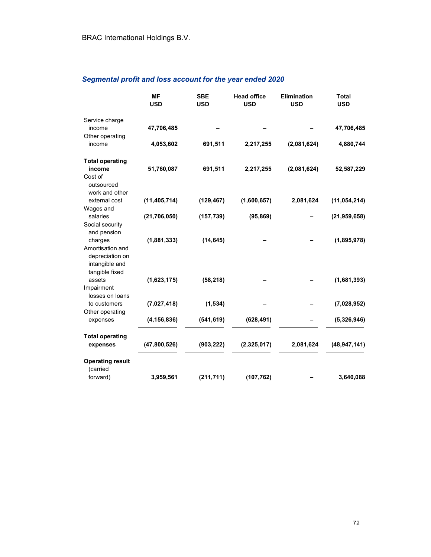# Segmental profit and loss account for the year ended 2020

|                         | <b>MF</b><br><b>USD</b> | <b>SBE</b><br><b>USD</b> | <b>Head office</b><br><b>USD</b> | <b>Elimination</b><br><b>USD</b> | <b>Total</b><br><b>USD</b> |
|-------------------------|-------------------------|--------------------------|----------------------------------|----------------------------------|----------------------------|
|                         |                         |                          |                                  |                                  |                            |
| Service charge          |                         |                          |                                  |                                  |                            |
| income                  | 47,706,485              |                          |                                  |                                  | 47,706,485                 |
| Other operating         |                         |                          |                                  |                                  |                            |
| income                  | 4,053,602               | 691,511                  | 2,217,255                        | (2,081,624)                      | 4,880,744                  |
| <b>Total operating</b>  |                         |                          |                                  |                                  |                            |
| income                  | 51,760,087              | 691,511                  | 2,217,255                        | (2,081,624)                      | 52,587,229                 |
| Cost of                 |                         |                          |                                  |                                  |                            |
| outsourced              |                         |                          |                                  |                                  |                            |
| work and other          |                         |                          |                                  |                                  |                            |
| external cost           | (11, 405, 714)          | (129, 467)               | (1,600,657)                      | 2,081,624                        | (11, 054, 214)             |
| Wages and               |                         |                          |                                  |                                  |                            |
| salaries                | (21, 706, 050)          | (157, 739)               | (95, 869)                        |                                  | (21, 959, 658)             |
| Social security         |                         |                          |                                  |                                  |                            |
| and pension             |                         |                          |                                  |                                  |                            |
| charges                 | (1,881,333)             | (14, 645)                |                                  |                                  | (1,895,978)                |
| Amortisation and        |                         |                          |                                  |                                  |                            |
| depreciation on         |                         |                          |                                  |                                  |                            |
| intangible and          |                         |                          |                                  |                                  |                            |
| tangible fixed          |                         |                          |                                  |                                  |                            |
| assets                  | (1,623,175)             | (58, 218)                |                                  |                                  | (1,681,393)                |
| Impairment              |                         |                          |                                  |                                  |                            |
| losses on loans         |                         |                          |                                  |                                  |                            |
| to customers            | (7,027,418)             | (1, 534)                 |                                  |                                  | (7,028,952)                |
| Other operating         |                         |                          |                                  |                                  |                            |
| expenses                | (4, 156, 836)           | (541, 619)               | (628, 491)                       |                                  | (5,326,946)                |
| <b>Total operating</b>  |                         |                          |                                  |                                  |                            |
| expenses                | (47,800,526)            | (903, 222)               | (2,325,017)                      | 2,081,624                        | (48, 947, 141)             |
|                         |                         |                          |                                  |                                  |                            |
| <b>Operating result</b> |                         |                          |                                  |                                  |                            |
| (carried                |                         |                          |                                  |                                  |                            |
| forward)                | 3,959,561               | (211, 711)               | (107, 762)                       |                                  | 3,640,088                  |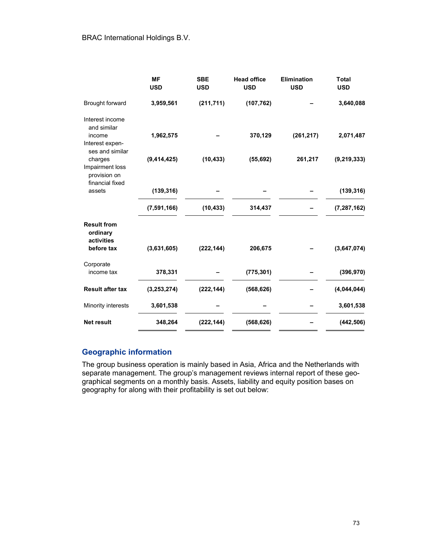|                                                    | <b>MF</b><br><b>USD</b> | <b>SBE</b><br><b>USD</b> | <b>Head office</b><br><b>USD</b> | <b>Elimination</b><br><b>USD</b> | <b>Total</b><br><b>USD</b> |
|----------------------------------------------------|-------------------------|--------------------------|----------------------------------|----------------------------------|----------------------------|
| Brought forward                                    | 3,959,561               | (211, 711)               | (107, 762)                       |                                  | 3,640,088                  |
| Interest income<br>and similar<br>income           | 1,962,575               |                          | 370,129                          | (261, 217)                       | 2,071,487                  |
| Interest expen-<br>ses and similar<br>charges      | (9, 414, 425)           | (10, 433)                | (55, 692)                        | 261,217                          | (9, 219, 333)              |
| Impairment loss<br>provision on<br>financial fixed |                         |                          |                                  |                                  |                            |
| assets                                             | (139, 316)              |                          |                                  |                                  | (139, 316)                 |
|                                                    | (7, 591, 166)           | (10, 433)                | 314,437                          |                                  | (7, 287, 162)              |
| <b>Result from</b><br>ordinary<br>activities       |                         |                          |                                  |                                  |                            |
| before tax                                         | (3,631,605)             | (222, 144)               | 206,675                          |                                  | (3,647,074)                |
| Corporate<br>income tax                            | 378,331                 |                          | (775, 301)                       |                                  | (396, 970)                 |
| <b>Result after tax</b>                            | (3,253,274)             | (222, 144)               | (568, 626)                       |                                  | (4,044,044)                |
| Minority interests                                 | 3,601,538               |                          |                                  |                                  | 3,601,538                  |
| <b>Net result</b>                                  | 348,264                 | (222, 144)               | (568, 626)                       |                                  | (442, 506)                 |

## Geographic information

The group business operation is mainly based in Asia, Africa and the Netherlands with separate management. The group's management reviews internal report of these geographical segments on a monthly basis. Assets, liability and equity position bases on geography for along with their profitability is set out below: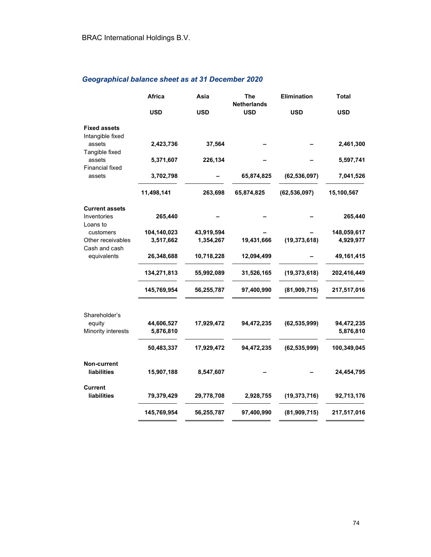## Geographical balance sheet as at 31 December 2020

|                                         | <b>Africa</b><br>Asia |            | The<br><b>Netherlands</b> | Elimination    | <b>Total</b> |  |
|-----------------------------------------|-----------------------|------------|---------------------------|----------------|--------------|--|
|                                         | <b>USD</b>            | <b>USD</b> | <b>USD</b>                | <b>USD</b>     | <b>USD</b>   |  |
| <b>Fixed assets</b><br>Intangible fixed |                       |            |                           |                |              |  |
| assets<br>Tangible fixed                | 2,423,736             | 37,564     |                           |                | 2,461,300    |  |
| assets<br><b>Financial fixed</b>        | 5,371,607             | 226,134    |                           |                | 5,597,741    |  |
| assets                                  | 3,702,798             |            | 65,874,825                | (62, 536, 097) | 7,041,526    |  |
|                                         | 11,498,141            | 263,698    | 65,874,825                | (62, 536, 097) | 15,100,567   |  |
| <b>Current assets</b>                   |                       |            |                           |                |              |  |
| Inventories<br>Loans to                 | 265,440               |            |                           |                | 265,440      |  |
| customers                               | 104,140,023           | 43,919,594 |                           |                | 148,059,617  |  |
| Other receivables<br>Cash and cash      | 3,517,662             | 1,354,267  | 19,431,666                | (19, 373, 618) | 4,929,977    |  |
| equivalents                             | 26,348,688            | 10,718,228 | 12,094,499                |                | 49,161,415   |  |
|                                         | 134,271,813           | 55,992,089 | 31,526,165                | (19, 373, 618) | 202,416,449  |  |
|                                         | 145,769,954           | 56,255,787 | 97,400,990                | (81,909,715)   | 217,517,016  |  |
| Shareholder's                           |                       |            |                           |                |              |  |
| equity                                  | 44,606,527            | 17,929,472 | 94,472,235                | (62, 535, 999) | 94,472,235   |  |
| Minority interests                      | 5,876,810             |            |                           |                | 5,876,810    |  |
|                                         | 50,483,337            | 17,929,472 | 94,472,235                | (62, 535, 999) | 100,349,045  |  |
| Non-current                             |                       |            |                           |                |              |  |
| liabilities                             | 15,907,188            | 8,547,607  |                           |                | 24,454,795   |  |
| <b>Current</b>                          |                       |            |                           |                |              |  |
| liabilities                             | 79,379,429            | 29,778,708 | 2,928,755                 | (19, 373, 716) | 92,713,176   |  |
|                                         | 145,769,954           | 56,255,787 | 97,400,990                | (81,909,715)   | 217,517,016  |  |
|                                         |                       |            |                           |                |              |  |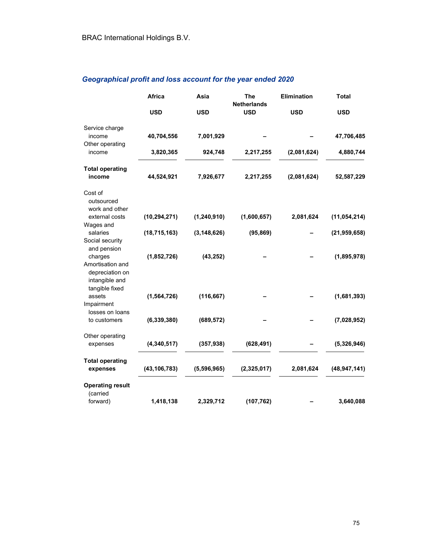## Geographical profit and loss account for the year ended 2020

|                                                                                    | <b>Africa</b><br>Asia |               | <b>The</b><br><b>Netherlands</b> | Elimination | <b>Total</b>   |  |
|------------------------------------------------------------------------------------|-----------------------|---------------|----------------------------------|-------------|----------------|--|
|                                                                                    | <b>USD</b>            | <b>USD</b>    | <b>USD</b>                       | <b>USD</b>  | <b>USD</b>     |  |
| Service charge<br>income                                                           | 40,704,556            | 7,001,929     |                                  |             | 47,706,485     |  |
| Other operating<br>income                                                          | 3,820,365             | 924,748       | 2,217,255                        | (2,081,624) | 4,880,744      |  |
| <b>Total operating</b><br>income                                                   | 44,524,921            | 7,926,677     | 2,217,255                        | (2,081,624) | 52,587,229     |  |
| Cost of<br>outsourced<br>work and other                                            |                       |               |                                  |             |                |  |
| external costs<br>Wages and                                                        | (10, 294, 271)        | (1, 240, 910) | (1,600,657)                      | 2,081,624   | (11, 054, 214) |  |
| salaries                                                                           | (18, 715, 163)        | (3, 148, 626) | (95, 869)                        |             | (21, 959, 658) |  |
| Social security<br>and pension                                                     |                       |               |                                  |             |                |  |
| charges<br>Amortisation and<br>depreciation on<br>intangible and<br>tangible fixed | (1,852,726)           | (43, 252)     |                                  |             | (1,895,978)    |  |
| assets<br>Impairment<br>losses on loans                                            | (1, 564, 726)         | (116, 667)    |                                  |             | (1,681,393)    |  |
| to customers                                                                       | (6, 339, 380)         | (689, 572)    |                                  |             | (7,028,952)    |  |
| Other operating<br>expenses                                                        | (4,340,517)           | (357, 938)    | (628, 491)                       |             | (5,326,946)    |  |
| <b>Total operating</b><br>expenses                                                 | (43, 106, 783)        | (5,596,965)   | (2,325,017)                      | 2,081,624   | (48, 947, 141) |  |
| <b>Operating result</b><br>(carried                                                |                       |               |                                  |             |                |  |
| forward)                                                                           | 1,418,138             | 2,329,712     | (107, 762)                       |             | 3,640,088      |  |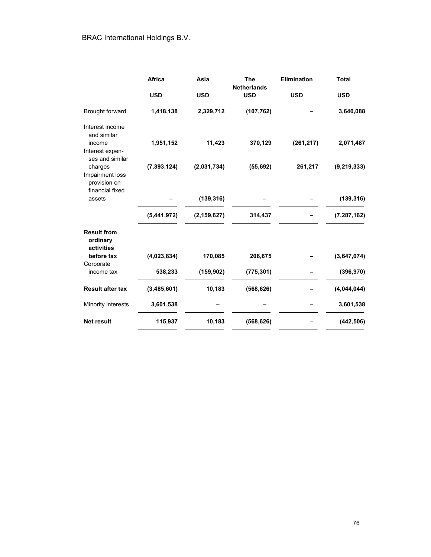|                                                               | <b>Africa</b> | Asia          | <b>The</b><br><b>Netherlands</b> | <b>Elimination</b> | <b>Total</b>  |
|---------------------------------------------------------------|---------------|---------------|----------------------------------|--------------------|---------------|
|                                                               | <b>USD</b>    | <b>USD</b>    | <b>USD</b>                       | <b>USD</b>         | <b>USD</b>    |
| Brought forward                                               | 1,418,138     | 2,329,712     | (107, 762)                       |                    | 3,640,088     |
| Interest income<br>and similar                                |               |               |                                  |                    |               |
| income<br>Interest expen-<br>ses and similar                  | 1,951,152     | 11,423        | 370,129                          | (261, 217)         | 2,071,487     |
| charges<br>Impairment loss<br>provision on<br>financial fixed | (7, 393, 124) | (2,031,734)   | (55, 692)                        | 261,217            | (9, 219, 333) |
| assets                                                        |               | (139, 316)    |                                  |                    | (139, 316)    |
|                                                               | (5,441,972)   | (2, 159, 627) | 314,437                          |                    | (7, 287, 162) |
| <b>Result from</b><br>ordinary<br>activities                  |               |               |                                  |                    |               |
| before tax<br>Corporate                                       | (4,023,834)   | 170,085       | 206,675                          |                    | (3,647,074)   |
| income tax                                                    | 538,233       | (159, 902)    | (775, 301)                       |                    | (396, 970)    |
| <b>Result after tax</b>                                       | (3,485,601)   | 10,183        | (568, 626)                       |                    | (4,044,044)   |
| Minority interests                                            | 3,601,538     |               |                                  |                    | 3,601,538     |
| <b>Net result</b>                                             | 115,937       | 10,183        | (568, 626)                       |                    | (442, 506)    |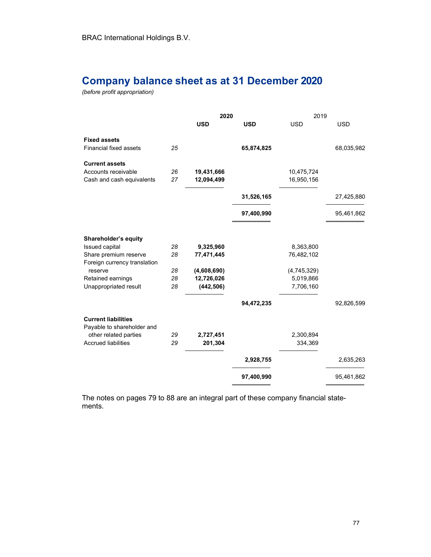# Company balance sheet as at 31 December 2020

(before profit appropriation)

|                                                                           |          | 2020                     |            | 2019                     |            |  |
|---------------------------------------------------------------------------|----------|--------------------------|------------|--------------------------|------------|--|
|                                                                           |          | <b>USD</b>               | <b>USD</b> | <b>USD</b>               | <b>USD</b> |  |
| <b>Fixed assets</b><br>Financial fixed assets                             | 25       |                          | 65,874,825 |                          | 68,035,982 |  |
| <b>Current assets</b><br>Accounts receivable<br>Cash and cash equivalents | 26<br>27 | 19,431,666<br>12,094,499 |            | 10,475,724<br>16,950,156 |            |  |
|                                                                           |          |                          | 31,526,165 |                          | 27,425,880 |  |
|                                                                           |          |                          | 97,400,990 |                          | 95,461,862 |  |
| Shareholder's equity                                                      |          |                          |            |                          |            |  |
| <b>Issued capital</b>                                                     | 28       | 9,325,960                |            | 8,363,800                |            |  |
| Share premium reserve<br>Foreign currency translation                     | 28       | 77,471,445               |            | 76,482,102               |            |  |
| reserve                                                                   | 28       | (4,608,690)              |            | (4,745,329)              |            |  |
| Retained earnings                                                         | 28       | 12,726,026               |            | 5,019,866                |            |  |
| Unappropriated result                                                     | 28       | (442, 506)               |            | 7,706,160                |            |  |
|                                                                           |          |                          | 94,472,235 |                          | 92,826,599 |  |
| <b>Current liabilities</b><br>Payable to shareholder and                  |          |                          |            |                          |            |  |
| other related parties                                                     | 29       | 2,727,451                |            | 2,300,894                |            |  |
| <b>Accrued liabilities</b>                                                | 29       | 201,304                  |            | 334,369                  |            |  |
|                                                                           |          |                          | 2,928,755  |                          | 2,635,263  |  |
|                                                                           |          |                          | 97,400,990 |                          | 95,461,862 |  |

The notes on pages 79 to 88 are an integral part of these company financial statements.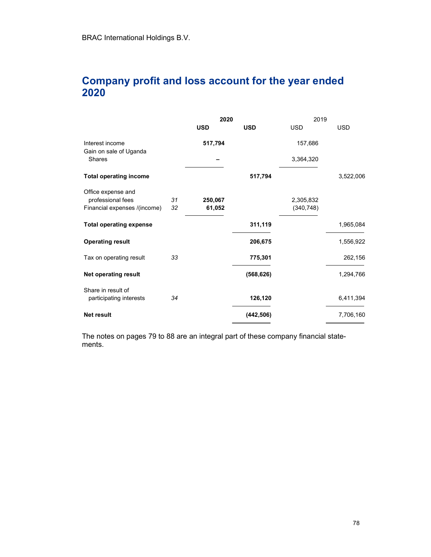# Company profit and loss account for the year ended 2020

|                                               |    | 2020       |            | 2019       |            |
|-----------------------------------------------|----|------------|------------|------------|------------|
|                                               |    | <b>USD</b> | <b>USD</b> | <b>USD</b> | <b>USD</b> |
| Interest income<br>Gain on sale of Uganda     |    | 517,794    |            | 157,686    |            |
| <b>Shares</b>                                 |    |            |            | 3,364,320  |            |
| <b>Total operating income</b>                 |    |            | 517,794    |            | 3,522,006  |
| Office expense and                            |    |            |            |            |            |
| professional fees                             | 31 | 250,067    |            | 2,305,832  |            |
| Financial expenses /(income)                  | 32 | 61,052     |            | (340, 748) |            |
| <b>Total operating expense</b>                |    |            | 311,119    |            | 1,965,084  |
| <b>Operating result</b>                       |    |            | 206,675    |            | 1,556,922  |
| Tax on operating result                       | 33 |            | 775,301    |            | 262,156    |
| <b>Net operating result</b>                   |    |            | (568, 626) |            | 1,294,766  |
| Share in result of<br>participating interests | 34 |            | 126,120    |            | 6,411,394  |
|                                               |    |            |            |            |            |
| <b>Net result</b>                             |    |            | (442, 506) |            | 7,706,160  |

The notes on pages 79 to 88 are an integral part of these company financial statements.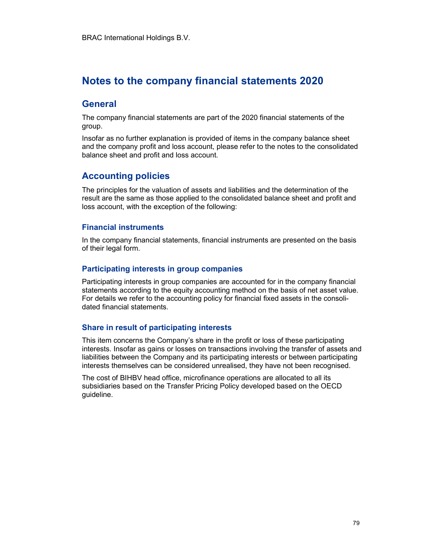# Notes to the company financial statements 2020

## **General**

The company financial statements are part of the 2020 financial statements of the group.

Insofar as no further explanation is provided of items in the company balance sheet and the company profit and loss account, please refer to the notes to the consolidated balance sheet and profit and loss account.

## Accounting policies

The principles for the valuation of assets and liabilities and the determination of the result are the same as those applied to the consolidated balance sheet and profit and loss account, with the exception of the following:

#### Financial instruments

In the company financial statements, financial instruments are presented on the basis of their legal form.

### Participating interests in group companies

Participating interests in group companies are accounted for in the company financial statements according to the equity accounting method on the basis of net asset value. For details we refer to the accounting policy for financial fixed assets in the consolidated financial statements.

### Share in result of participating interests

This item concerns the Company's share in the profit or loss of these participating interests. Insofar as gains or losses on transactions involving the transfer of assets and liabilities between the Company and its participating interests or between participating interests themselves can be considered unrealised, they have not been recognised.

The cost of BIHBV head office, microfinance operations are allocated to all its subsidiaries based on the Transfer Pricing Policy developed based on the OECD guideline.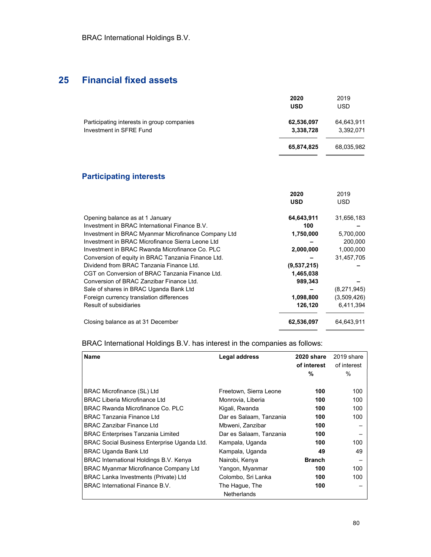# 25 Financial fixed assets

|                                                                       | 2020<br><b>USD</b>      | 2019<br><b>USD</b>      |
|-----------------------------------------------------------------------|-------------------------|-------------------------|
| Participating interests in group companies<br>Investment in SFRE Fund | 62,536,097<br>3,338,728 | 64,643,911<br>3,392,071 |
|                                                                       | 65,874,825              | 68,035,982              |

## Participating interests

|                                                     | 2020        | 2019        |
|-----------------------------------------------------|-------------|-------------|
|                                                     | <b>USD</b>  | <b>USD</b>  |
| Opening balance as at 1 January                     | 64,643,911  | 31,656,183  |
| Investment in BRAC International Finance B.V.       | 100         |             |
| Investment in BRAC Myanmar Microfinance Company Ltd | 1,750,000   | 5,700,000   |
| Investment in BRAC Microfinance Sierra Leone Ltd    |             | 200,000     |
| Investment in BRAC Rwanda Microfinance Co. PLC      | 2,000,000   | 1,000,000   |
| Conversion of equity in BRAC Tanzania Finance Ltd.  |             | 31,457,705  |
| Dividend from BRAC Tanzania Finance Ltd.            | (9,537,215) |             |
| CGT on Conversion of BRAC Tanzania Finance Ltd.     | 1,465,038   |             |
| Conversion of BRAC Zanzibar Finance Ltd.            | 989,343     |             |
| Sale of shares in BRAC Uganda Bank Ltd              |             | (8,271,945) |
| Foreign currency translation differences            | 1,098,800   | (3,509,426) |
| Result of subsidiaries                              | 126,120     | 6,411,394   |
| Closing balance as at 31 December                   | 62,536,097  | 64,643,911  |

BRAC International Holdings B.V. has interest in the companies as follows:

| <b>Name</b>                                        | Legal address           | 2020 share<br>of interest<br>% | 2019 share<br>of interest<br>$\%$ |
|----------------------------------------------------|-------------------------|--------------------------------|-----------------------------------|
|                                                    |                         |                                |                                   |
| BRAC Microfinance (SL) Ltd                         | Freetown, Sierra Leone  | 100                            | 100                               |
| <b>BRAC Liberia Microfinance Ltd</b>               | Monrovia, Liberia       | 100                            | 100                               |
| BRAC Rwanda Microfinance Co. PLC                   | Kigali, Rwanda          | 100                            | 100                               |
| <b>BRAC Tanzania Finance Ltd</b>                   | Dar es Salaam, Tanzania | 100                            | 100                               |
| <b>BRAC Zanzibar Finance Ltd</b>                   | Mbweni, Zanzibar        | 100                            |                                   |
| <b>BRAC Enterprises Tanzania Limited</b>           | Dar es Salaam, Tanzania | 100                            |                                   |
| <b>BRAC Social Business Enterprise Uganda Ltd.</b> | Kampala, Uganda         | 100                            | 100                               |
| BRAC Uganda Bank Ltd                               | Kampala, Uganda         | 49                             | 49                                |
| BRAC International Holdings B.V. Kenya             | Nairobi, Kenya          | <b>Branch</b>                  |                                   |
| <b>BRAC Myanmar Microfinance Company Ltd</b>       | Yangon, Myanmar         | 100                            | 100                               |
| <b>BRAC Lanka Investments (Private) Ltd</b>        | Colombo, Sri Lanka      | 100                            | 100                               |
| <b>BRAC International Finance B.V.</b>             | The Hague, The          | 100                            |                                   |
|                                                    | <b>Netherlands</b>      |                                |                                   |

 $\overline{\phantom{a}}$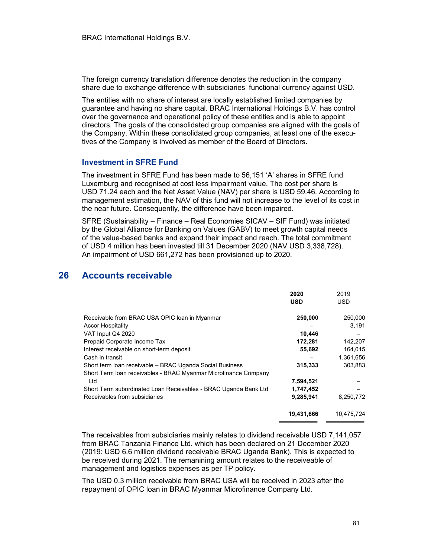The foreign currency translation difference denotes the reduction in the company share due to exchange difference with subsidiaries' functional currency against USD.

The entities with no share of interest are locally established limited companies by guarantee and having no share capital. BRAC International Holdings B.V. has control over the governance and operational policy of these entities and is able to appoint directors. The goals of the consolidated group companies are aligned with the goals of the Company. Within these consolidated group companies, at least one of the executives of the Company is involved as member of the Board of Directors.

#### Investment in SFRE Fund

The investment in SFRE Fund has been made to 56,151 'A' shares in SFRE fund Luxemburg and recognised at cost less impairment value. The cost per share is USD 71.24 each and the Net Asset Value (NAV) per share is USD 59.46. According to management estimation, the NAV of this fund will not increase to the level of its cost in the near future. Consequently, the difference have been impaired.

SFRE (Sustainability – Finance – Real Economies SICAV – SIF Fund) was initiated by the Global Alliance for Banking on Values (GABV) to meet growth capital needs of the value-based banks and expand their impact and reach. The total commitment of USD 4 million has been invested till 31 December 2020 (NAV USD 3,338,728). An impairment of USD 661,272 has been provisioned up to 2020.

## 26 Accounts receivable

|                                                                 | 2020<br><b>USD</b> | 2019<br><b>USD</b> |
|-----------------------------------------------------------------|--------------------|--------------------|
| Receivable from BRAC USA OPIC loan in Myanmar                   | 250,000            | 250,000            |
| <b>Accor Hospitality</b>                                        |                    | 3,191              |
| VAT Input Q4 2020                                               | 10,446             |                    |
| Prepaid Corporate Income Tax                                    | 172,281            | 142,207            |
| Interest receivable on short-term deposit                       | 55,692             | 164,015            |
| Cash in transit                                                 |                    | 1,361,656          |
| Short term Ioan receivable - BRAC Uganda Social Business        | 315,333            | 303,883            |
| Short Term loan receivables - BRAC Myanmar Microfinance Company |                    |                    |
| Ltd                                                             | 7,594,521          |                    |
| Short Term subordinated Loan Receivables - BRAC Uganda Bank Ltd | 1,747,452          |                    |
| Receivables from subsidiaries                                   | 9,285,941          | 8,250,772          |
|                                                                 | 19,431,666         | 10,475,724         |

The receivables from subsidiaries mainly relates to dividend receivable USD 7,141,057 from BRAC Tanzania Finance Ltd. which has been declared on 21 December 2020 (2019: USD 6.6 million dividend receivable BRAC Uganda Bank). This is expected to be received during 2021. The remanining amount relates to the receiveable of management and logistics expenses as per TP policy.

The USD 0.3 million receivable from BRAC USA will be received in 2023 after the repayment of OPIC loan in BRAC Myanmar Microfinance Company Ltd.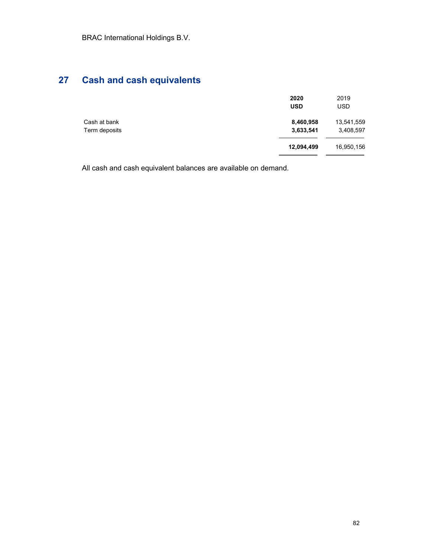# 27 Cash and cash equivalents

|                               | 2020<br><b>USD</b>     | 2019<br><b>USD</b>      |
|-------------------------------|------------------------|-------------------------|
| Cash at bank<br>Term deposits | 8,460,958<br>3,633,541 | 13,541,559<br>3,408,597 |
|                               | 12,094,499             | 16,950,156              |

All cash and cash equivalent balances are available on demand.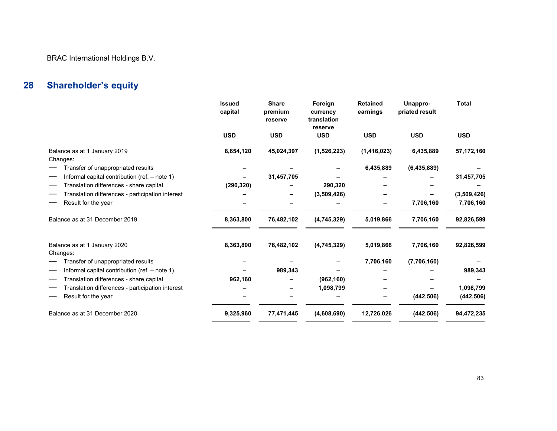BRAC International Holdings B.V.

# 28 Shareholder's equity

|                                                  | <b>Issued</b><br>capital | <b>Share</b><br>premium<br>reserve | Foreign<br>currency<br>translation<br>reserve | <b>Retained</b><br>earnings | Unappro-<br>priated result | <b>Total</b> |
|--------------------------------------------------|--------------------------|------------------------------------|-----------------------------------------------|-----------------------------|----------------------------|--------------|
|                                                  | <b>USD</b>               | <b>USD</b>                         | <b>USD</b>                                    | <b>USD</b>                  | <b>USD</b>                 | <b>USD</b>   |
| Balance as at 1 January 2019<br>Changes:         | 8,654,120                | 45,024,397                         | (1,526,223)                                   | (1, 416, 023)               | 6,435,889                  | 57,172,160   |
| Transfer of unappropriated results               |                          |                                    |                                               | 6,435,889                   | (6, 435, 889)              |              |
| Informal capital contribution (ref. - note 1)    |                          | 31,457,705                         |                                               |                             |                            | 31,457,705   |
| Translation differences - share capital          | (290, 320)               |                                    | 290,320                                       |                             |                            |              |
| Translation differences - participation interest |                          |                                    | (3,509,426)                                   |                             |                            | (3,509,426)  |
| Result for the year                              |                          |                                    |                                               |                             | 7,706,160                  | 7,706,160    |
| Balance as at 31 December 2019                   | 8,363,800                | 76,482,102                         | (4,745,329)                                   | 5,019,866                   | 7,706,160                  | 92,826,599   |
| Balance as at 1 January 2020<br>Changes:         | 8,363,800                | 76,482,102                         | (4,745,329)                                   | 5,019,866                   | 7,706,160                  | 92,826,599   |
| Transfer of unappropriated results               |                          |                                    |                                               | 7,706,160                   | (7,706,160)                |              |
| Informal capital contribution (ref. - note 1)    |                          | 989,343                            |                                               |                             |                            | 989,343      |
| Translation differences - share capital          | 962,160                  |                                    | (962, 160)                                    |                             |                            |              |
| Translation differences - participation interest |                          |                                    | 1,098,799                                     |                             |                            | 1,098,799    |
| Result for the year                              |                          |                                    |                                               |                             | (442, 506)                 | (442, 506)   |
| Balance as at 31 December 2020                   | 9,325,960                | 77,471,445                         | (4,608,690)                                   | 12,726,026                  | (442, 506)                 | 94,472,235   |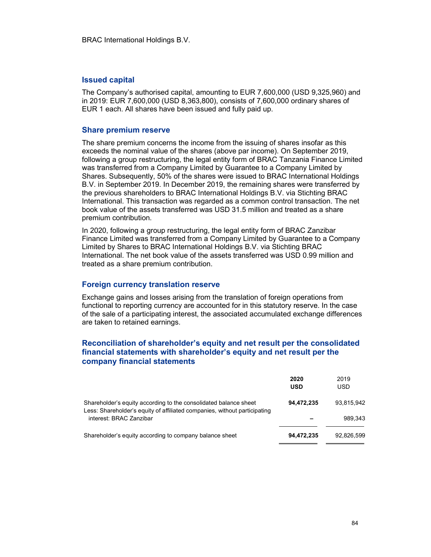#### Issued capital

The Company's authorised capital, amounting to EUR 7,600,000 (USD 9,325,960) and in 2019: EUR 7,600,000 (USD 8,363,800), consists of 7,600,000 ordinary shares of EUR 1 each. All shares have been issued and fully paid up.

#### Share premium reserve

The share premium concerns the income from the issuing of shares insofar as this exceeds the nominal value of the shares (above par income). On September 2019, following a group restructuring, the legal entity form of BRAC Tanzania Finance Limited was transferred from a Company Limited by Guarantee to a Company Limited by Shares. Subsequently, 50% of the shares were issued to BRAC International Holdings B.V. in September 2019. In December 2019, the remaining shares were transferred by the previous shareholders to BRAC International Holdings B.V. via Stichting BRAC International. This transaction was regarded as a common control transaction. The net book value of the assets transferred was USD 31.5 million and treated as a share premium contribution.

In 2020, following a group restructuring, the legal entity form of BRAC Zanzibar Finance Limited was transferred from a Company Limited by Guarantee to a Company Limited by Shares to BRAC International Holdings B.V. via Stichting BRAC International. The net book value of the assets transferred was USD 0.99 million and treated as a share premium contribution.

#### Foreign currency translation reserve

Exchange gains and losses arising from the translation of foreign operations from functional to reporting currency are accounted for in this statutory reserve. In the case of the sale of a participating interest, the associated accumulated exchange differences are taken to retained earnings.

#### Reconciliation of shareholder's equity and net result per the consolidated financial statements with shareholder's equity and net result per the company financial statements

|                                                                                                                                               | 2020<br>USD | 2019<br>USD |
|-----------------------------------------------------------------------------------------------------------------------------------------------|-------------|-------------|
| Shareholder's equity according to the consolidated balance sheet<br>Less: Shareholder's equity of affiliated companies, without participating | 94,472,235  | 93.815.942  |
| interest: BRAC Zanzibar                                                                                                                       |             | 989.343     |
| Shareholder's equity according to company balance sheet                                                                                       | 94,472,235  | 92.826.599  |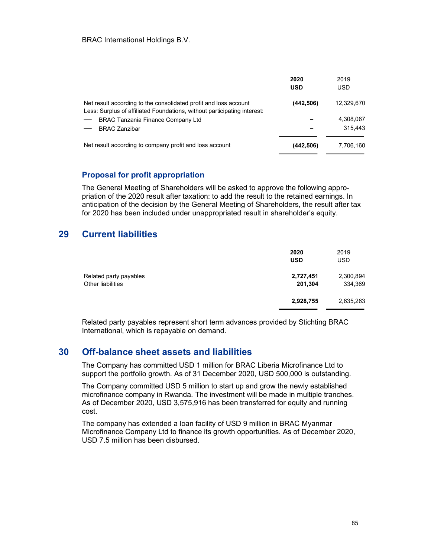|                                                                                                                                              | 2020<br><b>USD</b> | 2019<br><b>USD</b> |
|----------------------------------------------------------------------------------------------------------------------------------------------|--------------------|--------------------|
| Net result according to the consolidated profit and loss account<br>Less: Surplus of affiliated Foundations, without participating interest: | (442,506)          | 12,329,670         |
| <b>BRAC Tanzania Finance Company Ltd</b>                                                                                                     |                    | 4,308,067          |
| <b>BRAC Zanzibar</b>                                                                                                                         |                    | 315.443            |
| Net result according to company profit and loss account                                                                                      | (442,506)          | 7,706,160          |

#### Proposal for profit appropriation

The General Meeting of Shareholders will be asked to approve the following appropriation of the 2020 result after taxation: to add the result to the retained earnings. In anticipation of the decision by the General Meeting of Shareholders, the result after tax for 2020 has been included under unappropriated result in shareholder's equity.

### 29 Current liabilities

|                                             | 2020<br><b>USD</b>   | 2019<br><b>USD</b>   |
|---------------------------------------------|----------------------|----------------------|
| Related party payables<br>Other liabilities | 2,727,451<br>201,304 | 2,300,894<br>334,369 |
|                                             | 2,928,755            | 2,635,263            |

Related party payables represent short term advances provided by Stichting BRAC International, which is repayable on demand.

## 30 Off-balance sheet assets and liabilities

The Company has committed USD 1 million for BRAC Liberia Microfinance Ltd to support the portfolio growth. As of 31 December 2020, USD 500,000 is outstanding.

The Company committed USD 5 million to start up and grow the newly established microfinance company in Rwanda. The investment will be made in multiple tranches. As of December 2020, USD 3,575,916 has been transferred for equity and running cost.

The company has extended a loan facility of USD 9 million in BRAC Myanmar Microfinance Company Ltd to finance its growth opportunities. As of December 2020, USD 7.5 million has been disbursed.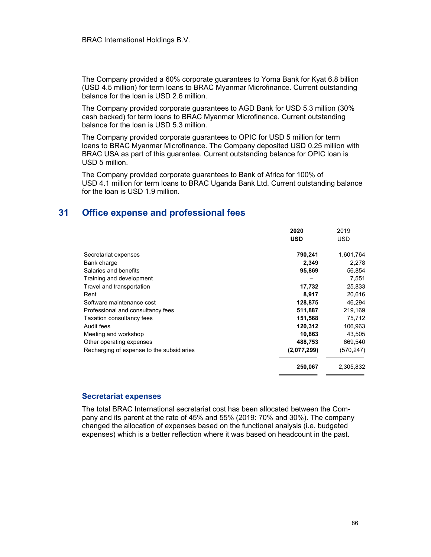The Company provided a 60% corporate guarantees to Yoma Bank for Kyat 6.8 billion (USD 4.5 million) for term loans to BRAC Myanmar Microfinance. Current outstanding balance for the loan is USD 2.6 million.

The Company provided corporate guarantees to AGD Bank for USD 5.3 million (30% cash backed) for term loans to BRAC Myanmar Microfinance. Current outstanding balance for the loan is USD 5.3 million.

The Company provided corporate guarantees to OPIC for USD 5 million for term loans to BRAC Myanmar Microfinance. The Company deposited USD 0.25 million with BRAC USA as part of this guarantee. Current outstanding balance for OPIC loan is USD 5 million.

The Company provided corporate guarantees to Bank of Africa for 100% of USD 4.1 million for term loans to BRAC Uganda Bank Ltd. Current outstanding balance for the loan is USD 1.9 million.

### 31 Office expense and professional fees

|                                           | 2020        | 2019      |
|-------------------------------------------|-------------|-----------|
|                                           | <b>USD</b>  | USD.      |
| Secretariat expenses                      | 790,241     | 1,601,764 |
| Bank charge                               | 2,349       | 2,278     |
| Salaries and benefits                     | 95,869      | 56,854    |
| Training and development                  |             | 7,551     |
| Travel and transportation                 | 17,732      | 25,833    |
| Rent                                      | 8,917       | 20,616    |
| Software maintenance cost                 | 128,875     | 46,294    |
| Professional and consultancy fees         | 511,887     | 219,169   |
| Taxation consultancy fees                 | 151,568     | 75,712    |
| Audit fees                                | 120,312     | 106,963   |
| Meeting and workshop                      | 10,863      | 43,505    |
| Other operating expenses                  | 488,753     | 669,540   |
| Recharging of expense to the subsidiaries | (2,077,299) | (570,247) |
|                                           | 250,067     | 2,305,832 |

#### Secretariat expenses

The total BRAC International secretariat cost has been allocated between the Company and its parent at the rate of 45% and 55% (2019: 70% and 30%). The company changed the allocation of expenses based on the functional analysis (i.e. budgeted expenses) which is a better reflection where it was based on headcount in the past.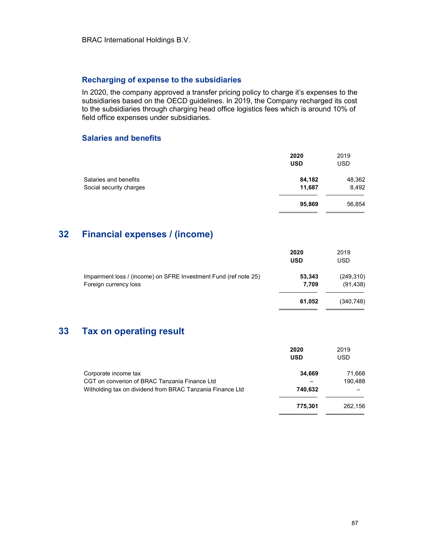### Recharging of expense to the subsidiaries

In 2020, the company approved a transfer pricing policy to charge it's expenses to the subsidiaries based on the OECD guidelines. In 2019, the Company recharged its cost to the subsidiaries through charging head office logistics fees which is around 10% of field office expenses under subsidiaries.

#### Salaries and benefits

|                         | 2020<br><b>USD</b> | 2019<br><b>USD</b> |
|-------------------------|--------------------|--------------------|
| Salaries and benefits   | 84,182             | 48,362             |
| Social security charges | 11,687             | 8,492              |
|                         | 95,869             | 56,854             |

# 32 Financial expenses / (income)

|                                                                                           | 2020<br><b>USD</b> | 2019<br>USD             |
|-------------------------------------------------------------------------------------------|--------------------|-------------------------|
| Impairment loss / (income) on SFRE Investment Fund (ref note 25)<br>Foreign currency loss | 53,343<br>7.709    | (249, 310)<br>(91, 438) |
|                                                                                           | 61,052             | (340,748)               |

## 33 Tax on operating result

|                                                           | 2020<br><b>USD</b> | 2019<br><b>USD</b> |
|-----------------------------------------------------------|--------------------|--------------------|
| Corporate income tax                                      | 34,669             | 71.668             |
| CGT on converion of BRAC Tanzania Finance Ltd             |                    | 190,488            |
| Witholding tax on dividend from BRAC Tanzania Finance Ltd | 740.632            |                    |
|                                                           | 775,301            | 262.156            |

 $\overline{a}$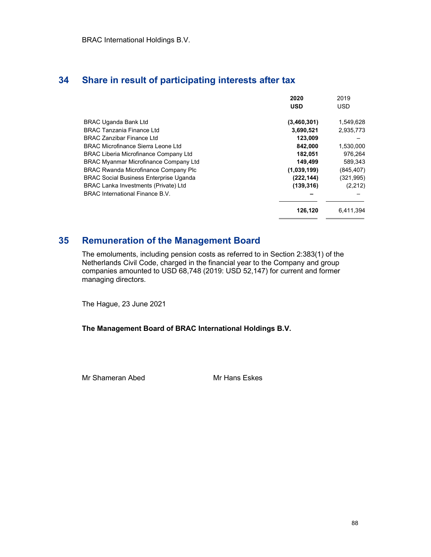## 34 Share in result of participating interests after tax

|                                               | 2020<br><b>USD</b> | 2019<br><b>USD</b> |
|-----------------------------------------------|--------------------|--------------------|
|                                               |                    |                    |
| <b>BRAC Uganda Bank Ltd</b>                   | (3,460,301)        | 1,549,628          |
| <b>BRAC Tanzania Finance Ltd</b>              | 3,690,521          | 2,935,773          |
| <b>BRAC Zanzibar Finance Ltd</b>              | 123.009            |                    |
| <b>BRAC Microfinance Sierra Leone Ltd</b>     | 842,000            | 1,530,000          |
| <b>BRAC Liberia Microfinance Company Ltd</b>  | 182,051            | 976,264            |
| <b>BRAC Myanmar Microfinance Company Ltd</b>  | 149,499            | 589,343            |
| <b>BRAC Rwanda Microfinance Company Plc</b>   | (1,039,199)        | (845, 407)         |
| <b>BRAC Social Business Enterprise Uganda</b> | (222,144)          | (321, 995)         |
| <b>BRAC Lanka Investments (Private) Ltd</b>   | (139, 316)         | (2,212)            |
| BRAC International Finance B.V.               |                    |                    |
|                                               | 126,120            | 6,411,394          |
|                                               |                    |                    |

# 35 Remuneration of the Management Board

The emoluments, including pension costs as referred to in Section 2:383(1) of the Netherlands Civil Code, charged in the financial year to the Company and group companies amounted to USD 68,748 (2019: USD 52,147) for current and former managing directors.

The Hague, 23 June 2021

#### The Management Board of BRAC International Holdings B.V.

Mr Shameran Abed Mr Hans Eskes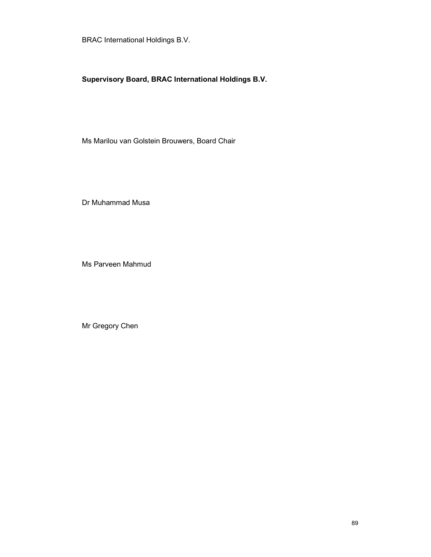BRAC International Holdings B.V.

## Supervisory Board, BRAC International Holdings B.V.

Ms Marilou van Golstein Brouwers, Board Chair

Dr Muhammad Musa

Ms Parveen Mahmud

Mr Gregory Chen